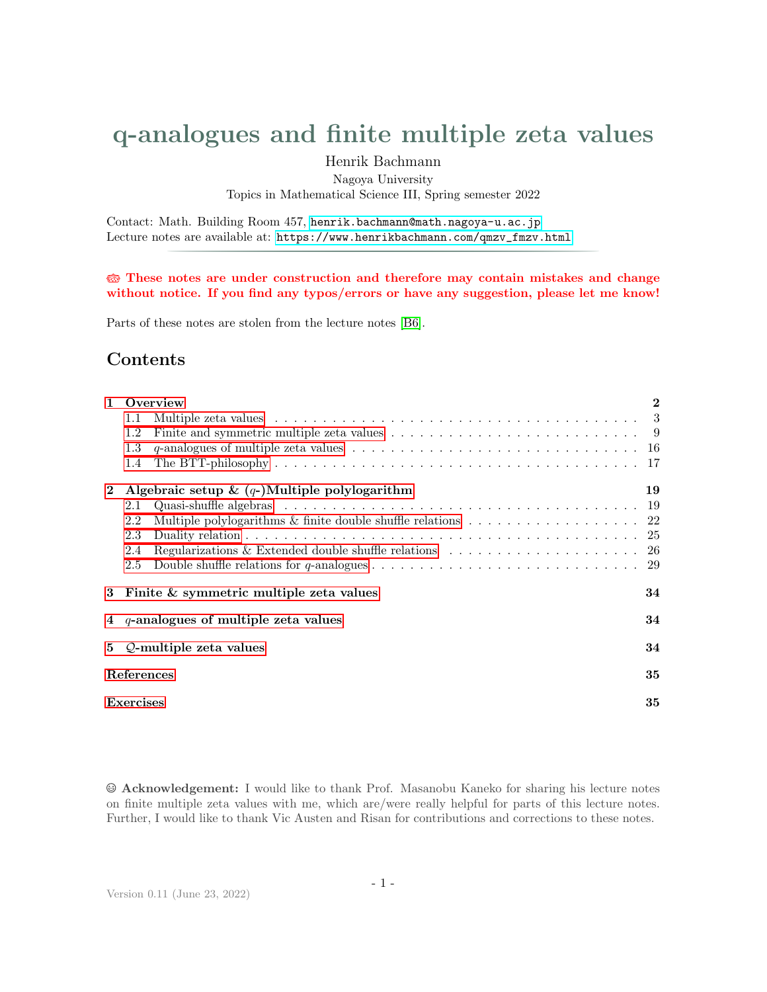# <span id="page-0-0"></span>q-analogues and finite multiple zeta values

# **Contents**

|              | q-analogues and finite multiple zeta values<br>Henrik Bachmann                                                                                                             |                                                  |
|--------------|----------------------------------------------------------------------------------------------------------------------------------------------------------------------------|--------------------------------------------------|
|              | Nagoya University<br>Topics in Mathematical Science III, Spring semester 2022                                                                                              |                                                  |
|              | Contact: Math. Building Room 457, henrik.bachmann@math.nagoya-u.ac.jp<br>Lecture notes are available at: https://www.henrikbachmann.com/qmzv_fmzv.html                     |                                                  |
|              | <b>these</b> These notes are under construction and therefore may contain mistakes and change                                                                              |                                                  |
|              | without notice. If you find any typos/errors or have any suggestion, please let me know!                                                                                   |                                                  |
|              | Parts of these notes are stolen from the lecture notes [B6].                                                                                                               |                                                  |
|              | Contents                                                                                                                                                                   |                                                  |
| $\mathbf{1}$ | Overview<br>1.1<br>Multiple zeta values<br>Finite and symmetric multiple zeta values $\ldots \ldots \ldots \ldots \ldots \ldots \ldots \ldots \ldots \ldots$<br>1.2<br>1.3 | $\bf{2}$<br>$\sqrt{3}$<br>$\boldsymbol{9}$<br>16 |
| $\bf{2}$     | 1.4<br>Algebraic setup & $(q-)$ Multiple polylogarithm                                                                                                                     | 17<br>19                                         |
|              | 2.1<br>Multiple polylogarithms $\&$ finite double shuffle relations $\ldots \ldots \ldots \ldots \ldots \ldots$<br>2.2<br>2.3<br>$2.4\,$                                   | 19<br>22<br>25<br>26                             |
| $\bf{3}$     | 2.5<br>Finite & symmetric multiple zeta values                                                                                                                             | 29<br>34                                         |
| 4            | $q$ -analogues of multiple zeta values                                                                                                                                     | 34                                               |
| 5            | Q-multiple zeta values                                                                                                                                                     | 34                                               |
|              | References                                                                                                                                                                 | 35                                               |
|              | Exercises                                                                                                                                                                  | 35                                               |

Acknowledgement: I would like to thank Prof. Masanobu Kaneko for sharing his lecture notes on finite multiple zeta values with me, which are/were really helpful for parts of this lecture notes. Further, I would like to thank Vic Austen and Risan for contributions and corrections to these notes.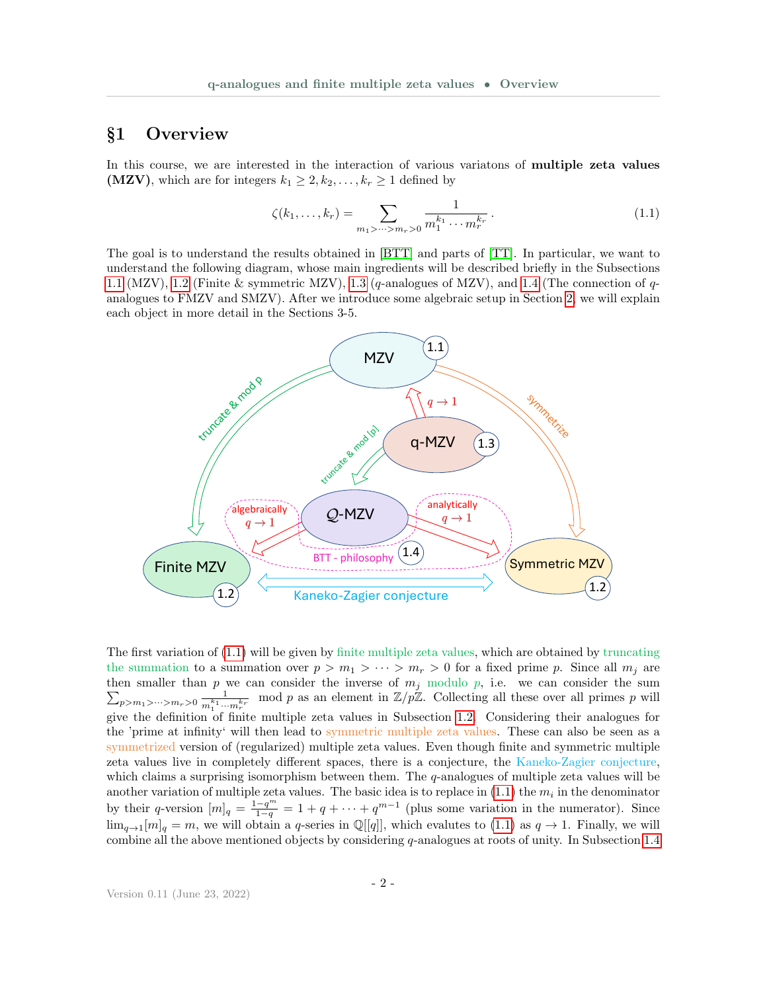### <span id="page-1-0"></span>§1 Overview

In this course, we are interested in the interaction of various variatons of multiple zeta values (MZV), which are for integers  $k_1 \geq 2, k_2, \ldots, k_r \geq 1$  defined by

<span id="page-1-1"></span>
$$
\zeta(k_1,\ldots,k_r) = \sum_{m_1 > \cdots > m_r > 0} \frac{1}{m_1^{k_1} \cdots m_r^{k_r}}.
$$
\n(1.1)

The goal is to understand the results obtained in [\[BTT\]](#page-35-1) and parts of [\[TT\]](#page-36-0). In particular, we want to understand the following diagram, whose main ingredients will be described briefly in the Subsections [1.1](#page-2-0) (MZV), [1.2](#page-7-0) (Finite & symmetric MZV), [1.3](#page-15-0) (q-analogues of MZV), and [1.4](#page-16-0) (The connection of  $q$ analogues to FMZV and SMZV). After we introduce some algebraic setup in Section [2,](#page-18-0) we will explain each object in more detail in the Sections 3-5.



The first variation of [\(1.1\)](#page-1-1) will be given by finite multiple zeta values, which are obtained by truncating the summation to a summation over  $p > m_1 > \cdots > m_r > 0$  for a fixed prime p. Since all  $m_j$  are then smaller than P p we can consider the inverse of  $m_j$  modulo p, i.e. we can consider the sum  $p>m_1>\cdots>m_r>0$   $\frac{1}{m_r^{k_1} \cdots}$  $\frac{1}{m_1^{k_1} \cdots m_r^{k_r}}$  mod p as an element in  $\mathbb{Z}/p\mathbb{Z}$ . Collecting all these over all primes p will give the definition of finite multiple zeta values in Subsection [1.2.](#page-7-0) Considering their analogues for the 'prime at infinity' will then lead to symmetric multiple zeta values. These can also be seen as a symmetrized version of (regularized) multiple zeta values. Even though finite and symmetric multiple zeta values live in completely different spaces, there is a conjecture, the Kaneko-Zagier conjecture, which claims a surprising isomorphism between them. The  $q$ -analogues of multiple zeta values will be another variation of multiple zeta values. The basic idea is to replace in  $(1.1)$  the  $m<sub>i</sub>$  in the denominator by their q-version  $[m]_q = \frac{1-q^m}{1-q} = 1+q+\cdots+q^{m-1}$  (plus some variation in the numerator). Since  $\lim_{q\to 1}[m]_q = m$ , we will obtain a q-series in  $\mathbb{Q}[[q]]$ , which evalutes to [\(1.1\)](#page-1-1) as  $q \to 1$ . Finally, we will combine all the above mentioned objects by considering  $q$ -analogues at roots of unity. In Subsection [1.4](#page-16-0)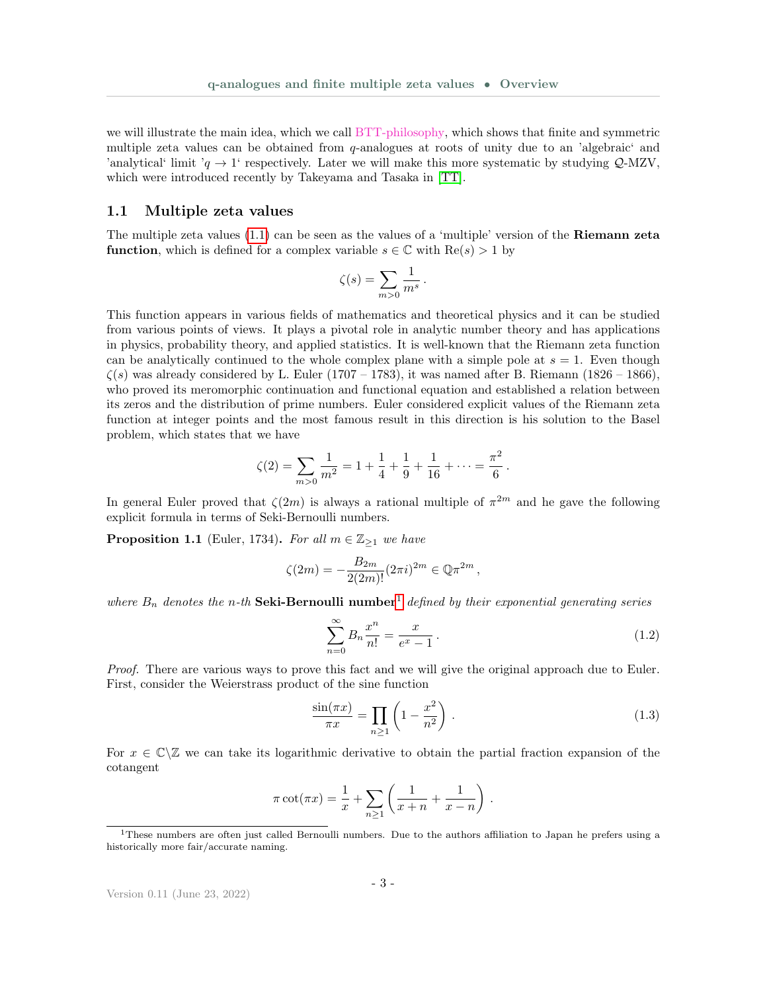we will illustrate the main idea, which we call BTT-philosophy, which shows that finite and symmetric multiple zeta values can be obtained from q-analogues at roots of unity due to an 'algebraic' and 'analytical' limit ' $q \rightarrow 1$ ' respectively. Later we will make this more systematic by studying Q-MZV, which were introduced recently by Takeyama and Tasaka in [\[TT\]](#page-36-0).

#### <span id="page-2-0"></span>1.1 Multiple zeta values

The multiple zeta values  $(1.1)$  can be seen as the values of a 'multiple' version of the **Riemann zeta function**, which is defined for a complex variable  $s \in \mathbb{C}$  with  $\text{Re}(s) > 1$  by

$$
\zeta(s) = \sum_{m>0} \frac{1}{m^s} \, .
$$

This function appears in various fields of mathematics and theoretical physics and it can be studied from various points of views. It plays a pivotal role in analytic number theory and has applications in physics, probability theory, and applied statistics. It is well-known that the Riemann zeta function can be analytically continued to the whole complex plane with a simple pole at  $s = 1$ . Even though  $\zeta(s)$  was already considered by L. Euler (1707 – 1783), it was named after B. Riemann (1826 – 1866), who proved its meromorphic continuation and functional equation and established a relation between its zeros and the distribution of prime numbers. Euler considered explicit values of the Riemann zeta function at integer points and the most famous result in this direction is his solution to the Basel problem, which states that we have

$$
\zeta(2) = \sum_{m>0} \frac{1}{m^2} = 1 + \frac{1}{4} + \frac{1}{9} + \frac{1}{16} + \dots = \frac{\pi^2}{6}.
$$

In general Euler proved that  $\zeta(2m)$  is always a rational multiple of  $\pi^{2m}$  and he gave the following explicit formula in terms of Seki-Bernoulli numbers.

<span id="page-2-3"></span>**Proposition 1.1** (Euler, 1734). For all  $m \in \mathbb{Z}_{\geq 1}$  we have

$$
\zeta(2m) = -\frac{B_{2m}}{2(2m)!} (2\pi i)^{2m} \in \mathbb{Q} \pi^{2m},
$$

where  $B_n$  denotes the n-th **Seki-Bernoulli number**<sup>[1](#page-2-1)</sup> defined by their exponential generating series

<span id="page-2-4"></span><span id="page-2-2"></span>
$$
\sum_{n=0}^{\infty} B_n \frac{x^n}{n!} = \frac{x}{e^x - 1} \,. \tag{1.2}
$$

Proof. There are various ways to prove this fact and we will give the original approach due to Euler. First, consider the Weierstrass product of the sine function

$$
\frac{\sin(\pi x)}{\pi x} = \prod_{n \ge 1} \left( 1 - \frac{x^2}{n^2} \right). \tag{1.3}
$$

For  $x \in \mathbb{C} \setminus \mathbb{Z}$  we can take its logarithmic derivative to obtain the partial fraction expansion of the cotangent

$$
\pi \cot(\pi x) = \frac{1}{x} + \sum_{n \ge 1} \left( \frac{1}{x+n} + \frac{1}{x-n} \right) .
$$

<span id="page-2-1"></span><sup>1</sup>These numbers are often just called Bernoulli numbers. Due to the authors affiliation to Japan he prefers using a historically more fair/accurate naming.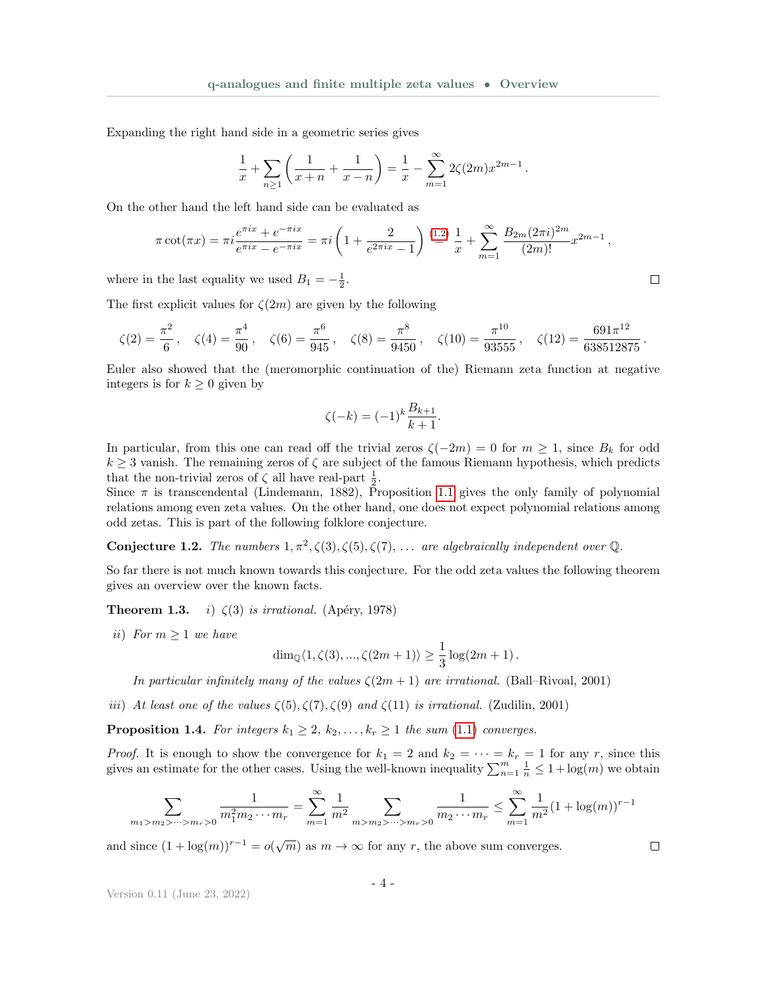Expanding the right hand side in a geometric series gives

$$
\frac{1}{x} + \sum_{n \ge 1} \left( \frac{1}{x+n} + \frac{1}{x-n} \right) = \frac{1}{x} - \sum_{m=1}^{\infty} 2\zeta(2m)x^{2m-1}.
$$

On the other hand the left hand side can be evaluated as

$$
\pi \cot(\pi x) = \pi i \frac{e^{\pi i x} + e^{-\pi i x}}{e^{\pi i x} - e^{-\pi i x}} = \pi i \left( 1 + \frac{2}{e^{2\pi i x} - 1} \right) \stackrel{(1.2)}{=} \frac{1}{x} + \sum_{m=1}^{\infty} \frac{B_{2m} (2\pi i)^{2m}}{(2m)!} x^{2m-1},
$$

where in the last equality we used  $B_1 = -\frac{1}{2}$ .

The first explicit values for  $\zeta(2m)$  are given by the following

$$
\zeta(2) = \frac{\pi^2}{6}, \quad \zeta(4) = \frac{\pi^4}{90}, \quad \zeta(6) = \frac{\pi^6}{945}, \quad \zeta(8) = \frac{\pi^8}{9450}, \quad \zeta(10) = \frac{\pi^{10}}{93555}, \quad \zeta(12) = \frac{691\pi^{12}}{638512875}.
$$

Euler also showed that the (meromorphic continuation of the) Riemann zeta function at negative integers is for  $k \geq 0$  given by

$$
\zeta(-k) = (-1)^k \frac{B_{k+1}}{k+1}.
$$

In particular, from this one can read off the trivial zeros  $\zeta(-2m) = 0$  for  $m \ge 1$ , since  $B_k$  for odd  $k \geq 3$  vanish. The remaining zeros of  $\zeta$  are subject of the famous Riemann hypothesis, which predicts that the non-trivial zeros of  $\zeta$  all have real-part  $\frac{1}{2}$ .

Since  $\pi$  is transcendental (Lindemann, 1882), Proposition [1.1](#page-2-3) gives the only family of polynomial relations among even zeta values. On the other hand, one does not expect polynomial relations among odd zetas. This is part of the following folklore conjecture.

**Conjecture 1.2.** The numbers  $1, \pi^2, \zeta(3), \zeta(5), \zeta(7), \ldots$  are algebraically independent over Q.

So far there is not much known towards this conjecture. For the odd zeta values the following theorem gives an overview over the known facts.

**Theorem 1.3.** *i*)  $\zeta(3)$  *is irrational.* (Apéry, 1978)

ii) For  $m \geq 1$  we have

$$
\dim_{\mathbb{Q}}\langle 1, \zeta(3),..., \zeta(2m+1)\rangle \geq \frac{1}{3}\log(2m+1).
$$

In particular infinitely many of the values  $\zeta(2m+1)$  are irrational. (Ball–Rivoal, 2001)

iii) At least one of the values  $\zeta(5), \zeta(7), \zeta(9)$  and  $\zeta(11)$  is irrational. (Zudilin, 2001)

<span id="page-3-0"></span>**Proposition 1.4.** For integers  $k_1 \geq 2$ ,  $k_2, \ldots, k_r \geq 1$  the sum [\(1.1\)](#page-1-1) converges.

*Proof.* It is enough to show the convergence for  $k_1 = 2$  and  $k_2 = \cdots = k_r = 1$  for any r, since this gives an estimate for the other cases. Using the well-known inequality  $\sum_{n=1}^{m} \frac{1}{n} \leq 1 + \log(m)$  we obtain

$$
\sum_{m_1 > m_2 > \dots > m_r > 0} \frac{1}{m_1^2 m_2 \dots m_r} = \sum_{m=1}^{\infty} \frac{1}{m^2} \sum_{m > m_2 > \dots > m_r > 0} \frac{1}{m_2 \dots m_r} \le \sum_{m=1}^{\infty} \frac{1}{m^2} (1 + \log(m))^{r-1}
$$

and since  $(1 + \log(m))^{r-1} = o(\sqrt{m})$  as  $m \to \infty$  for any r, the above sum converges.

Version 0.11 (June 23, 2022)

 $\Box$ 

 $\Box$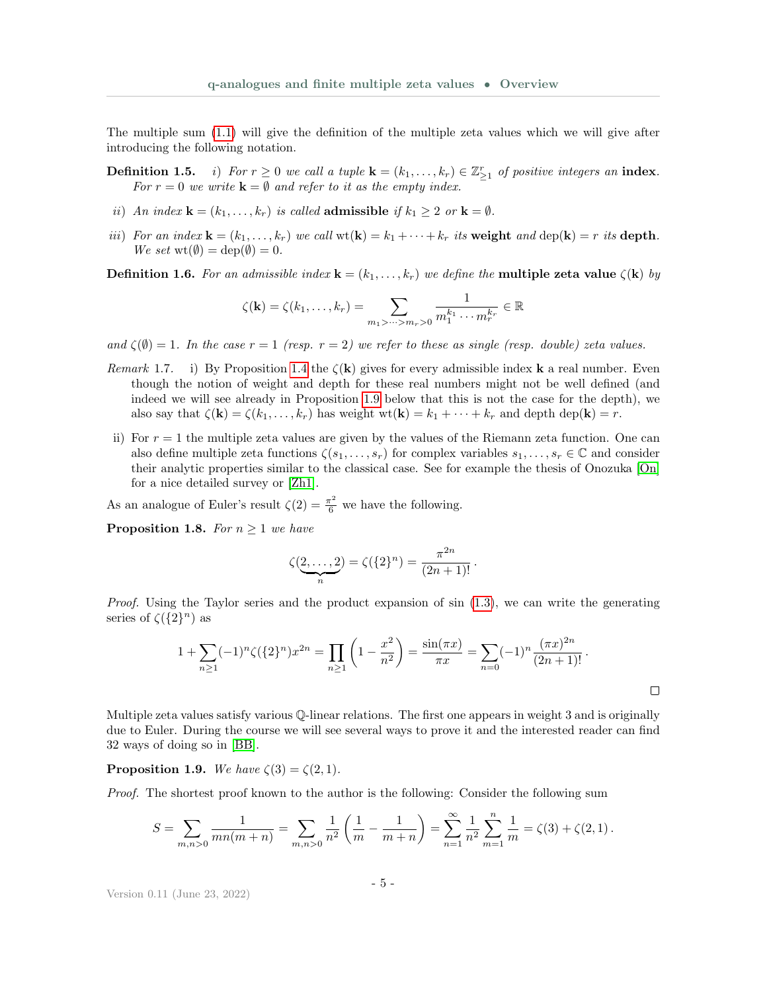The multiple sum [\(1.1\)](#page-1-1) will give the definition of the multiple zeta values which we will give after introducing the following notation.

**Definition 1.5.** i) For  $r \ge 0$  we call a tuple  $\mathbf{k} = (k_1, \ldots, k_r) \in \mathbb{Z}_{\ge 1}^r$  of positive integers an index. For  $r = 0$  we write  $\mathbf{k} = \emptyset$  and refer to it as the empty index.

- ii) An index  $\mathbf{k} = (k_1, \ldots, k_r)$  is called **admissible** if  $k_1 \geq 2$  or  $\mathbf{k} = \emptyset$ .
- iii) For an index  $\mathbf{k} = (k_1, \ldots, k_r)$  we call  $\text{wt}(\mathbf{k}) = k_1 + \cdots + k_r$  its weight and  $\text{dep}(\mathbf{k}) = r$  its depth. We set  $\mathrm{wt}(\emptyset) = \mathrm{dep}(\emptyset) = 0.$

**Definition 1.6.** For an admissible index  $\mathbf{k} = (k_1, \ldots, k_r)$  we define the **multiple zeta value**  $\zeta(\mathbf{k})$  by

$$
\zeta(\mathbf{k}) = \zeta(k_1,\ldots,k_r) = \sum_{m_1 > \cdots > m_r > 0} \frac{1}{m_1^{k_1} \cdots m_r^{k_r}} \in \mathbb{R}
$$

and  $\zeta(\emptyset) = 1$ . In the case  $r = 1$  (resp.  $r = 2$ ) we refer to these as single (resp. double) zeta values.

- Remark 1.7. i) By Proposition [1.4](#page-3-0) the  $\zeta(\mathbf{k})$  gives for every admissible index **k** a real number. Even though the notion of weight and depth for these real numbers might not be well defined (and indeed we will see already in Proposition [1.9](#page-4-0) below that this is not the case for the depth), we also say that  $\zeta(\mathbf{k}) = \zeta(k_1, \ldots, k_r)$  has weight wt $(\mathbf{k}) = k_1 + \cdots + k_r$  and depth dep $(\mathbf{k}) = r$ .
- ii) For  $r = 1$  the multiple zeta values are given by the values of the Riemann zeta function. One can also define multiple zeta functions  $\zeta(s_1,\ldots,s_r)$  for complex variables  $s_1,\ldots,s_r\in\mathbb{C}$  and consider their analytic properties similar to the classical case. See for example the thesis of Onozuka [\[On\]](#page-36-1) for a nice detailed survey or [\[Zh1\]](#page-36-2).

As an analogue of Euler's result  $\zeta(2) = \frac{\pi^2}{6}$  we have the following.

**Proposition 1.8.** For  $n \geq 1$  we have

$$
\zeta(\underbrace{2,\ldots,2}_{n}) = \zeta(\{2\}^{n}) = \frac{\pi^{2n}}{(2n+1)!}.
$$

*Proof.* Using the Taylor series and the product expansion of  $\sin(1.3)$  $\sin(1.3)$ , we can write the generating series of  $\zeta({2}^n)$  as

$$
1 + \sum_{n\geq 1} (-1)^n \zeta(\{2\}^n) x^{2n} = \prod_{n\geq 1} \left(1 - \frac{x^2}{n^2}\right) = \frac{\sin(\pi x)}{\pi x} = \sum_{n=0} (-1)^n \frac{(\pi x)^{2n}}{(2n+1)!}.
$$

Multiple zeta values satisfy various Q-linear relations. The first one appears in weight 3 and is originally due to Euler. During the course we will see several ways to prove it and the interested reader can find 32 ways of doing so in [\[BB\]](#page-36-3).

<span id="page-4-0"></span>**Proposition 1.9.** We have  $\zeta(3) = \zeta(2, 1)$ .

Proof. The shortest proof known to the author is the following: Consider the following sum

$$
S = \sum_{m,n>0} \frac{1}{mn(m+n)} = \sum_{m,n>0} \frac{1}{n^2} \left( \frac{1}{m} - \frac{1}{m+n} \right) = \sum_{n=1}^{\infty} \frac{1}{n^2} \sum_{m=1}^{n} \frac{1}{m} = \zeta(3) + \zeta(2,1).
$$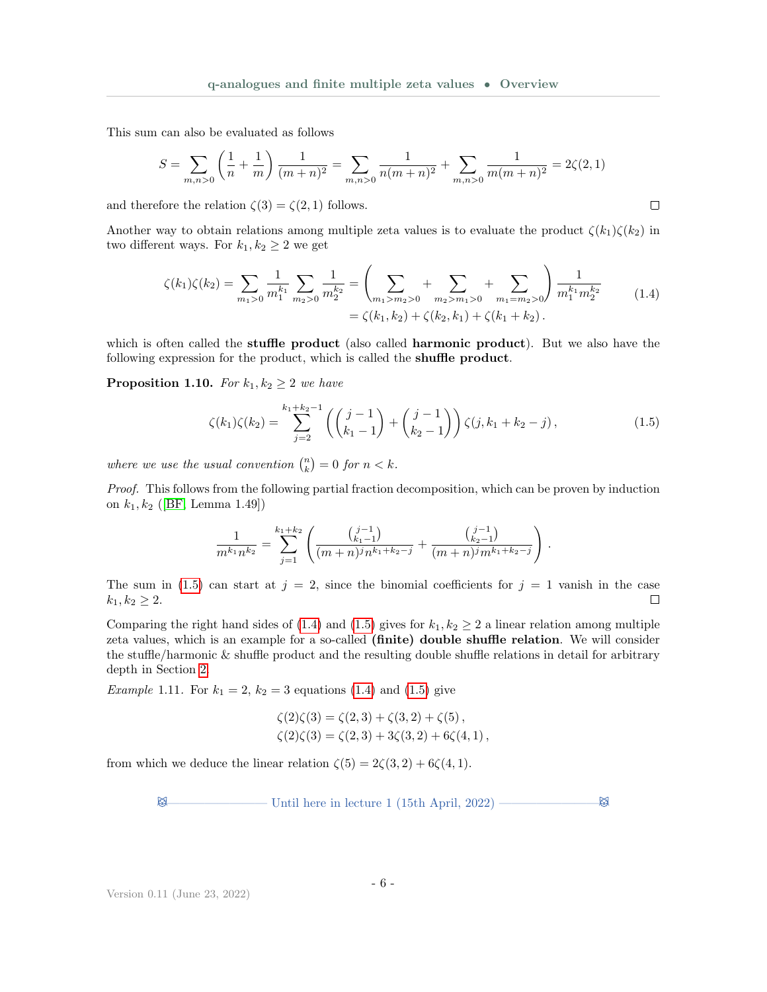This sum can also be evaluated as follows

$$
S = \sum_{m,n>0} \left(\frac{1}{n} + \frac{1}{m}\right) \frac{1}{(m+n)^2} = \sum_{m,n>0} \frac{1}{n(m+n)^2} + \sum_{m,n>0} \frac{1}{m(m+n)^2} = 2\zeta(2,1)
$$

and therefore the relation  $\zeta(3) = \zeta(2, 1)$  follows.

Another way to obtain relations among multiple zeta values is to evaluate the product  $\zeta(k_1)\zeta(k_2)$  in two different ways. For  $k_1, k_2 \geq 2$  we get

$$
\zeta(k_1)\zeta(k_2) = \sum_{m_1>0} \frac{1}{m_1^{k_1}} \sum_{m_2>0} \frac{1}{m_2^{k_2}} = \left(\sum_{m_1>m_2>0} + \sum_{m_2>m_1>0} + \sum_{m_1=m_2>0} \right) \frac{1}{m_1^{k_1} m_2^{k_2}} \tag{1.4}
$$

$$
= \zeta(k_1, k_2) + \zeta(k_2, k_1) + \zeta(k_1 + k_2).
$$

which is often called the **stuffle product** (also called **harmonic product**). But we also have the following expression for the product, which is called the shuffle product.

**Proposition 1.10.** For  $k_1, k_2 \geq 2$  we have

$$
\zeta(k_1)\zeta(k_2) = \sum_{j=2}^{k_1+k_2-1} \left( \binom{j-1}{k_1-1} + \binom{j-1}{k_2-1} \right) \zeta(j, k_1 + k_2 - j),\tag{1.5}
$$

<span id="page-5-0"></span>.

<span id="page-5-1"></span> $\Box$ 

where we use the usual convention  $\binom{n}{k} = 0$  for  $n < k$ .

Proof. This follows from the following partial fraction decomposition, which can be proven by induction on  $k_1, k_2$  ([\[BF,](#page-36-4) Lemma 1.49])

$$
\frac{1}{m^{k_1}n^{k_2}} = \sum_{j=1}^{k_1+k_2} \left( \frac{\binom{j-1}{k_1-1}}{(m+n)^j n^{k_1+k_2-j}} + \frac{\binom{j-1}{k_2-1}}{(m+n)^j m^{k_1+k_2-j}} \right)
$$

The sum in [\(1.5\)](#page-5-0) can start at  $j = 2$ , since the binomial coefficients for  $j = 1$  vanish in the case  $k_1, k_2 \geq 2.$  $\Box$ 

Comparing the right hand sides of [\(1.4\)](#page-5-1) and [\(1.5\)](#page-5-0) gives for  $k_1, k_2 \geq 2$  a linear relation among multiple zeta values, which is an example for a so-called (finite) double shuffle relation. We will consider the stuffle/harmonic & shuffle product and the resulting double shuffle relations in detail for arbitrary depth in Section [2.](#page-18-0)

*Example* 1.11. For  $k_1 = 2$ ,  $k_2 = 3$  equations [\(1.4\)](#page-5-1) and [\(1.5\)](#page-5-0) give

$$
\begin{aligned} \zeta(2)\zeta(3) &= \zeta(2,3) + \zeta(3,2) + \zeta(5) \,, \\ \zeta(2)\zeta(3) &= \zeta(2,3) + 3\zeta(3,2) + 6\zeta(4,1) \,, \end{aligned}
$$

from which we deduce the linear relation  $\zeta(5) = 2\zeta(3, 2) + 6\zeta(4, 1)$ .

 $\boxtimes$  Until here in lecture 1 (15th April, 2022) ——————————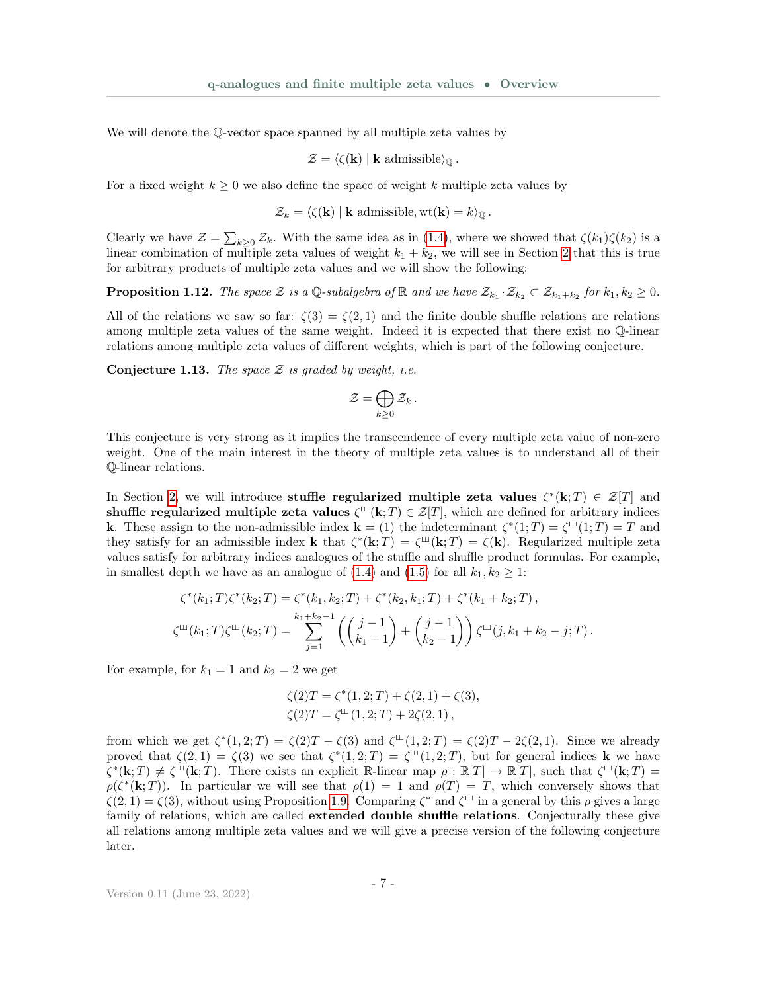We will denote the Q-vector space spanned by all multiple zeta values by

$$
\mathcal{Z} = \langle \zeta(\mathbf{k}) \mid \mathbf{k} \text{ admissible} \rangle_{\mathbb{Q}}.
$$

For a fixed weight  $k \geq 0$  we also define the space of weight k multiple zeta values by

$$
\mathcal{Z}_k = \langle \zeta(\mathbf{k}) \mid \mathbf{k} \text{ admissible}, \mathrm{wt}(\mathbf{k}) = k \rangle_{\mathbb{Q}}.
$$

Clearly we have  $\mathcal{Z} = \sum_{k\geq 0} \mathcal{Z}_k$ . With the same idea as in [\(1.4\)](#page-5-1), where we showed that  $\zeta(k_1)\zeta(k_2)$  is a linear combination of multiple zeta values of weight  $k_1 + k_2$ , we will see in Section [2](#page-18-0) that this is true for arbitrary products of multiple zeta values and we will show the following:

<span id="page-6-1"></span>**Proposition 1.12.** The space Z is a Q-subalgebra of R and we have  $\mathcal{Z}_{k_1} \cdot \mathcal{Z}_{k_2} \subset \mathcal{Z}_{k_1+k_2}$  for  $k_1, k_2 \geq 0$ .

All of the relations we saw so far:  $\zeta(3) = \zeta(2,1)$  and the finite double shuffle relations are relations among multiple zeta values of the same weight. Indeed it is expected that there exist no Q-linear relations among multiple zeta values of different weights, which is part of the following conjecture.

<span id="page-6-0"></span>**Conjecture 1.13.** The space  $Z$  is graded by weight, i.e.

$$
\mathcal{Z}=\bigoplus_{k\geq 0}\mathcal{Z}_k\,.
$$

This conjecture is very strong as it implies the transcendence of every multiple zeta value of non-zero weight. One of the main interest in the theory of multiple zeta values is to understand all of their Q-linear relations.

In Section [2,](#page-18-0) we will introduce stuffle regularized multiple zeta values  $\zeta^*(\mathbf{k};T) \in \mathcal{Z}[T]$  and shuffle regularized multiple zeta values  $\zeta^{\text{III}}(k;T) \in \mathcal{Z}[T]$ , which are defined for arbitrary indices **k**. These assign to the non-admissible index  $\mathbf{k} = (1)$  the indeterminant  $\zeta^*(1;T) = \zeta^{\perp\perp}(1;T) = T$  and they satisfy for an admissible index **k** that  $\zeta^*(\mathbf{k};T) = \zeta(\mathbf{k};T) = \zeta(\mathbf{k})$ . Regularized multiple zeta values satisfy for arbitrary indices analogues of the stuffle and shuffle product formulas. For example, in smallest depth we have as an analogue of [\(1.4\)](#page-5-1) and [\(1.5\)](#page-5-0) for all  $k_1, k_2 \geq 1$ :

$$
\zeta^*(k_1;T)\zeta^*(k_2;T) = \zeta^*(k_1,k_2;T) + \zeta^*(k_2,k_1;T) + \zeta^*(k_1+k_2;T),
$$
  

$$
\zeta^{\mathfrak{U}}(k_1;T)\zeta^{\mathfrak{U}}(k_2;T) = \sum_{j=1}^{k_1+k_2-1} \left( \binom{j-1}{k_1-1} + \binom{j-1}{k_2-1} \right) \zeta^{\mathfrak{U}}(j,k_1+k_2-j;T).
$$

For example, for  $k_1 = 1$  and  $k_2 = 2$  we get

$$
\zeta(2)T = \zeta^*(1,2;T) + \zeta(2,1) + \zeta(3), \n\zeta(2)T = \zeta^{\text{III}}(1,2;T) + 2\zeta(2,1),
$$

from which we get  $\zeta^*(1,2;T) = \zeta(2)T - \zeta(3)$  and  $\zeta^{\mu}(1,2;T) = \zeta(2)T - 2\zeta(2,1)$ . Since we already proved that  $\zeta(2,1) = \zeta(3)$  we see that  $\zeta^*(1,2;T) = \zeta^{\perp\!\!\!\perp}(1,2;T)$ , but for general indices **k** we have  $\zeta^*(\mathbf{k};T) \neq \zeta^{\perp}(\mathbf{k};T)$ . There exists an explicit R-linear map  $\rho : \mathbb{R}[T] \to \mathbb{R}[T]$ , such that  $\zeta^{\perp}(\mathbf{k};T) =$  $\rho(\zeta^*(\mathbf{k};T))$ . In particular we will see that  $\rho(1) = 1$  and  $\rho(T) = T$ , which conversely shows that  $\zeta(2,1) = \zeta(3)$ , without using Proposition [1.9.](#page-4-0) Comparing  $\zeta^*$  and  $\zeta^{\perp\!\!\perp}$  in a general by this  $\rho$  gives a large family of relations, which are called **extended double shuffle relations**. Conjecturally these give all relations among multiple zeta values and we will give a precise version of the following conjecture later.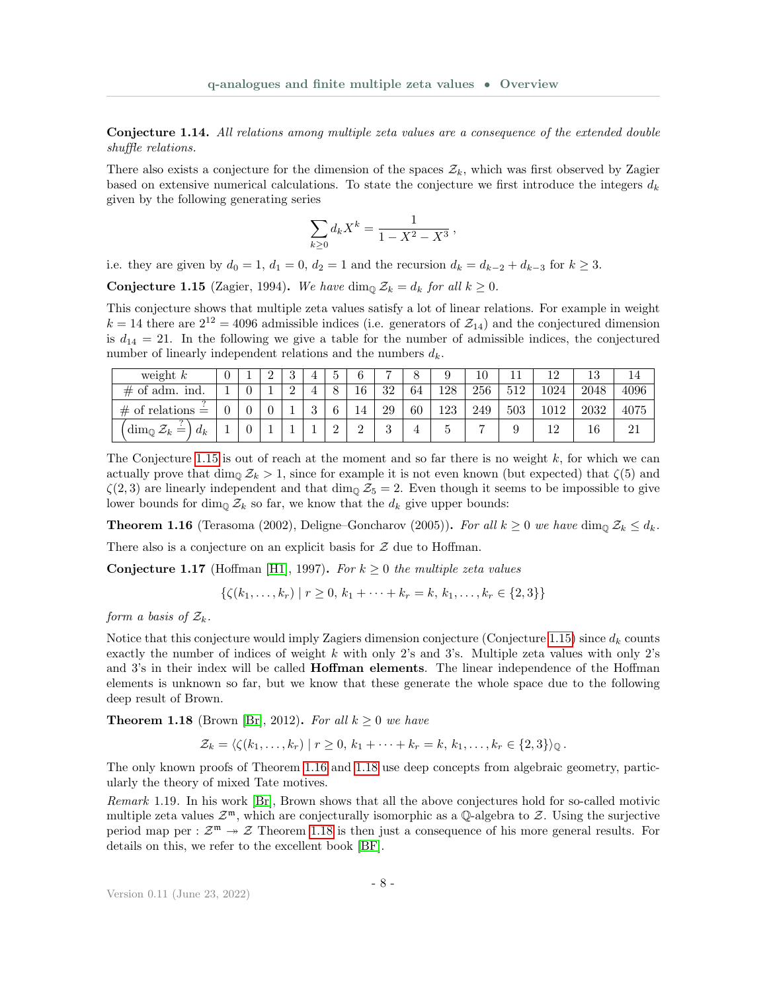Conjecture 1.14. All relations among multiple zeta values are a consequence of the extended double shuffle relations.

There also exists a conjecture for the dimension of the spaces  $\mathcal{Z}_k$ , which was first observed by Zagier based on extensive numerical calculations. To state the conjecture we first introduce the integers  $d_k$ given by the following generating series

$$
\sum_{k\geq 0} d_k X^k = \frac{1}{1-X^2-X^3} \,,
$$

i.e. they are given by  $d_0 = 1$ ,  $d_1 = 0$ ,  $d_2 = 1$  and the recursion  $d_k = d_{k-2} + d_{k-3}$  for  $k \geq 3$ .

<span id="page-7-1"></span>**Conjecture 1.15** (Zagier, 1994). We have dim<sub>Q</sub>  $\mathcal{Z}_k = d_k$  for all  $k \geq 0$ .

This conjecture shows that multiple zeta values satisfy a lot of linear relations. For example in weight  $k = 14$  there are  $2^{12} = 4096$  admissible indices (i.e. generators of  $\mathcal{Z}_{14}$ ) and the conjectured dimension is  $d_{14} = 21$ . In the following we give a table for the number of admissible indices, the conjectured number of linearly independent relations and the numbers  $d_k$ .

| weight $k$                                   |  |  |          |   |          | -             |    |     |     |     |      | 13   | 14   |
|----------------------------------------------|--|--|----------|---|----------|---------------|----|-----|-----|-----|------|------|------|
| $\#$ of adm. ind.                            |  |  |          |   | 16       | 32            | 64 | 128 | 256 | 512 | 1024 | 2048 | 4096 |
| $\#$ of relations =                          |  |  | $\Omega$ | ◠ | 14       | 29            | 60 | 123 | 249 | 503 |      | 2032 | 4075 |
| $\dim_{\mathbb{Q}} \mathcal{Z}_k =$<br>$d_k$ |  |  |          |   | $\Omega$ | $\Omega$<br>◡ |    | G   |     |     |      | 16   | 21   |

The Conjecture [1.15](#page-7-1) is out of reach at the moment and so far there is no weight k, for which we can actually prove that dim<sub>0</sub>  $\mathcal{Z}_k > 1$ , since for example it is not even known (but expected) that  $\zeta(5)$  and  $\zeta(2,3)$  are linearly independent and that dim<sub>Q</sub>  $\mathcal{Z}_5 = 2$ . Even though it seems to be impossible to give lower bounds for dim<sub>Q</sub>  $\mathcal{Z}_k$  so far, we know that the  $d_k$  give upper bounds:

<span id="page-7-2"></span>**Theorem 1.16** (Terasoma (2002), Deligne–Goncharov (2005)). For all  $k \geq 0$  we have dim<sub>Q</sub>  $\mathcal{Z}_k \leq d_k$ .

There also is a conjecture on an explicit basis for  $\mathcal Z$  due to Hoffman.

<span id="page-7-4"></span>**Conjecture 1.17** (Hoffman [\[H1\]](#page-36-5), 1997). For  $k \geq 0$  the multiple zeta values

 $\{\zeta(k_1,\ldots,k_r) \mid r \geq 0, k_1+\cdots+k_r = k, k_1,\ldots,k_r \in \{2,3\}\}\$ 

form a basis of  $\mathcal{Z}_k$ .

Notice that this conjecture would imply Zagiers dimension conjecture (Conjecture [1.15\)](#page-7-1) since  $d_k$  counts exactly the number of indices of weight  $k$  with only 2's and 3's. Multiple zeta values with only 2's and 3's in their index will be called **Hoffman elements**. The linear independence of the Hoffman elements is unknown so far, but we know that these generate the whole space due to the following deep result of Brown.

<span id="page-7-3"></span>**Theorem 1.18** (Brown [\[Br\]](#page-36-6), 2012). For all  $k \geq 0$  we have

$$
\mathcal{Z}_k = \langle \zeta(k_1,\ldots,k_r) \mid r \geq 0, k_1+\cdots+k_r = k, k_1,\ldots,k_r \in \{2,3\} \rangle_{\mathbb{Q}}.
$$

The only known proofs of Theorem [1.16](#page-7-2) and [1.18](#page-7-3) use deep concepts from algebraic geometry, particularly the theory of mixed Tate motives.

<span id="page-7-0"></span>Remark 1.19. In his work [\[Br\]](#page-36-6), Brown shows that all the above conjectures hold for so-called motivic multiple zeta values  $\mathcal{Z}^{\mathfrak{m}}$ , which are conjecturally isomorphic as a Q-algebra to  $\mathcal{Z}$ . Using the surjective period map per :  $\mathcal{Z}^m \to \mathcal{Z}$  Theorem [1.18](#page-7-3) is then just a consequence of his more general results. For details on this, we refer to the excellent book [\[BF\]](#page-36-4).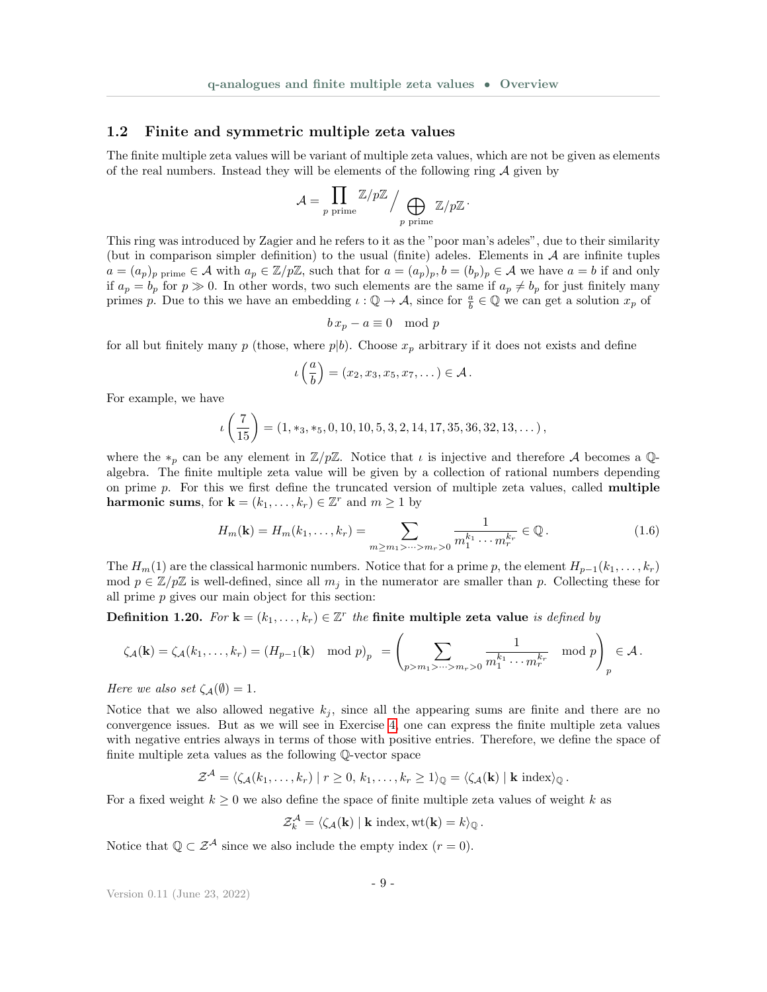#### 1.2 Finite and symmetric multiple zeta values

The finite multiple zeta values will be variant of multiple zeta values, which are not be given as elements of the real numbers. Instead they will be elements of the following ring  $A$  given by

$$
\mathcal{A} = \prod_{p \text{ prime}} \mathbb{Z}/p\mathbb{Z} \Big/ \bigoplus_{p \text{ prime}} \mathbb{Z}/p\mathbb{Z} \, \cdot
$$

This ring was introduced by Zagier and he refers to it as the "poor man's adeles", due to their similarity (but in comparison simpler definition) to the usual (finite) adeles. Elements in  $\mathcal A$  are infinite tuples  $a = (a_p)_p$  prime  $\in \mathcal{A}$  with  $a_p \in \mathbb{Z}/p\mathbb{Z}$ , such that for  $a = (a_p)_p$ ,  $b = (b_p)_p \in \mathcal{A}$  we have  $a = b$  if and only if  $a_p = b_p$  for  $p \gg 0$ . In other words, two such elements are the same if  $a_p \neq b_p$  for just finitely many primes p. Due to this we have an embedding  $\iota : \mathbb{Q} \to \mathcal{A}$ , since for  $\frac{a}{b} \in \mathbb{Q}$  we can get a solution  $x_p$  of

$$
b\,x_p - a \equiv 0 \mod p
$$

for all but finitely many p (those, where  $p|b$ ). Choose  $x_p$  arbitrary if it does not exists and define

$$
\iota\left(\frac{a}{b}\right)=(x_2,x_3,x_5,x_7,\dots)\in\mathcal{A}.
$$

For example, we have

$$
\iota\left(\frac{7}{15}\right) = (1, *_3, *_5, 0, 10, 10, 5, 3, 2, 14, 17, 35, 36, 32, 13, \dots),
$$

where the  $*_p$  can be any element in  $\mathbb{Z}/p\mathbb{Z}$ . Notice that  $\iota$  is injective and therefore A becomes a Qalgebra. The finite multiple zeta value will be given by a collection of rational numbers depending on prime  $p$ . For this we first define the truncated version of multiple zeta values, called **multiple harmonic sums**, for  $\mathbf{k} = (k_1, \dots, k_r) \in \mathbb{Z}^r$  and  $m \ge 1$  by

$$
H_m(\mathbf{k}) = H_m(k_1, \dots, k_r) = \sum_{m \ge m_1 > \dots > m_r > 0} \frac{1}{m_1^{k_1} \cdots m_r^{k_r}} \in \mathbb{Q}.
$$
 (1.6)

The  $H_m(1)$  are the classical harmonic numbers. Notice that for a prime p, the element  $H_{p-1}(k_1, \ldots, k_r)$ mod  $p \in \mathbb{Z}/p\mathbb{Z}$  is well-defined, since all  $m_j$  in the numerator are smaller than p. Collecting these for all prime p gives our main object for this section:

Definition 1.20. For  $\mathbf{k} = (k_1, \ldots, k_r) \in \mathbb{Z}^r$  the finite multiple zeta value is defined by

$$
\zeta_{\mathcal{A}}(\mathbf{k}) = \zeta_{\mathcal{A}}(k_1,\ldots,k_r) = (H_{p-1}(\mathbf{k}) \mod p)_p = \left(\sum_{p>m_1>\cdots>m_r>0} \frac{1}{m_1^{k_1}\cdots m_r^{k_r}} \mod p\right)_p \in \mathcal{A}.
$$

Here we also set  $\zeta_{\mathcal{A}}(\emptyset) = 1$ .

Notice that we also allowed negative  $k_j$ , since all the appearing sums are finite and there are no convergence issues. But as we will see in Exercise [4,](#page-34-0) one can express the finite multiple zeta values with negative entries always in terms of those with positive entries. Therefore, we define the space of finite multiple zeta values as the following Q-vector space

$$
\mathcal{Z}^{\mathcal{A}} = \langle \zeta_{\mathcal{A}}(k_1, \ldots, k_r) \mid r \geq 0, k_1, \ldots, k_r \geq 1 \rangle_{\mathbb{Q}} = \langle \zeta_{\mathcal{A}}(\mathbf{k}) \mid \mathbf{k} \text{ index} \rangle_{\mathbb{Q}}.
$$

For a fixed weight  $k \geq 0$  we also define the space of finite multiple zeta values of weight k as

$$
\mathcal{Z}_k^{\mathcal{A}} = \langle \zeta_{\mathcal{A}}(\mathbf{k}) \mid \mathbf{k} \text{ index}, \mathrm{wt}(\mathbf{k}) = k \rangle_{\mathbb{Q}}.
$$

Notice that  $\mathbb{Q} \subset \mathcal{Z}^{\mathcal{A}}$  since we also include the empty index  $(r = 0)$ .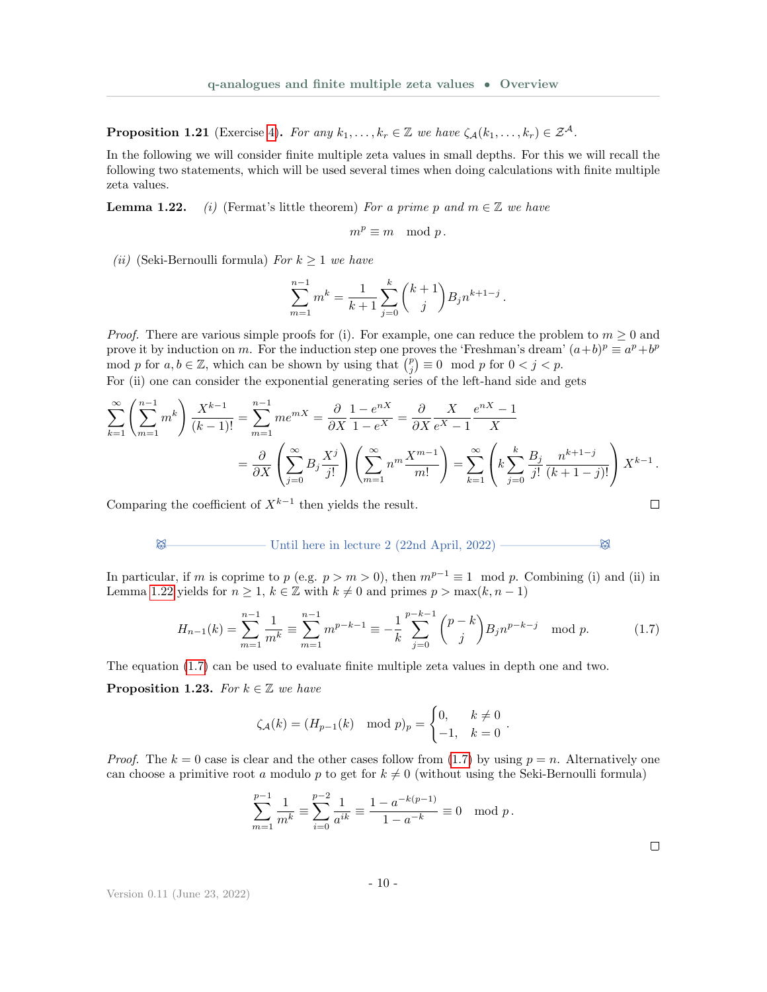**Proposition 1.21** (Exercise [4\)](#page-34-0). For any  $k_1, \ldots, k_r \in \mathbb{Z}$  we have  $\zeta_{\mathcal{A}}(k_1, \ldots, k_r) \in \mathcal{Z}^{\mathcal{A}}$ .

In the following we will consider finite multiple zeta values in small depths. For this we will recall the following two statements, which will be used several times when doing calculations with finite multiple zeta values.

**Lemma 1.22.** (i) (Fermat's little theorem) For a prime p and  $m \in \mathbb{Z}$  we have

$$
m^p \equiv m \mod p \, .
$$

(*ii*) (Seki-Bernoulli formula) For  $k \geq 1$  we have

$$
\sum_{m=1}^{n-1} m^k = \frac{1}{k+1} \sum_{j=0}^k \binom{k+1}{j} B_j n^{k+1-j}.
$$

*Proof.* There are various simple proofs for (i). For example, one can reduce the problem to  $m \geq 0$  and prove it by induction on m. For the induction step one proves the 'Freshman's dream'  $(a+b)^p \equiv a^p + b^p$ mod p for  $a, b \in \mathbb{Z}$ , which can be shown by using that  $\binom{p}{j} \equiv 0 \mod p$  for  $0 < j < p$ .

For (ii) one can consider the exponential generating series of the left-hand side and gets

$$
\sum_{k=1}^{\infty} \left( \sum_{m=1}^{n-1} m^k \right) \frac{X^{k-1}}{(k-1)!} = \sum_{m=1}^{n-1} m e^{mX} = \frac{\partial}{\partial X} \frac{1 - e^{nX}}{1 - e^X} = \frac{\partial}{\partial X} \frac{X}{e^X - 1} \frac{e^{nX} - 1}{X}
$$

$$
= \frac{\partial}{\partial X} \left( \sum_{j=0}^{\infty} B_j \frac{X^j}{j!} \right) \left( \sum_{m=1}^{\infty} n^m \frac{X^{m-1}}{m!} \right) = \sum_{k=1}^{\infty} \left( k \sum_{j=0}^{k} \frac{B_j}{j!} \frac{n^{k+1-j}}{(k+1-j)!} \right) X^{k-1}.
$$
  
Comparing the coefficient of  $X^{k-1}$  then yields the result.

Comparing the coefficient of  $X^{k-1}$  then yields the result.

### $\boxtimes$  Until here in lecture 2 (22nd April, 2022) —————————————

In particular, if m is coprime to p (e.g.  $p > m > 0$ ), then  $m^{p-1} \equiv 1 \mod p$ . Combining (i) and (ii) in Lemma [1.22](#page-0-0) yields for  $n \geq 1$ ,  $k \in \mathbb{Z}$  with  $k \neq 0$  and primes  $p > \max(k, n - 1)$ 

$$
H_{n-1}(k) = \sum_{m=1}^{n-1} \frac{1}{m^k} \equiv \sum_{m=1}^{n-1} m^{p-k-1} \equiv -\frac{1}{k} \sum_{j=0}^{p-k-1} {p-k \choose j} B_j n^{p-k-j} \mod p.
$$
 (1.7)

The equation [\(1.7\)](#page-9-0) can be used to evaluate finite multiple zeta values in depth one and two.

<span id="page-9-1"></span>**Proposition 1.23.** For  $k \in \mathbb{Z}$  we have

$$
\zeta_{\mathcal{A}}(k) = (H_{p-1}(k) \mod p)_p = \begin{cases} 0, & k \neq 0 \\ -1, & k = 0 \end{cases}
$$
.

*Proof.* The  $k = 0$  case is clear and the other cases follow from [\(1.7\)](#page-9-0) by using  $p = n$ . Alternatively one can choose a primitive root a modulo p to get for  $k \neq 0$  (without using the Seki-Bernoulli formula)

$$
\sum_{m=1}^{p-1} \frac{1}{m^k} \equiv \sum_{i=0}^{p-2} \frac{1}{a^{ik}} \equiv \frac{1 - a^{-k(p-1)}}{1 - a^{-k}} \equiv 0 \mod p.
$$

<span id="page-9-0"></span> $\Box$ 

Version 0.11 (June 23, 2022)

- 10 -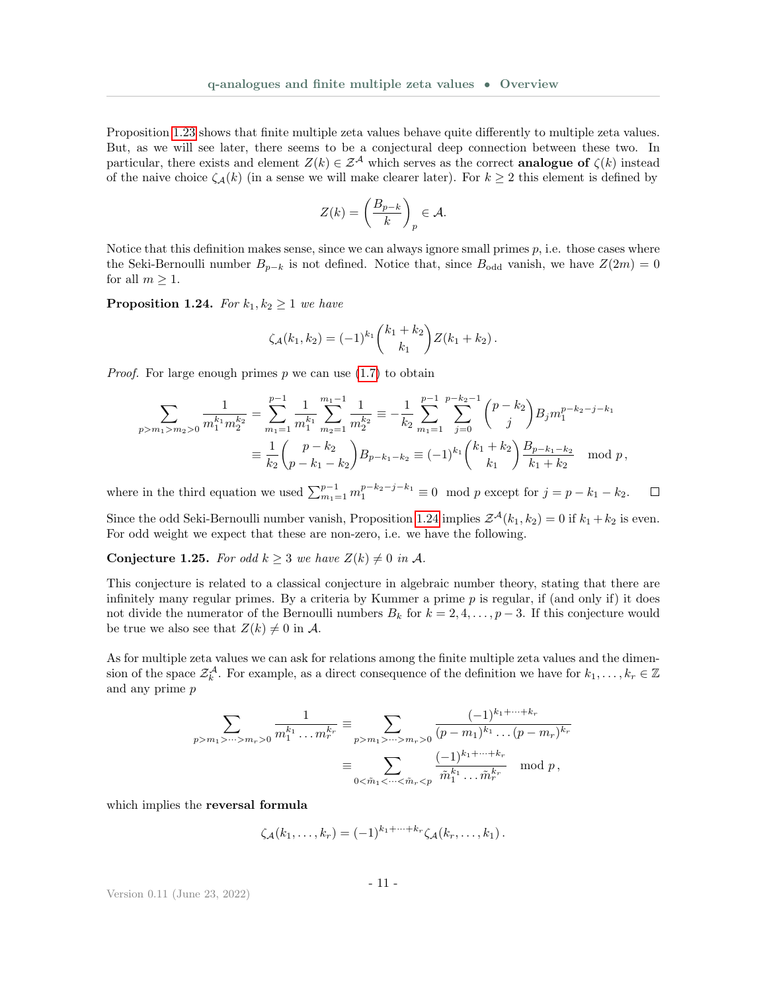Proposition [1.23](#page-9-1) shows that finite multiple zeta values behave quite differently to multiple zeta values. But, as we will see later, there seems to be a conjectural deep connection between these two. In particular, there exists and element  $Z(k) \in \mathcal{Z}^{\mathcal{A}}$  which serves as the correct **analogue of**  $\zeta(k)$  instead of the naive choice  $\zeta_{\mathcal{A}}(k)$  (in a sense we will make clearer later). For  $k \geq 2$  this element is defined by

$$
Z(k) = \left(\frac{B_{p-k}}{k}\right)_p \in \mathcal{A}.
$$

Notice that this definition makes sense, since we can always ignore small primes  $p$ , i.e. those cases where the Seki-Bernoulli number  $B_{p-k}$  is not defined. Notice that, since  $B_{odd}$  vanish, we have  $Z(2m) = 0$ for all  $m \geq 1$ .

<span id="page-10-0"></span>**Proposition 1.24.** For  $k_1, k_2 \geq 1$  we have

$$
\zeta_{\mathcal{A}}(k_1,k_2) = (-1)^{k_1} \binom{k_1+k_2}{k_1} Z(k_1+k_2).
$$

*Proof.* For large enough primes  $p$  we can use  $(1.7)$  to obtain

$$
\sum_{p>m_1>m_2>0} \frac{1}{m_1^{k_1} m_2^{k_2}} = \sum_{m_1=1}^{p-1} \frac{1}{m_1^{k_1}} \sum_{m_2=1}^{m_1-1} \frac{1}{m_2^{k_2}} = -\frac{1}{k_2} \sum_{m_1=1}^{p-1} \sum_{j=0}^{p-k_2-1} {p-k_2 \choose j} B_j m_1^{p-k_2-j-k_1}
$$
  

$$
\equiv \frac{1}{k_2} {p-k_2 \choose p-k_1-k_2} B_{p-k_1-k_2} \equiv (-1)^{k_1} {k_1+k_2 \choose k_1} \frac{B_{p-k_1-k_2}}{k_1+k_2} \mod p,
$$

where in the third equation we used  $\sum_{m_1=1}^{p-1} m_1^{p-k_2-j-k_1} \equiv 0 \mod p$  except for  $j = p - k_1 - k_2$ .  $\Box$ 

Since the odd Seki-Bernoulli number vanish, Proposition [1.24](#page-10-0) implies  $\mathcal{Z}^{\mathcal{A}}(k_1,k_2) = 0$  if  $k_1 + k_2$  is even. For odd weight we expect that these are non-zero, i.e. we have the following.

**Conjecture 1.25.** For odd  $k \geq 3$  we have  $Z(k) \neq 0$  in A.

This conjecture is related to a classical conjecture in algebraic number theory, stating that there are infinitely many regular primes. By a criteria by Kummer a prime  $p$  is regular, if (and only if) it does not divide the numerator of the Bernoulli numbers  $B_k$  for  $k = 2, 4, \ldots, p-3$ . If this conjecture would be true we also see that  $Z(k) \neq 0$  in A.

As for multiple zeta values we can ask for relations among the finite multiple zeta values and the dimension of the space  $\mathcal{Z}_k^{\mathcal{A}}$ . For example, as a direct consequence of the definition we have for  $k_1,\ldots,k_r\in\mathbb{Z}$ and any prime p

$$
\sum_{p > m_1 > \dots > m_r > 0} \frac{1}{m_1^{k_1} \dots m_r^{k_r}} \equiv \sum_{p > m_1 > \dots > m_r > 0} \frac{(-1)^{k_1 + \dots + k_r}}{(p - m_1)^{k_1} \dots (p - m_r)^{k_r}}
$$

$$
\equiv \sum_{0 < \tilde{m}_1 < \dots < \tilde{m}_r < p} \frac{(-1)^{k_1 + \dots + k_r}}{\tilde{m}_1^{k_1} \dots \tilde{m}_r^{k_r}} \mod p,
$$

which implies the reversal formula

$$
\zeta_{\mathcal{A}}(k_1,\ldots,k_r)=(-1)^{k_1+\cdots+k_r}\zeta_{\mathcal{A}}(k_r,\ldots,k_1).
$$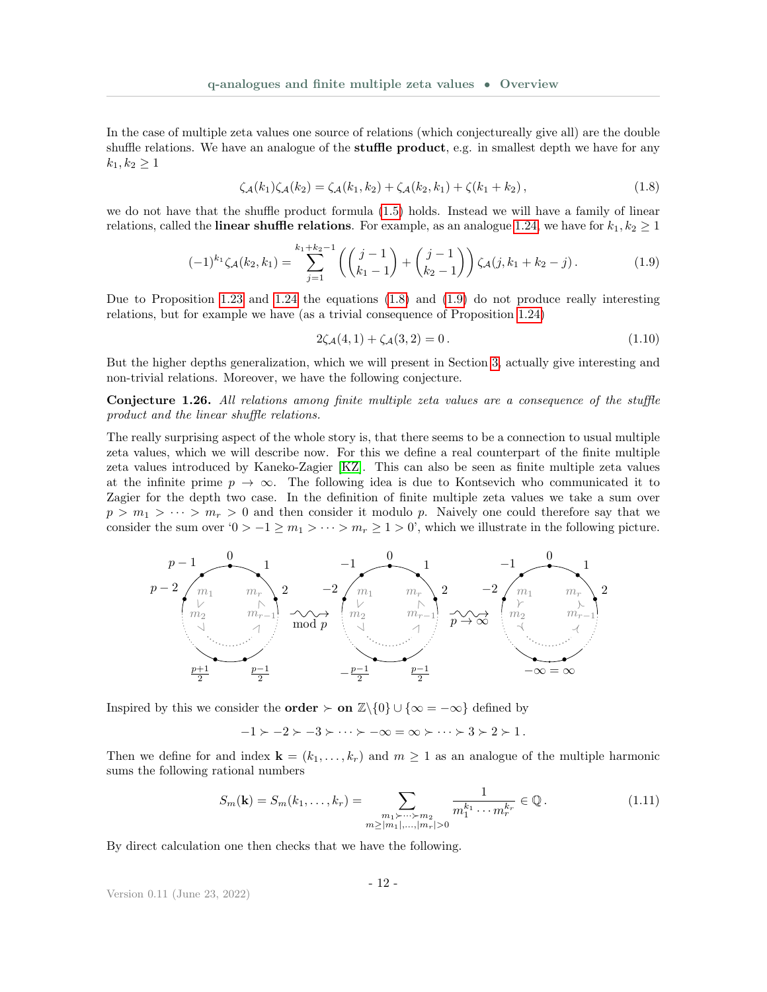In the case of multiple zeta values one source of relations (which conjectureally give all) are the double shuffle relations. We have an analogue of the stuffle product, e.g. in smallest depth we have for any  $k_1, k_2 \geq 1$ 

$$
\zeta_{\mathcal{A}}(k_1)\zeta_{\mathcal{A}}(k_2) = \zeta_{\mathcal{A}}(k_1, k_2) + \zeta_{\mathcal{A}}(k_2, k_1) + \zeta(k_1 + k_2),\tag{1.8}
$$

we do not have that the shuffle product formula [\(1.5\)](#page-5-0) holds. Instead we will have a family of linear relations, called the **linear shuffle relations**. For example, as an analogue [1.24,](#page-10-0) we have for  $k_1, k_2 \ge 1$ 

$$
(-1)^{k_1} \zeta_{\mathcal{A}}(k_2, k_1) = \sum_{j=1}^{k_1 + k_2 - 1} \left( \binom{j-1}{k_1 - 1} + \binom{j-1}{k_2 - 1} \right) \zeta_{\mathcal{A}}(j, k_1 + k_2 - j).
$$
 (1.9)

Due to Proposition [1.23](#page-9-1) and [1.24](#page-10-0) the equations [\(1.8\)](#page-11-0) and [\(1.9\)](#page-11-1) do not produce really interesting relations, but for example we have (as a trivial consequence of Proposition [1.24\)](#page-10-0)

<span id="page-11-2"></span><span id="page-11-1"></span><span id="page-11-0"></span>
$$
2\zeta_{\mathcal{A}}(4,1) + \zeta_{\mathcal{A}}(3,2) = 0. \tag{1.10}
$$

But the higher depths generalization, which we will present in Section [3,](#page-33-0) actually give interesting and non-trivial relations. Moreover, we have the following conjecture.

Conjecture 1.26. All relations among finite multiple zeta values are a consequence of the stuffle product and the linear shuffle relations.

The really surprising aspect of the whole story is, that there seems to be a connection to usual multiple zeta values, which we will describe now. For this we define a real counterpart of the finite multiple zeta values introduced by Kaneko-Zagier [\[KZ\]](#page-36-7). This can also be seen as finite multiple zeta values at the infinite prime  $p \to \infty$ . The following idea is due to Kontsevich who communicated it to Zagier for the depth two case. In the definition of finite multiple zeta values we take a sum over  $p > m_1 > \cdots > m_r > 0$  and then consider it modulo p. Naively one could therefore say that we consider the sum over '0 >  $-1 \ge m_1 > \cdots > m_r \ge 1 > 0$ ', which we illustrate in the following picture.



Inspired by this we consider the **order**  $\succ$  **on**  $\mathbb{Z}\backslash\{0\} \cup \{\infty = -\infty\}$  defined by

 $-1 \succ -2 \succ -3 \succ \cdots \succ -\infty = \infty \succ \cdots \succ 3 \succ 2 \succ 1$ .

Then we define for and index  $\mathbf{k} = (k_1, \ldots, k_r)$  and  $m \ge 1$  as an analogue of the multiple harmonic sums the following rational numbers

$$
S_m(\mathbf{k}) = S_m(k_1, \dots, k_r) = \sum_{\substack{m_1 > \dots > m_2 \\ m \ge |m_1|, \dots, |m_r| > 0}} \frac{1}{m_1^{k_1} \cdots m_r^{k_r}} \in \mathbb{Q}.
$$
 (1.11)

By direct calculation one then checks that we have the following.

Version 0.11 (June 23, 2022)

<span id="page-11-3"></span>- 12 -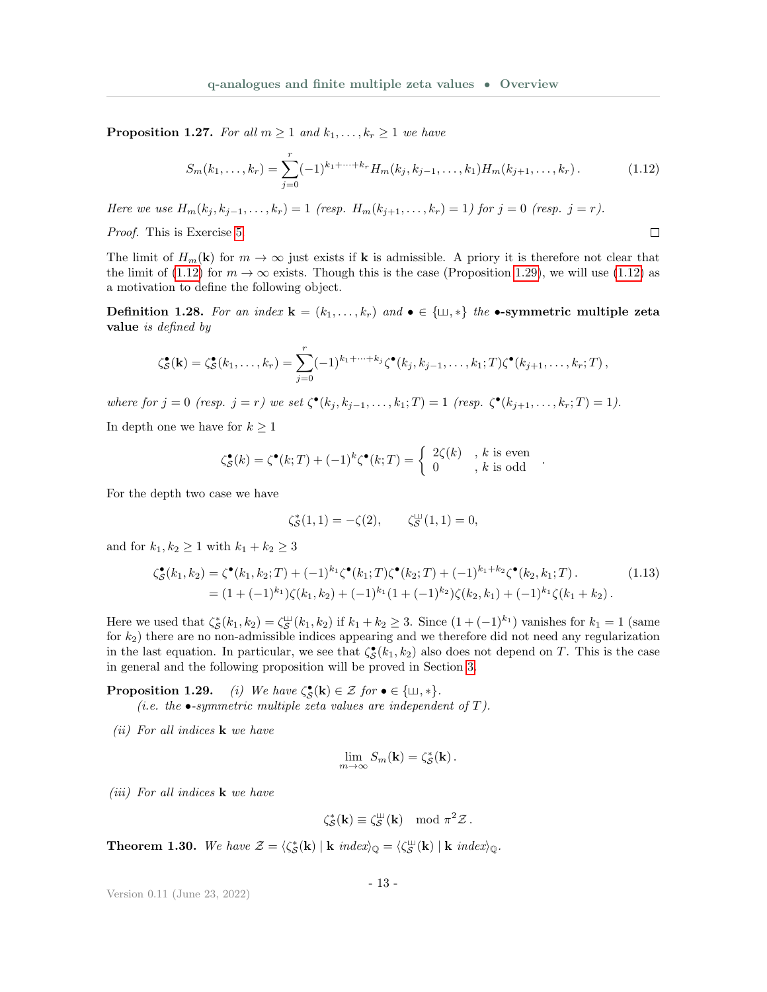**Proposition 1.27.** For all  $m \geq 1$  and  $k_1, \ldots, k_r \geq 1$  we have

$$
S_m(k_1,\ldots,k_r) = \sum_{j=0}^r (-1)^{k_1+\cdots+k_r} H_m(k_j,k_{j-1},\ldots,k_1) H_m(k_{j+1},\ldots,k_r).
$$
 (1.12)

<span id="page-12-2"></span><span id="page-12-0"></span> $\Box$ 

Here we use  $H_m(k_i, k_{i-1}, \ldots, k_r) = 1$  (resp.  $H_m(k_{i+1}, \ldots, k_r) = 1$ ) for  $j = 0$  (resp.  $j = r$ ).

Proof. This is Exercise [5.](#page-34-1)

The limit of  $H_m(\mathbf{k})$  for  $m \to \infty$  just exists if **k** is admissible. A priory it is therefore not clear that the limit of [\(1.12\)](#page-12-0) for  $m \to \infty$  exists. Though this is the case (Proposition [1.29\)](#page-0-0), we will use (1.12) as a motivation to define the following object.

Definition 1.28. For an index  $\mathbf{k} = (k_1, \ldots, k_r)$  and  $\bullet \in \{\perp, \parallel \parallel \parallel \parallel \parallel \bullet \text{-symmetric multiple zeta}$ value is defined by

$$
\zeta_{\mathcal{S}}^{\bullet}(\mathbf{k})=\zeta_{\mathcal{S}}^{\bullet}(k_1,\ldots,k_r)=\sum_{j=0}^r(-1)^{k_1+\cdots+k_j}\zeta^{\bullet}(k_j,k_{j-1},\ldots,k_1;T)\zeta^{\bullet}(k_{j+1},\ldots,k_r;T)\,,
$$

where for  $j = 0$  (resp.  $j = r$ ) we set  $\zeta^{\bullet}(k_j, k_{j-1}, \ldots, k_1; T) = 1$  (resp.  $\zeta^{\bullet}(k_{j+1}, \ldots, k_r; T) = 1$ ).

In depth one we have for  $k \geq 1$ 

$$
\zeta_{\mathcal{S}}^{\bullet}(k) = \zeta^{\bullet}(k;T) + (-1)^{k} \zeta^{\bullet}(k;T) = \begin{cases} 2\zeta(k) & , k \text{ is even} \\ 0 & , k \text{ is odd} \end{cases}.
$$

For the depth two case we have

$$
\zeta_{\mathcal{S}}^*(1,1) = -\zeta(2), \qquad \zeta_{\mathcal{S}}^{\perp\!\!\!\perp}(1,1) = 0,
$$

and for  $k_1, k_2 \ge 1$  with  $k_1 + k_2 \ge 3$ 

$$
\begin{split} \zeta_{\mathcal{S}}^{\bullet}(k_{1},k_{2}) &= \zeta^{\bullet}(k_{1},k_{2};T) + (-1)^{k_{1}} \zeta^{\bullet}(k_{1};T) \zeta^{\bullet}(k_{2};T) + (-1)^{k_{1}+k_{2}} \zeta^{\bullet}(k_{2},k_{1};T). \end{split} \tag{1.13}
$$
\n
$$
= (1 + (-1)^{k_{1}}) \zeta(k_{1},k_{2}) + (-1)^{k_{1}} (1 + (-1)^{k_{2}}) \zeta(k_{2},k_{1}) + (-1)^{k_{1}} \zeta(k_{1}+k_{2}).
$$

Here we used that  $\zeta_{\mathcal{S}}^*(k_1,k_2) = \zeta_{\mathcal{S}}^{\perp\perp}(k_1,k_2)$  if  $k_1 + k_2 \geq 3$ . Since  $(1 + (-1)^{k_1})$  vanishes for  $k_1 = 1$  (same for  $k_2$ ) there are no non-admissible indices appearing and we therefore did not need any regularization in the last equation. In particular, we see that  $\zeta^{\bullet}_{\mathcal{S}}(k_1, k_2)$  also does not depend on T. This is the case in general and the following proposition will be proved in Section [3.](#page-33-0)

**Proposition 1.29.** (i) We have  $\zeta_{\mathcal{S}}^{\bullet}(\mathbf{k}) \in \mathcal{Z}$  for  $\bullet \in {\{\sqcup,\ast\}}$ . (*i.e. the*  $\bullet$ -symmetric multiple zeta values are independent of T).

(*ii*) For all indices  $\bf{k}$  we have

$$
\lim_{m\to\infty}S_m(\mathbf{k})=\zeta_{\mathcal{S}}^*(\mathbf{k}).
$$

(iii) For all indices  $\bf{k}$  we have

$$
\zeta_{\mathcal{S}}^*(\mathbf{k}) \equiv \zeta_{\mathcal{S}}^{\mathsf{L}\mathsf{L}}(\mathbf{k}) \mod \pi^2 \mathcal{Z}.
$$

<span id="page-12-1"></span>**Theorem 1.30.** We have  $\mathcal{Z} = \langle \zeta_{\mathcal{S}}^*(\mathbf{k}) | \mathbf{k} \text{ index} \rangle_{\mathbb{Q}} = \langle \zeta_{\mathcal{S}}^{\mathbb{U}}(\mathbf{k}) | \mathbf{k} \text{ index} \rangle_{\mathbb{Q}}.$ 

$$
-13
$$
 -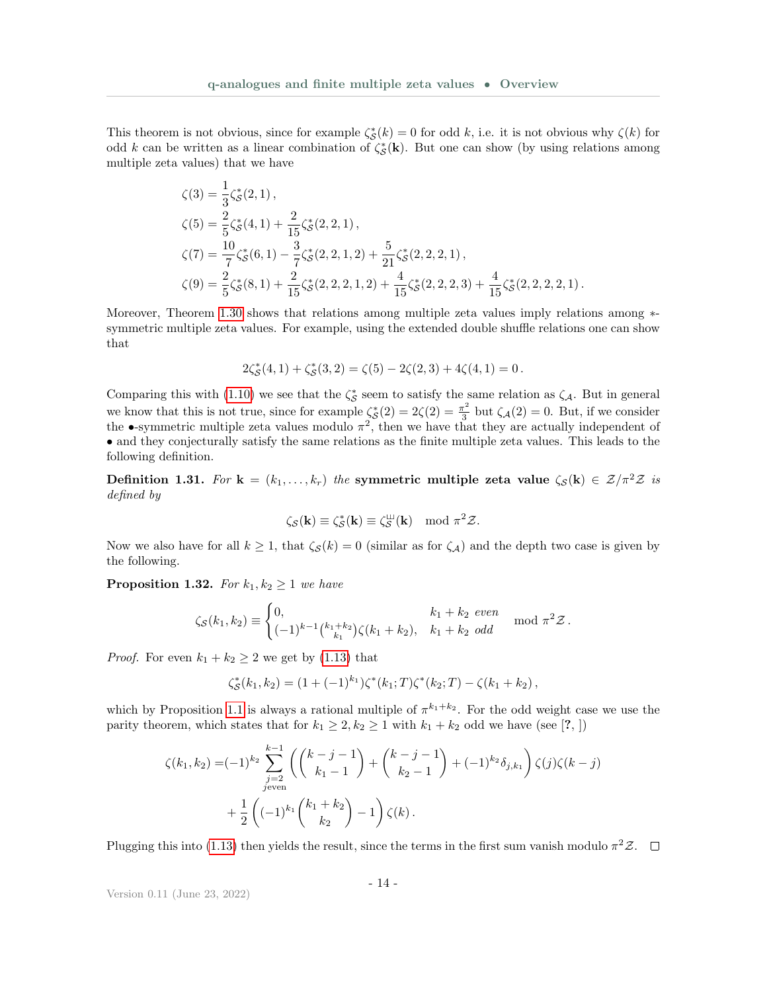This theorem is not obvious, since for example  $\zeta_{\mathcal{S}}^*(k) = 0$  for odd k, i.e. it is not obvious why  $\zeta(k)$  for odd k can be written as a linear combination of  $\zeta_{\mathcal{S}}^*(\mathbf{k})$ . But one can show (by using relations among multiple zeta values) that we have

$$
\begin{aligned}\n\zeta(3) &= \frac{1}{3}\zeta_{\mathcal{S}}^*(2,1)\,, \\
\zeta(5) &= \frac{2}{5}\zeta_{\mathcal{S}}^*(4,1) + \frac{2}{15}\zeta_{\mathcal{S}}^*(2,2,1)\,, \\
\zeta(7) &= \frac{10}{7}\zeta_{\mathcal{S}}^*(6,1) - \frac{3}{7}\zeta_{\mathcal{S}}^*(2,2,1,2) + \frac{5}{21}\zeta_{\mathcal{S}}^*(2,2,2,1)\,, \\
\zeta(9) &= \frac{2}{5}\zeta_{\mathcal{S}}^*(8,1) + \frac{2}{15}\zeta_{\mathcal{S}}^*(2,2,2,1,2) + \frac{4}{15}\zeta_{\mathcal{S}}^*(2,2,2,2,3) + \frac{4}{15}\zeta_{\mathcal{S}}^*(2,2,2,2,1)\,. \n\end{aligned}
$$

Moreover, Theorem [1.30](#page-12-1) shows that relations among multiple zeta values imply relations among ∗symmetric multiple zeta values. For example, using the extended double shuffle relations one can show that

$$
2\zeta_{\mathcal{S}}^*(4,1)+\zeta_{\mathcal{S}}^*(3,2)=\zeta(5)-2\zeta(2,3)+4\zeta(4,1)=0\,.
$$

Comparing this with [\(1.10\)](#page-11-2) we see that the  $\zeta^*_{\mathcal{S}}$  seem to satisfy the same relation as  $\zeta_{\mathcal{A}}$ . But in general we know that this is not true, since for example  $\zeta_{\mathcal{S}}^*(2) = 2\zeta(2) = \frac{\pi^2}{3}$  $\frac{\tau^2}{3}$  but  $\zeta_{\mathcal{A}}(2) = 0$ . But, if we consider the  $\bullet$ -symmetric multiple zeta values modulo  $\pi^2$ , then we have that they are actually independent of • and they conjecturally satisfy the same relations as the finite multiple zeta values. This leads to the following definition.

Definition 1.31. For  $\mathbf{k} = (k_1, \ldots, k_r)$  the symmetric multiple zeta value  $\zeta_{\mathcal{S}}(\mathbf{k}) \in \mathcal{Z}/\pi^2 \mathcal{Z}$  is defined by

$$
\zeta_{\mathcal{S}}(\mathbf{k}) \equiv \zeta_{\mathcal{S}}^*(\mathbf{k}) \equiv \zeta_{\mathcal{S}}^{\mathsf{LJ}}(\mathbf{k}) \mod \pi^2 \mathcal{Z}.
$$

Now we also have for all  $k \ge 1$ , that  $\zeta_{\mathcal{S}}(k) = 0$  (similar as for  $\zeta_{\mathcal{A}}$ ) and the depth two case is given by the following.

<span id="page-13-0"></span>**Proposition 1.32.** For  $k_1, k_2 \geq 1$  we have

$$
\zeta_{\mathcal{S}}(k_1,k_2) \equiv \begin{cases} 0, & k_1 + k_2 \text{ even} \\ (-1)^{k-1} \binom{k_1 + k_2}{k_1} \zeta(k_1 + k_2), & k_1 + k_2 \text{ odd} \end{cases} \mod \pi^2 \mathcal{Z}.
$$

*Proof.* For even  $k_1 + k_2 \geq 2$  we get by [\(1.13\)](#page-12-2) that

$$
\zeta_{\mathcal{S}}^*(k_1,k_2)=(1+(-1)^{k_1})\zeta^*(k_1;T)\zeta^*(k_2;T)-\zeta(k_1+k_2),
$$

which by Proposition [1.1](#page-2-3) is always a rational multiple of  $\pi^{k_1+k_2}$ . For the odd weight case we use the parity theorem, which states that for  $k_1 \geq 2, k_2 \geq 1$  with  $k_1 + k_2$  odd we have (see [?, ])

$$
\zeta(k_1, k_2) = (-1)^{k_2} \sum_{\substack{j=2 \ j \text{even}}}^{k-1} \left( \binom{k-j-1}{k_1-1} + \binom{k-j-1}{k_2-1} + (-1)^{k_2} \delta_{j,k_1} \right) \zeta(j) \zeta(k-j)
$$
  
+ 
$$
\frac{1}{2} \left( (-1)^{k_1} \binom{k_1+k_2}{k_2} - 1 \right) \zeta(k).
$$

Plugging this into [\(1.13\)](#page-12-2) then yields the result, since the terms in the first sum vanish modulo  $\pi^2 \mathcal{Z}$ .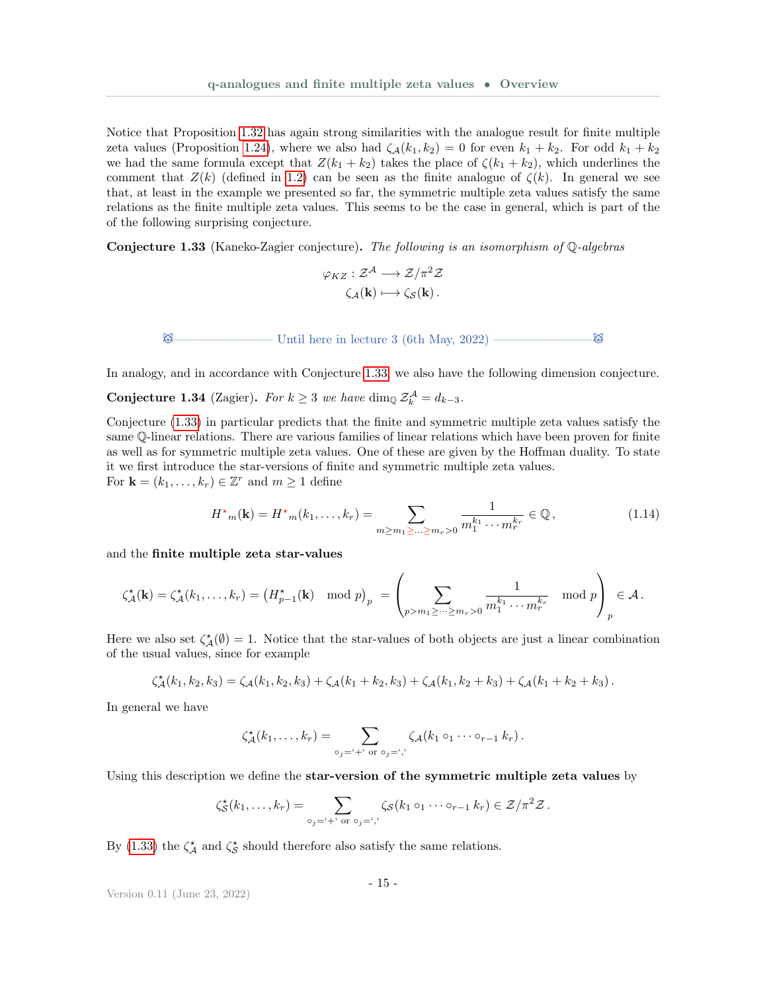Notice that Proposition [1.32](#page-13-0) has again strong similarities with the analogue result for finite multiple zeta values (Proposition [1.24\)](#page-10-0), where we also had  $\zeta_A(k_1, k_2) = 0$  for even  $k_1 + k_2$ . For odd  $k_1 + k_2$ we had the same formula except that  $Z(k_1 + k_2)$  takes the place of  $\zeta(k_1 + k_2)$ , which underlines the comment that  $Z(k)$  (defined in [1.2\)](#page-9-1) can be seen as the finite analogue of  $\zeta(k)$ . In general we see that, at least in the example we presented so far, the symmetric multiple zeta values satisfy the same relations as the finite multiple zeta values. This seems to be the case in general, which is part of the of the following surprising conjecture.

<span id="page-14-0"></span>**Conjecture 1.33** (Kaneko-Zagier conjecture). The following is an isomorphism of  $\mathbb{Q}$ -algebras

$$
\varphi_{KZ}: \mathcal{Z}^{\mathcal{A}} \longrightarrow \mathcal{Z}/\pi^2 \mathcal{Z}
$$

$$
\zeta_{\mathcal{A}}(\mathbf{k}) \longmapsto \zeta_{\mathcal{S}}(\mathbf{k}).
$$

 $\boxtimes$  Until here in lecture 3 (6th May, 2022) ————————————

In analogy, and in accordance with Conjecture [1.33,](#page-14-0) we also have the following dimension conjecture.

**Conjecture 1.34** (Zagier). For  $k \geq 3$  we have dim<sub>Q</sub>  $\mathcal{Z}_k^{\mathcal{A}} = d_{k-3}$ .

Conjecture [\(1.33\)](#page-14-0) in particular predicts that the finite and symmetric multiple zeta values satisfy the same Q-linear relations. There are various families of linear relations which have been proven for finite as well as for symmetric multiple zeta values. One of these are given by the Hoffman duality. To state it we first introduce the star-versions of finite and symmetric multiple zeta values. For  $\mathbf{k} = (k_1, \ldots, k_r) \in \mathbb{Z}^r$  and  $m \geq 1$  define

$$
H^{\star}{}_{m}(\mathbf{k}) = H^{\star}{}_{m}(k_{1},\ldots,k_{r}) = \sum_{m \geq m_{1} \geq \ldots \geq m_{r} > 0} \frac{1}{m_{1}^{k_{1}} \cdots m_{r}^{k_{r}}} \in \mathbb{Q},\tag{1.14}
$$

and the finite multiple zeta star-values

$$
\zeta_{\mathcal{A}}^{\star}(\mathbf{k}) = \zeta_{\mathcal{A}}^{\star}(k_1,\ldots,k_r) = \left(H_{p-1}^{\star}(\mathbf{k}) \mod p\right)_p = \left(\sum_{p>m_1 \geq \cdots \geq m_r > 0} \frac{1}{m_1^{k_1} \cdots m_r^{k_r}} \mod p\right)_p \in \mathcal{A}.
$$

Here we also set  $\zeta^*_{\mathcal{A}}(\emptyset) = 1$ . Notice that the star-values of both objects are just a linear combination of the usual values, since for example

$$
\zeta_{\mathcal{A}}^{\star}(k_1,k_2,k_3)=\zeta_{\mathcal{A}}(k_1,k_2,k_3)+\zeta_{\mathcal{A}}(k_1+k_2,k_3)+\zeta_{\mathcal{A}}(k_1,k_2+k_3)+\zeta_{\mathcal{A}}(k_1+k_2+k_3).
$$

In general we have

$$
\zeta_{\mathcal{A}}^{\star}(k_1,\ldots,k_r)=\sum_{\circ_j=\circ+\circ \text{ or }\circ_j=\circ,\circ} \zeta_{\mathcal{A}}(k_1\circ_1\cdots\circ_{r-1}k_r).
$$

Using this description we define the star-version of the symmetric multiple zeta values by

$$
\zeta_{\mathcal{S}}^{\star}(k_1,\ldots,k_r)=\sum_{\circ_j=\circ+\circ \text{ or }\circ_j=\circ,\circ} \zeta_{\mathcal{S}}(k_1\circ_1\cdots\circ_{r-1}k_r)\in\mathcal{Z}/\pi^2\mathcal{Z}.
$$

By [\(1.33\)](#page-14-0) the  $\zeta^*_{\mathcal{A}}$  and  $\zeta^*_{\mathcal{S}}$  should therefore also satisfy the same relations.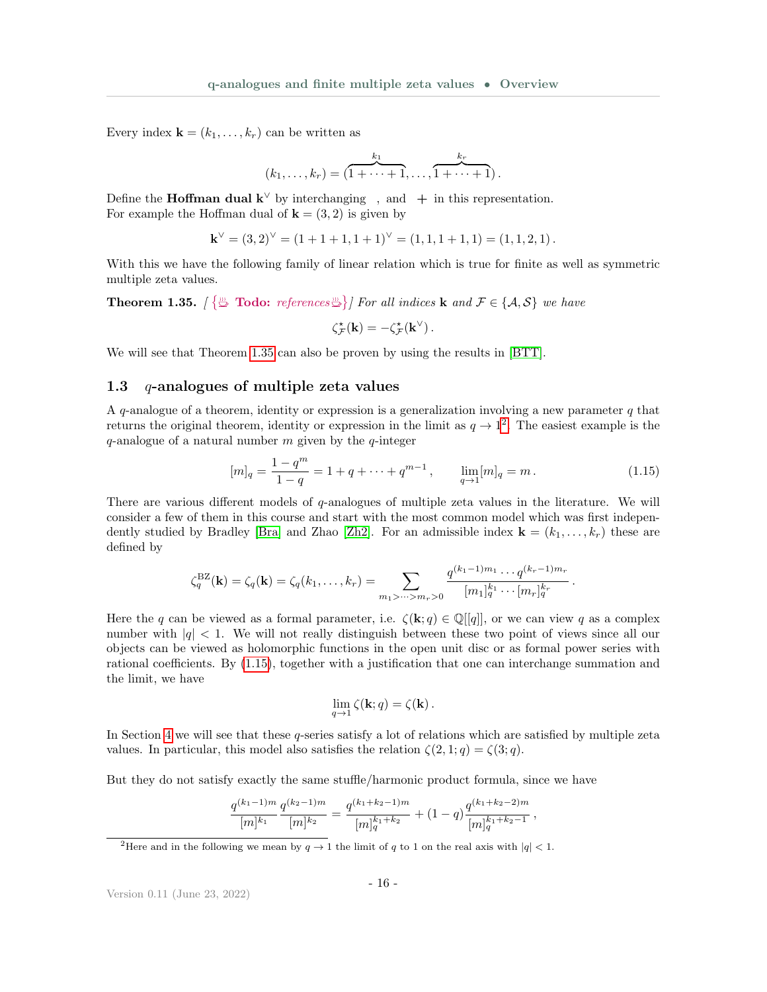Every index  $\mathbf{k} = (k_1, \ldots, k_r)$  can be written as

$$
(k_1,\ldots,k_r)=(\overbrace{1+\cdots+1}^{k_1},\ldots,\overbrace{1+\cdots+1}^{k_r}).
$$

Define the **Hoffman dual k** $\vee$  by interchanging, and + in this representation. For example the Hoffman dual of  $\mathbf{k} = (3, 2)$  is given by

$$
\mathbf{k}^{\vee} = (3,2)^{\vee} = (1+1+1,1+1)^{\vee} = (1,1,1+1,1) = (1,1,2,1).
$$

With this we have the following family of linear relation which is true for finite as well as symmetric multiple zeta values.

<span id="page-15-1"></span>**Theorem 1.35.**  $\{\begin{bmatrix} \frac{m}{2} \text{~Todo: } references \frac{m}{2} \end{bmatrix} \}$  For all indices **k** and  $\mathcal{F} \in \{\mathcal{A}, \mathcal{S}\}$  we have

$$
\zeta_{\mathcal{F}}^{\star}(\mathbf{k})=-\zeta_{\mathcal{F}}^{\star}(\mathbf{k}^{\vee})\,.
$$

<span id="page-15-0"></span>We will see that Theorem [1.35](#page-15-1) can also be proven by using the results in [\[BTT\]](#page-35-1).

#### 1.3  $q$ -analogues of multiple zeta values

A q-analogue of a theorem, identity or expression is a generalization involving a new parameter  $q$  that returns the original theorem, identity or expression in the limit as  $q \to 1^2$  $q \to 1^2$ . The easiest example is the  $q$ -analogue of a natural number  $m$  given by the  $q$ -integer

$$
[m]_q = \frac{1 - q^m}{1 - q} = 1 + q + \dots + q^{m-1}, \qquad \lim_{q \to 1} [m]_q = m. \tag{1.15}
$$

<span id="page-15-3"></span>.

There are various different models of q-analogues of multiple zeta values in the literature. We will consider a few of them in this course and start with the most common model which was first indepen-dently studied by Bradley [\[Bra\]](#page-36-8) and Zhao [\[Zh2\]](#page-36-9). For an admissible index  $\mathbf{k} = (k_1, \ldots, k_r)$  these are defined by

$$
\zeta_q^{\mathrm{BZ}}(\mathbf{k}) = \zeta_q(\mathbf{k}) = \zeta_q(k_1, \dots, k_r) = \sum_{m_1 > \dots > m_r > 0} \frac{q^{(k_1 - 1)m_1} \cdots q^{(k_r - 1)m_r}}{[m_1]_q^{k_1} \cdots [m_r]_q^{k_r}}
$$

Here the q can be viewed as a formal parameter, i.e.  $\zeta(\mathbf{k};q) \in \mathbb{Q}[[q]]$ , or we can view q as a complex number with  $|q| < 1$ . We will not really distinguish between these two point of views since all our objects can be viewed as holomorphic functions in the open unit disc or as formal power series with rational coefficients. By [\(1.15\)](#page-15-3), together with a justification that one can interchange summation and the limit, we have

$$
\lim_{q \to 1} \zeta(\mathbf{k}; q) = \zeta(\mathbf{k}).
$$

In Section [4](#page-33-1) we will see that these q-series satisfy a lot of relations which are satisfied by multiple zeta values. In particular, this model also satisfies the relation  $\zeta(2,1;q) = \zeta(3;q)$ .

But they do not satisfy exactly the same stuffle/harmonic product formula, since we have

$$
\frac{q^{(k_1-1)m}}{[m]^{k_1}}\frac{q^{(k_2-1)m}}{[m]^{k_2}}=\frac{q^{(k_1+k_2-1)m}}{[m]_q^{k_1+k_2}}+(1-q)\frac{q^{(k_1+k_2-2)m}}{[m]_q^{k_1+k_2-1}},
$$

<span id="page-15-2"></span><sup>&</sup>lt;sup>2</sup>Here and in the following we mean by  $q \to 1$  the limit of q to 1 on the real axis with  $|q| < 1$ .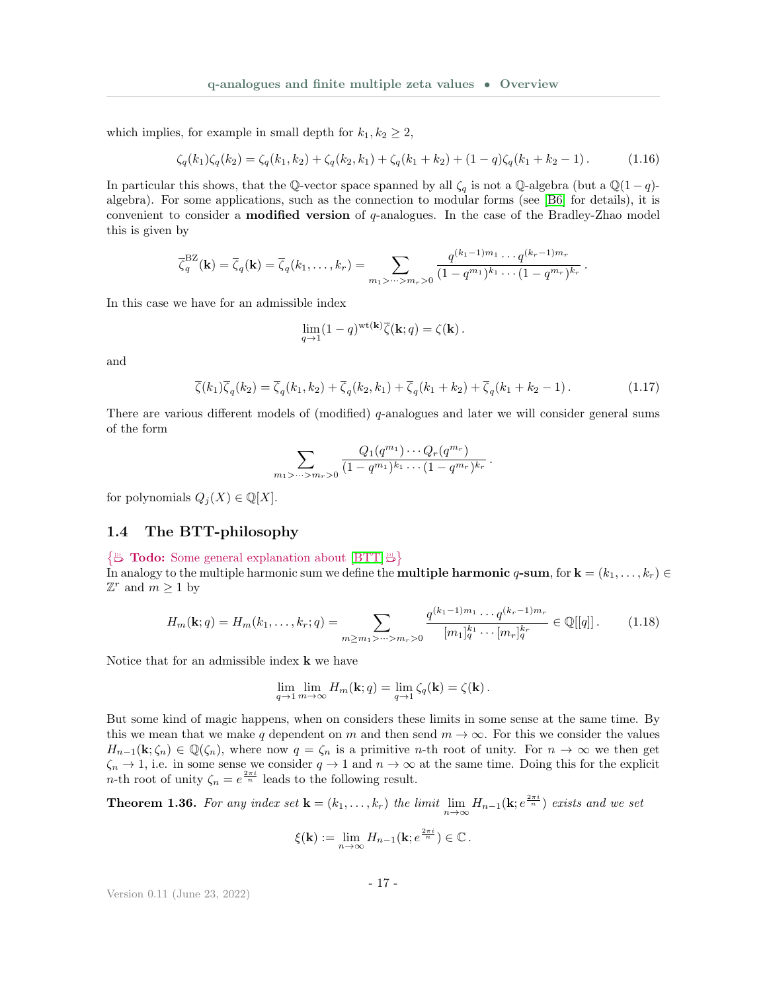which implies, for example in small depth for  $k_1, k_2 \geq 2$ ,

$$
\zeta_q(k_1)\zeta_q(k_2) = \zeta_q(k_1, k_2) + \zeta_q(k_2, k_1) + \zeta_q(k_1 + k_2) + (1 - q)\zeta_q(k_1 + k_2 - 1). \tag{1.16}
$$

In particular this shows, that the Q-vector space spanned by all  $\zeta_q$  is not a Q-algebra (but a Q(1 – q)algebra). For some applications, such as the connection to modular forms (see [\[B6\]](#page-35-0) for details), it is convenient to consider a **modified version** of  $q$ -analogues. In the case of the Bradley-Zhao model this is given by

$$
\overline{\zeta}_q^{\text{BZ}}(\mathbf{k}) = \overline{\zeta}_q(\mathbf{k}) = \overline{\zeta}_q(k_1, \dots, k_r) = \sum_{m_1 > \dots > m_r > 0} \frac{q^{(k_1 - 1)m_1} \cdots q^{(k_r - 1)m_r}}{(1 - q^{m_1})^{k_1} \cdots (1 - q^{m_r})^{k_r}}
$$

In this case we have for an admissible index

$$
\lim_{q \to 1} (1 - q)^{\text{wt}(\mathbf{k})} \overline{\zeta}(\mathbf{k}; q) = \zeta(\mathbf{k}).
$$

and

$$
\overline{\zeta}(k_1)\overline{\zeta}_q(k_2) = \overline{\zeta}_q(k_1, k_2) + \overline{\zeta}_q(k_2, k_1) + \overline{\zeta}_q(k_1 + k_2) + \overline{\zeta}_q(k_1 + k_2 - 1).
$$
 (1.17)

<span id="page-16-3"></span><span id="page-16-2"></span><span id="page-16-1"></span>.

There are various different models of (modified) q-analogues and later we will consider general sums of the form

$$
\sum_{m_1 > \dots > m_r > 0} \frac{Q_1(q^{m_1}) \cdots Q_r(q^{m_r})}{(1-q^{m_1})^{k_1} \cdots (1-q^{m_r})^{k_r}}.
$$

<span id="page-16-0"></span>for polynomials  $Q_i(X) \in \mathbb{Q}[X]$ .

#### 1.4 The BTT-philosophy

#### $\{\overset{m}{\Rightarrow} \textbf{Todo:}$  Some general explanation about  $[BTT] \overset{m}{\Rightarrow}$  $[BTT] \overset{m}{\Rightarrow}$

In analogy to the multiple harmonic sum we define the **multiple harmonic q-sum**, for  $\mathbf{k} = (k_1, \ldots, k_r) \in$  $\mathbb{Z}^r$  and  $m \geq 1$  by

$$
H_m(\mathbf{k};q) = H_m(k_1,\ldots,k_r;q) = \sum_{m \ge m_1 > \cdots > m_r > 0} \frac{q^{(k_1-1)m_1} \cdots q^{(k_r-1)m_r}}{[m_1]_q^{k_1} \cdots [m_r]_q^{k_r}} \in \mathbb{Q}[[q]]\,. \tag{1.18}
$$

Notice that for an admissible index  $\bf{k}$  we have

$$
\lim_{q \to 1} \lim_{m \to \infty} H_m(\mathbf{k}; q) = \lim_{q \to 1} \zeta_q(\mathbf{k}) = \zeta(\mathbf{k}).
$$

But some kind of magic happens, when on considers these limits in some sense at the same time. By this we mean that we make q dependent on m and then send  $m \to \infty$ . For this we consider the values  $H_{n-1}(\mathbf{k}; \zeta_n) \in \mathbb{Q}(\zeta_n)$ , where now  $q = \zeta_n$  is a primitive n-th root of unity. For  $n \to \infty$  we then get  $\zeta_n \to 1$ , i.e. in some sense we consider  $q \to 1$  and  $n \to \infty$  at the same time. Doing this for the explicit *n*-th root of unity  $\zeta_n = e^{\frac{2\pi i}{n}}$  leads to the following result.

**Theorem 1.36.** For any index set  $\mathbf{k} = (k_1, \ldots, k_r)$  the limit  $\lim_{n \to \infty} H_{n-1}(\mathbf{k}; e^{\frac{2\pi i}{n}})$  exists and we set

$$
\xi(\mathbf{k}) := \lim_{n \to \infty} H_{n-1}(\mathbf{k}; e^{\frac{2\pi i}{n}}) \in \mathbb{C}.
$$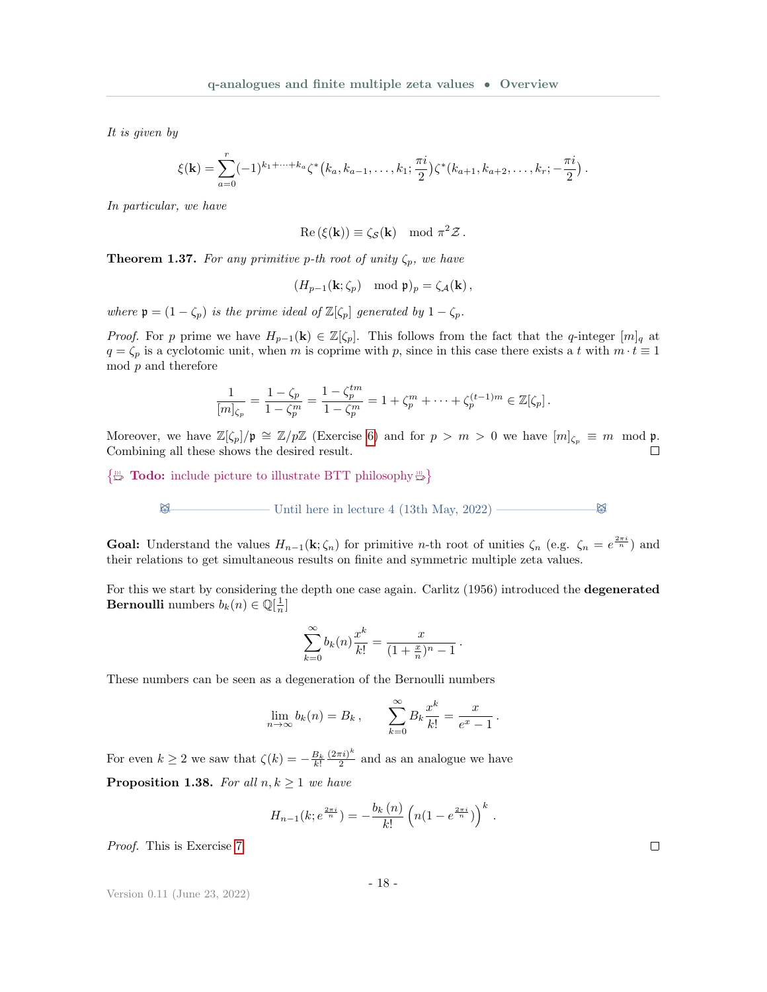It is given by

$$
\xi(\mathbf{k}) = \sum_{a=0}^r (-1)^{k_1+\cdots+k_a} \zeta^*(k_a, k_{a-1}, \ldots, k_1; \frac{\pi i}{2}) \zeta^*(k_{a+1}, k_{a+2}, \ldots, k_r; -\frac{\pi i}{2}).
$$

In particular, we have

$$
\operatorname{Re}(\xi(\mathbf{k})) \equiv \zeta_{\mathcal{S}}(\mathbf{k}) \mod \pi^2 \mathcal{Z}.
$$

**Theorem 1.37.** For any primitive p-th root of unity  $\zeta_p$ , we have

$$
(H_{p-1}(\mathbf{k}; \zeta_p) \mod \mathfrak{p})_p = \zeta_{\mathcal{A}}(\mathbf{k}),
$$

where  $\mathfrak{p} = (1 - \zeta_p)$  is the prime ideal of  $\mathbb{Z}[\zeta_p]$  generated by  $1 - \zeta_p$ .

*Proof.* For p prime we have  $H_{p-1}(\mathbf{k}) \in \mathbb{Z}[\zeta_p]$ . This follows from the fact that the q-integer  $[m]_q$  at  $q = \zeta_p$  is a cyclotomic unit, when m is coprime with p, since in this case there exists a t with  $m \cdot t \equiv 1$  $mod\ p$  and therefore

$$
\frac{1}{[m]_{\zeta_p}} = \frac{1 - \zeta_p}{1 - \zeta_p^m} = \frac{1 - \zeta_p^{tm}}{1 - \zeta_p^m} = 1 + \zeta_p^m + \dots + \zeta_p^{(t-1)m} \in \mathbb{Z}[\zeta_p].
$$

Moreover, we have  $\mathbb{Z}[\zeta_p]/\mathfrak{p} \cong \mathbb{Z}/p\mathbb{Z}$  (Exercise [6\)](#page-34-2) and for  $p > m > 0$  we have  $[m]_{\zeta_p} \equiv m \mod \mathfrak{p}$ . Combining all these shows the desired result.  $\Box$ 

 $\{\mathbb{R}^m$  Todo: include picture to illustrate BTT philosophy  $\mathbb{R}$ 

$$
\bigotimes \hspace{1.5cm} \hspace{1.5cm} \text{Unital here in lecture 4 (13th May, 2022)} \longrightarrow \hspace{1.5cm} \bigotimes
$$

**Goal:** Understand the values  $H_{n-1}(\mathbf{k}; \zeta_n)$  for primitive *n*-th root of unities  $\zeta_n$  (e.g.  $\zeta_n = e^{\frac{2\pi i}{n}}$ ) and their relations to get simultaneous results on finite and symmetric multiple zeta values.

For this we start by considering the depth one case again. Carlitz (1956) introduced the degenerated **Bernoulli** numbers  $b_k(n) \in \mathbb{Q}[\frac{1}{n}]$ 

$$
\sum_{k=0}^{\infty} b_k(n) \frac{x^k}{k!} = \frac{x}{(1 + \frac{x}{n})^n - 1}.
$$

These numbers can be seen as a degeneration of the Bernoulli numbers

$$
\lim_{n \to \infty} b_k(n) = B_k, \qquad \sum_{k=0}^{\infty} B_k \frac{x^k}{k!} = \frac{x}{e^x - 1}.
$$

For even  $k \geq 2$  we saw that  $\zeta(k) = -\frac{B_k}{k!}$  $(2\pi i)^k$  $\frac{\pi i}{2}$  and as an analogue we have **Proposition 1.38.** For all  $n, k \geq 1$  we have

$$
H_{n-1}(k; e^{\frac{2\pi i}{n}}) = -\frac{b_k(n)}{k!} \left( n(1 - e^{\frac{2\pi i}{n}}) \right)^k.
$$

Proof. This is Exercise [7.](#page-34-3)

Version 0.11 (June 23, 2022)

- 18 -

 $\Box$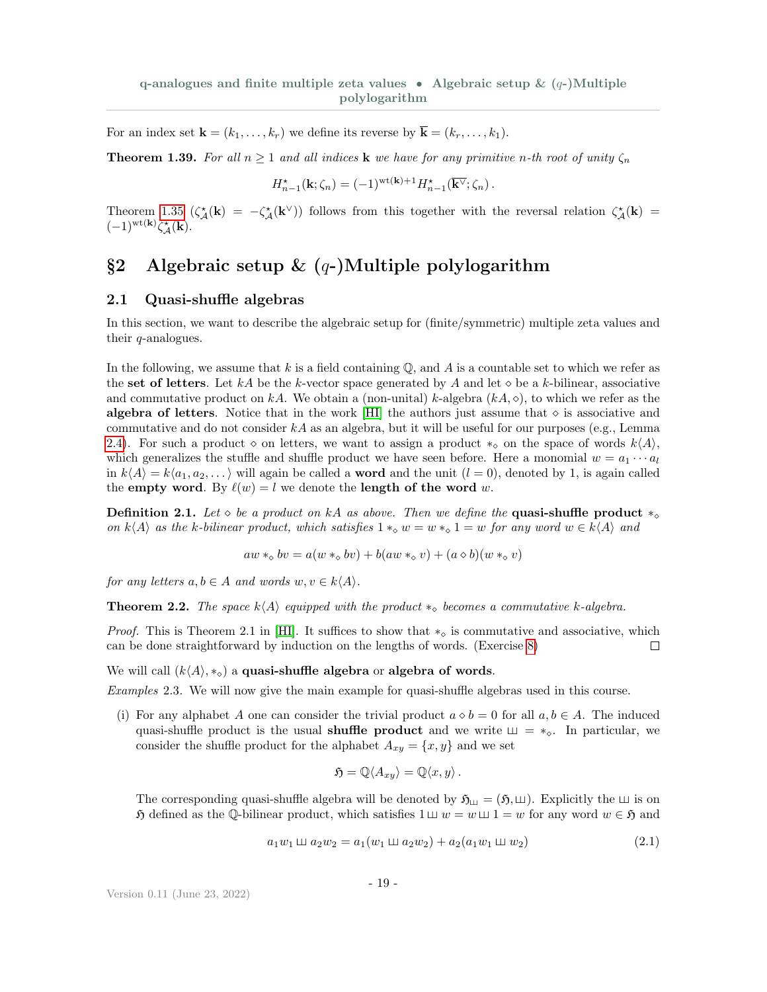For an index set  $\mathbf{k} = (k_1, \ldots, k_r)$  we define its reverse by  $\overline{\mathbf{k}} = (k_r, \ldots, k_1)$ .

**Theorem 1.39.** For all  $n \ge 1$  and all indices **k** we have for any primitive n-th root of unity  $\zeta_n$ 

$$
H_{n-1}^{\star}(\mathbf{k};\zeta_n) = (-1)^{\mathrm{wt}(\mathbf{k})+1} H_{n-1}^{\star}(\overline{\mathbf{k}^{\vee}};\zeta_n) .
$$

Theorem [1.35](#page-15-1)  $(\zeta^*_{\mathcal{A}}(\mathbf{k}) = -\zeta^*_{\mathcal{A}}(\mathbf{k}^{\vee}))$  follows from this together with the reversal relation  $\zeta^*_{\mathcal{A}}(\mathbf{k})$  $(-1)^{\text{wt}(\mathbf{k})}\zeta_{\mathcal{A}}^{\star}(\overline{\mathbf{k}}).$ 

# <span id="page-18-0"></span>§2 Algebraic setup  $\&$  (q-)Multiple polylogarithm

#### <span id="page-18-1"></span>2.1 Quasi-shuffle algebras

In this section, we want to describe the algebraic setup for (finite/symmetric) multiple zeta values and their q-analogues.

In the following, we assume that  $k$  is a field containing  $\mathbb{Q}$ , and  $A$  is a countable set to which we refer as the set of letters. Let kA be the k-vector space generated by A and let  $\diamond$  be a k-bilinear, associative and commutative product on kA. We obtain a (non-unital) k-algebra  $(kA, \diamond)$ , to which we refer as the algebra of letters. Notice that in the work [\[HI\]](#page-36-10) the authors just assume that  $\diamond$  is associative and commutative and do not consider  $kA$  as an algebra, but it will be useful for our purposes (e.g., Lemma [2.4\)](#page-19-0). For such a product  $\diamond$  on letters, we want to assign a product  $*_\diamond$  on the space of words  $k\langle A \rangle$ , which generalizes the stuffle and shuffle product we have seen before. Here a monomial  $w = a_1 \cdots a_l$ in  $k\langle A \rangle = k\langle a_1, a_2, \dots \rangle$  will again be called a **word** and the unit  $(l = 0)$ , denoted by 1, is again called the empty word. By  $\ell(w) = l$  we denote the length of the word w.

<span id="page-18-4"></span>**Definition 2.1.** Let  $\diamond$  be a product on kA as above. Then we define the **quasi-shuffle product**  $*\diamond$ on  $k\langle A\rangle$  as the k-bilinear product, which satisfies  $1 *_{\infty} w = w *_{\infty} 1 = w$  for any word  $w \in k\langle A\rangle$  and

$$
aw *_{\diamond} bv = a(w *_{\diamond} bv) + b(aw *_{\diamond} v) + (a \diamond b)(w *_{\diamond} v)
$$

for any letters  $a, b \in A$  and words  $w, v \in k\langle A \rangle$ .

**Theorem 2.2.** The space  $k\langle A \rangle$  equipped with the product  $*_\diamond$  becomes a commutative k-algebra.

*Proof.* This is Theorem 2.1 in [\[HI\]](#page-36-10). It suffices to show that  $*_\circ$  is commutative and associative, which can be done straightforward by induction on the lengths of words. (Exercise [8\)](#page-35-2)  $\Box$ 

We will call  $(k\langle A \rangle, *_{\circ})$  a quasi-shuffle algebra or algebra of words.

<span id="page-18-3"></span>Examples 2.3. We will now give the main example for quasi-shuffle algebras used in this course.

(i) For any alphabet A one can consider the trivial product  $a \diamond b = 0$  for all  $a, b \in A$ . The induced quasi-shuffle product is the usual **shuffle product** and we write  $\mu = \ast_{\diamond}$ . In particular, we consider the shuffle product for the alphabet  $A_{xy} = \{x, y\}$  and we set

<span id="page-18-2"></span>
$$
\mathfrak{H} = \mathbb{Q} \langle A_{xy} \rangle = \mathbb{Q} \langle x, y \rangle.
$$

The corresponding quasi-shuffle algebra will be denoted by  $\mathfrak{H}_{\perp} = (\mathfrak{H}, \perp)$ . Explicitly the  $\perp \!\!\! \perp$  is on  $\mathfrak H$  defined as the Q-bilinear product, which satisfies  $1 \sqcup w = w \sqcup 1 = w$  for any word  $w \in \mathfrak H$  and

$$
a_1w_1 \sqcup a_2w_2 = a_1(w_1 \sqcup a_2w_2) + a_2(a_1w_1 \sqcup w_2)
$$
\n(2.1)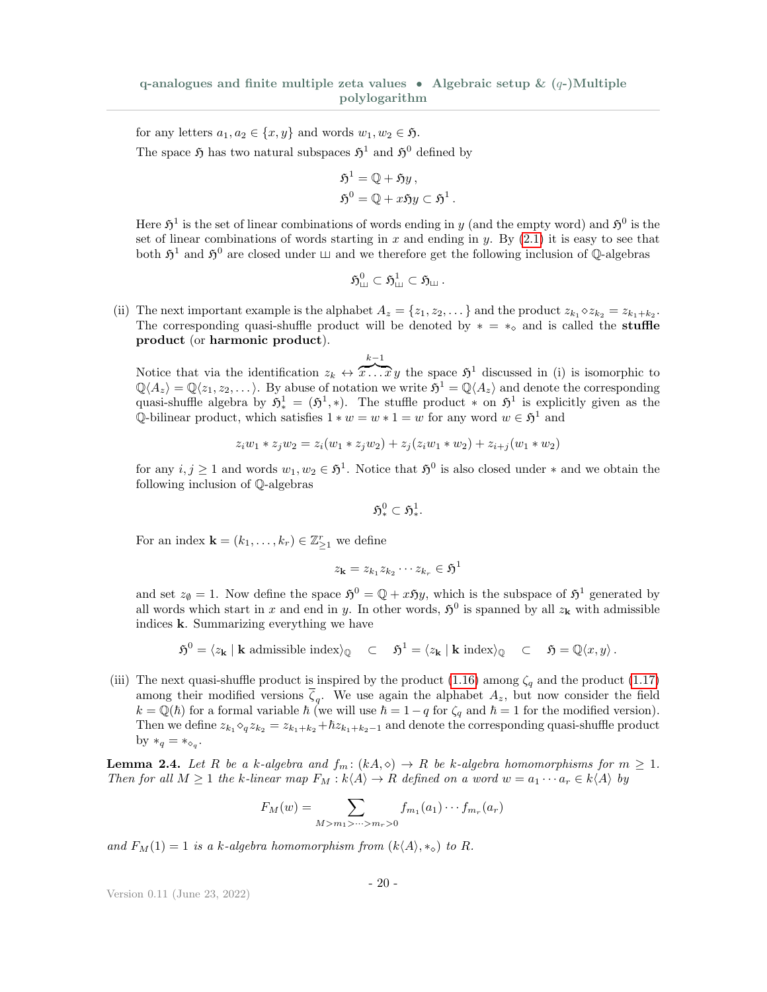for any letters  $a_1, a_2 \in \{x, y\}$  and words  $w_1, w_2 \in \mathfrak{H}$ . The space  $\mathfrak{H}$  has two natural subspaces  $\mathfrak{H}^1$  and  $\mathfrak{H}^0$  defined by

$$
\mathfrak{H}^1 = \mathbb{Q} + \mathfrak{H}y ,
$$
  

$$
\mathfrak{H}^0 = \mathbb{Q} + x \mathfrak{H}y \subset \mathfrak{H}^1 .
$$

Here  $\mathfrak{H}^1$  is the set of linear combinations of words ending in y (and the empty word) and  $\mathfrak{H}^0$  is the set of linear combinations of words starting in  $x$  and ending in  $y$ . By  $(2.1)$  it is easy to see that both  $\mathfrak{H}^1$  and  $\mathfrak{H}^0$  are closed under  $\sqcup$  and we therefore get the following inclusion of Q-algebras

$$
\mathfrak{H}_{\mathfrak{m}}^{0}\subset \mathfrak{H}_{\mathfrak{m}}^{1}\subset \mathfrak{H}_{\mathfrak{m}}\,.
$$

(ii) The next important example is the alphabet  $A_z = \{z_1, z_2, \dots\}$  and the product  $z_{k_1} \diamond z_{k_2} = z_{k_1+k_2}$ . The corresponding quasi-shuffle product will be denoted by  $* = *_{\diamond}$  and is called the **stuffle** product (or harmonic product).

$$
k-1
$$

Notice that via the identification  $z_k \leftrightarrow \overline{x \dots x} y$  the space  $\mathfrak{H}^1$  discussed in (i) is isomorphic to  $\mathbb{Q}\langle A_z\rangle = \mathbb{Q}\langle z_1, z_2, \ldots \rangle$ . By abuse of notation we write  $\mathfrak{H}^1 = \mathbb{Q}\langle A_z \rangle$  and denote the corresponding quasi-shuffle algebra by  $\mathfrak{H}^1_*(\mathfrak{H}^1_*)$ . The stuffle product  $*$  on  $\mathfrak{H}^1$  is explicitly given as the Q-bilinear product, which satisfies  $1 * w = w * 1 = w$  for any word  $w \in \mathfrak{H}^1$  and

$$
z_i w_1 * z_j w_2 = z_i (w_1 * z_j w_2) + z_j (z_i w_1 * w_2) + z_{i+j} (w_1 * w_2)
$$

for any  $i, j \geq 1$  and words  $w_1, w_2 \in \mathfrak{H}^1$ . Notice that  $\mathfrak{H}^0$  is also closed under  $*$  and we obtain the following inclusion of Q-algebras

 $\mathfrak{H}^0_*\subset \mathfrak{H}^1_*.$ 

For an index  $\mathbf{k} = (k_1, \ldots, k_r) \in \mathbb{Z}_{\geq 1}^r$  we define

$$
z_{\mathbf{k}}=z_{k_1}z_{k_2}\cdots z_{k_r}\in\mathfrak{H}^1
$$

and set  $z_{\emptyset} = 1$ . Now define the space  $\mathfrak{H}^0 = \mathbb{Q} + x \mathfrak{H}y$ , which is the subspace of  $\mathfrak{H}^1$  generated by all words which start in x and end in y. In other words,  $5^0$  is spanned by all  $z<sub>k</sub>$  with admissible indices k. Summarizing everything we have

$$
\mathfrak{H}^0 = \langle z_{\mathbf{k}} \mid \mathbf{k} \text{ admissible index} \rangle_{\mathbb{Q}} \quad \subset \quad \mathfrak{H}^1 = \langle z_{\mathbf{k}} \mid \mathbf{k} \text{ index} \rangle_{\mathbb{Q}} \quad \subset \quad \mathfrak{H} = \mathbb{Q}\langle x, y \rangle \, .
$$

(iii) The next quasi-shuffle product is inspired by the product [\(1.16\)](#page-16-1) among  $\zeta_q$  and the product [\(1.17\)](#page-16-2) among their modified versions  $\zeta_q$ . We use again the alphabet  $A_z$ , but now consider the field  $k = \mathbb{Q}(\hbar)$  for a formal variable  $\hbar$  (we will use  $\hbar = 1 - q$  for  $\zeta_q$  and  $\hbar = 1$  for the modified version). Then we define  $z_{k_1} \circ_q z_{k_2} = z_{k_1+k_2} + \hbar z_{k_1+k_2-1}$  and denote the corresponding quasi-shuffle product by  $*_q = *_{\diamond_q}$ .

<span id="page-19-0"></span>**Lemma 2.4.** Let R be a k-algebra and  $f_m: (kA, \diamond) \to R$  be k-algebra homomorphisms for  $m \geq 1$ . Then for all  $M \geq 1$  the k-linear map  $F_M : k \langle A \rangle \to R$  defined on a word  $w = a_1 \cdots a_r \in k \langle A \rangle$  by

$$
F_M(w) = \sum_{M > m_1 > \dots > m_r > 0} f_{m_1}(a_1) \cdots f_{m_r}(a_r)
$$

and  $F_M(1) = 1$  is a k-algebra homomorphism from  $(k \langle A \rangle, *_{\mathcal{S}})$  to R.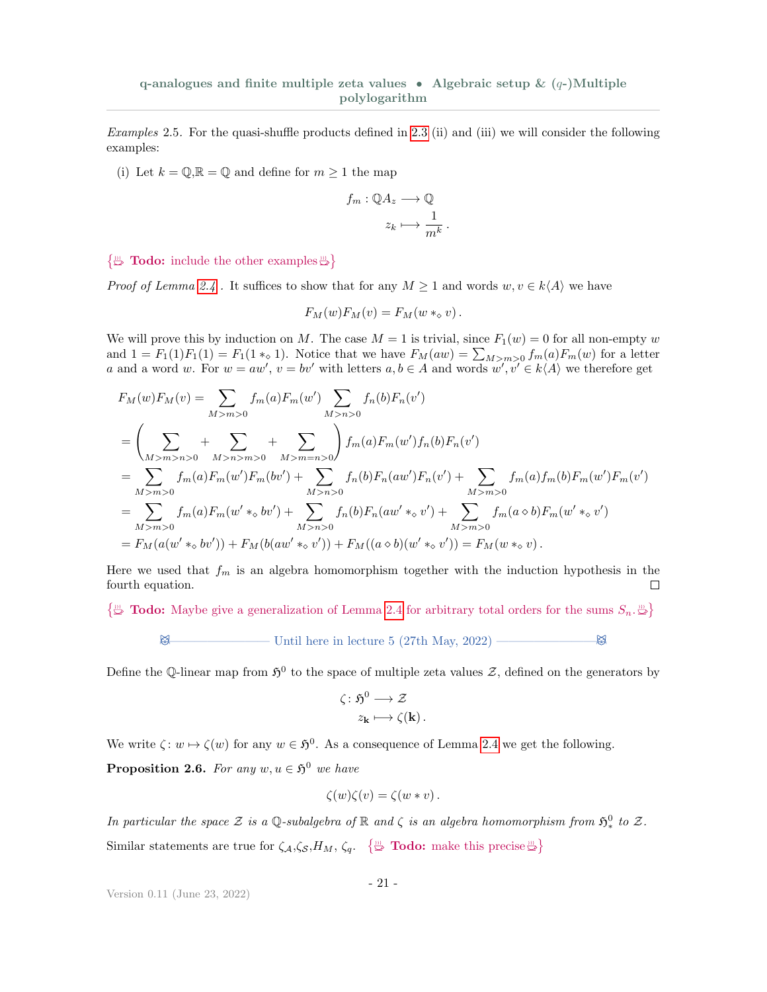Examples 2.5. For the quasi-shuffle products defined in [2.3](#page-18-3) (ii) and (iii) we will consider the following examples:

(i) Let  $k = \mathbb{Q}, \mathbb{R} = \mathbb{Q}$  and define for  $m \geq 1$  the map

$$
f_m: \mathbb{Q}A_z \longrightarrow \mathbb{Q}
$$

$$
z_k \longmapsto \frac{1}{m^k}
$$

.

#### $\{\mathbb{R}^m\}$  Todo: include the other examples  $\mathbb{R}^m$

*Proof of Lemma [2.4](#page-19-0)*. It suffices to show that for any  $M \geq 1$  and words  $w, v \in k\langle A \rangle$  we have

$$
F_M(w)F_M(v) = F_M(w *_{\diamond} v).
$$

We will prove this by induction on M. The case  $M = 1$  is trivial, since  $F_1(w) = 0$  for all non-empty w and  $1 = F_1(1)F_1(1) = F_1(1 \times_{\mathcal{O}} 1)$ . Notice that we have  $F_M(aw) = \sum_{M>m>0} f_m(a)F_m(w)$  for a letter a and a word w. For  $w = aw'$ ,  $v = bv'$  with letters  $a, b \in A$  and words  $w', v' \in k\langle A \rangle$  we therefore get

$$
F_M(w)F_M(v) = \sum_{M>m>0} f_m(a)F_m(w') \sum_{M>n>0} f_n(b)F_n(v')
$$
  
=  $\left(\sum_{M>m>n>0} + \sum_{M>m>0} + \sum_{M>m=n>0} + \sum_{M>m=0} + \sum_{M>m>0} + \sum_{M>m>0} + \sum_{M>m>0} + \sum_{M>m>0} + \sum_{M>m>0} + \sum_{M>m>0} + \sum_{M>m>0} + \sum_{M>m>0} + \sum_{M>m>0} + \sum_{M>m>0} + \sum_{M>m>0} + \sum_{M>m>0} + \sum_{M>m>0} + \sum_{M>m>0} + \sum_{M>m>0} + \sum_{M>m>0} + \sum_{M>m>0} + \sum_{M>m>0} + \sum_{M>m>0} + \sum_{M>m>0} + \sum_{M>m>0} + \sum_{M>m>0} + \sum_{M>m>0} + \sum_{M>m>0} + \sum_{M>m>0} + \sum_{M>m>0} + \sum_{Mm>0} + \sum_{Mm>0} + \sum_{Mm>0} + \sum_{Mm>0} + \sum_{Mm>0} + \sum_{Mm>0} + \sum_{Mm>0} + \sum_{Mm>0} + \sum_{Mm>0} + \sum_{Mm>0} + \sum_{Mm>0} + \sum_{Mm>0} + \sum_{Mm>0} + \sum_{Mm>0} + \sum_{Mm>0} + \sum_{Mm>0} + \sum_{Mm>0} + \sum_{Mm>0} + \sum_{Mm>0} + \sum_{Mm>0} + \sum_{Mm>0} + \sum_{Mm>0} + \sum_{Mm>0} + \sum_{Mm>0} + \sum_{Mm>0} + \sum_{Mm>0} + \sum_{Mm>0} + \sum_{Mm>0} + \sum_{Mm>0} + \sum_{Mm>0} + \sum_{Mm>0} + \sum_{Mm>0} + \sum_{Mm>0} + \sum_{Mm>0} + \sum_{Mm>0} + \sum_{Mm>0} + \sum_{Mm>0} + \sum_{Mm>0} + \sum_{Mm>0} + \sum_{Mm>0} + \sum_{Mm>0} + \sum_{Mm>0} + \sum_{Mm>0} + \sum_{Mm>0} + \sum_{Mm>0} + \sum_{Mm>0} + \sum_{Mm>0} + \sum_{Mm>0} + \sum_{Mm>$ 

Here we used that  $f_m$  is an algebra homomorphism together with the induction hypothesis in the fourth equation.  $\Box$ 

 $\{\mathbb{B} \text{ Todo:}$  Maybe give a generalization of Lemma [2.4](#page-19-0) for arbitrary total orders for the sums  $S_n$ .

 $\boxtimes$  Until here in lecture 5 (27th May, 2022) —————————————

Define the Q-linear map from  $\mathfrak{H}^0$  to the space of multiple zeta values  $\mathcal{Z}$ , defined on the generators by

$$
\zeta : \mathfrak{H}^0 \longrightarrow \mathcal{Z}
$$

$$
z_{\mathbf{k}} \longmapsto \zeta(\mathbf{k}).
$$

We write  $\zeta: w \mapsto \zeta(w)$  for any  $w \in \mathfrak{H}^0$ . As a consequence of Lemma [2.4](#page-19-0) we get the following.

**Proposition 2.6.** For any  $w, u \in \mathfrak{H}^0$  we have

$$
\zeta(w)\zeta(v)=\zeta(w*v).
$$

<span id="page-20-0"></span>In particular the space  $\mathcal Z$  is a Q-subalgebra of  $\mathbb R$  and  $\zeta$  is an algebra homomorphism from  $\mathfrak{H}^0_*$  to  $\mathcal Z$ . Similar statements are true for  $\zeta_{\mathcal{A}}, \zeta_{\mathcal{S}}, H_M, \zeta_q$ .  $\{\stackrel{m}{\Leftrightarrow} \textbf{Todo: make this precise} \stackrel{m}{\Leftrightarrow} \}$ 

$$
-21-
$$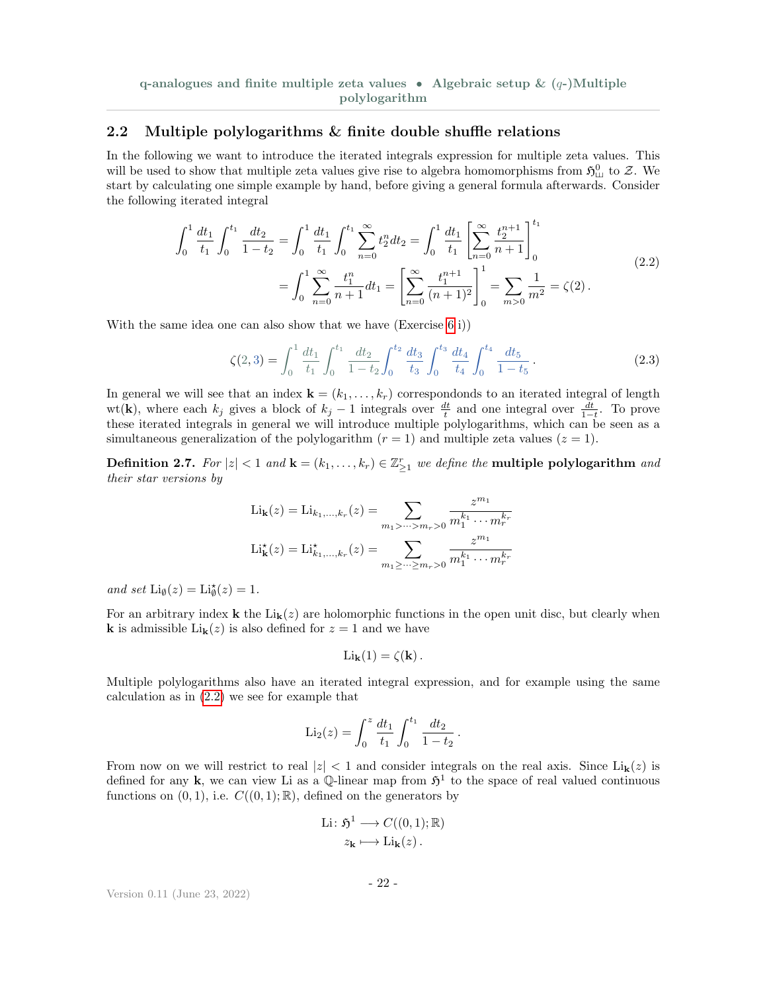q-analogues and finite multiple zeta values • Algebraic setup  $\& (q-)$ Multiple polylogarithm

#### 2.2 Multiple polylogarithms & finite double shuffle relations

In the following we want to introduce the iterated integrals expression for multiple zeta values. This will be used to show that multiple zeta values give rise to algebra homomorphisms from  $\mathfrak{H}^0_{\perp\perp}$  to  $\mathcal{Z}$ . We start by calculating one simple example by hand, before giving a general formula afterwards. Consider the following iterated integral

$$
\int_0^1 \frac{dt_1}{t_1} \int_0^{t_1} \frac{dt_2}{1-t_2} = \int_0^1 \frac{dt_1}{t_1} \int_0^{t_1} \sum_{n=0}^\infty t_2^n dt_2 = \int_0^1 \frac{dt_1}{t_1} \left[ \sum_{n=0}^\infty \frac{t_2^{n+1}}{n+1} \right]_0^{t_1}
$$
\n
$$
= \int_0^1 \sum_{n=0}^\infty \frac{t_1^n}{n+1} dt_1 = \left[ \sum_{n=0}^\infty \frac{t_1^{n+1}}{(n+1)^2} \right]_0^1 = \sum_{m>0} \frac{1}{m^2} = \zeta(2).
$$
\n(2.2)

With the same idea one can also show that we have (Exercise [6](#page-34-2) i))

<span id="page-21-1"></span><span id="page-21-0"></span>
$$
\zeta(2,3) = \int_0^1 \frac{dt_1}{t_1} \int_0^{t_1} \frac{dt_2}{1-t_2} \int_0^{t_2} \frac{dt_3}{t_3} \int_0^{t_3} \frac{dt_4}{t_4} \int_0^{t_4} \frac{dt_5}{1-t_5} \,. \tag{2.3}
$$

In general we will see that an index  $\mathbf{k} = (k_1, \ldots, k_r)$  correspondonds to an iterated integral of length wt(k), where each  $k_j$  gives a block of  $k_j - 1$  integrals over  $\frac{dt}{t}$  and one integral over  $\frac{dt}{1-t}$ . To prove these iterated integrals in general we will introduce multiple polylogarithms, which can be seen as a simultaneous generalization of the polylogarithm  $(r = 1)$  and multiple zeta values  $(z = 1)$ .

Definition 2.7. For  $|z| < 1$  and  $\mathbf{k} = (k_1, \ldots, k_r) \in \mathbb{Z}_{\geq 1}^r$  we define the multiple polylogarithm and their star versions by

$$
\text{Li}_{\mathbf{k}}(z) = \text{Li}_{k_1,\dots,k_r}(z) = \sum_{m_1 > \dots > m_r > 0} \frac{z^{m_1}}{m_1^{k_1} \cdots m_r^{k_r}}
$$

$$
\text{Li}_{\mathbf{k}}^{\star}(z) = \text{Li}_{k_1,\dots,k_r}^{\star}(z) = \sum_{m_1 \ge \dots \ge m_r > 0} \frac{z^{m_1}}{m_1^{k_1} \cdots m_r^{k_r}}
$$

and set  $\text{Li}_{\emptyset}(z) = \text{Li}_{\emptyset}^{\star}(z) = 1.$ 

For an arbitrary index **k** the  $\text{Li}_k(z)$  are holomorphic functions in the open unit disc, but clearly when **k** is admissible  $\text{Li}_{k}(z)$  is also defined for  $z = 1$  and we have

$$
\mathrm{Li}_{\mathbf{k}}(1) = \zeta(\mathbf{k}).
$$

Multiple polylogarithms also have an iterated integral expression, and for example using the same calculation as in [\(2.2\)](#page-21-0) we see for example that

$$
\mathrm{Li}_2(z) = \int_0^z \frac{dt_1}{t_1} \int_0^{t_1} \frac{dt_2}{1 - t_2}.
$$

From now on we will restrict to real  $|z| < 1$  and consider integrals on the real axis. Since  $\text{Li}_k(z)$  is defined for any k, we can view Li as a Q-linear map from  $\mathfrak{H}^1$  to the space of real valued continuous functions on  $(0, 1)$ , i.e.  $C((0, 1); \mathbb{R})$ , defined on the generators by

$$
\text{Li}: \mathfrak{H}^1 \longrightarrow C((0,1); \mathbb{R})
$$

$$
z_{\mathbf{k}} \longmapsto \text{Li}_{\mathbf{k}}(z) .
$$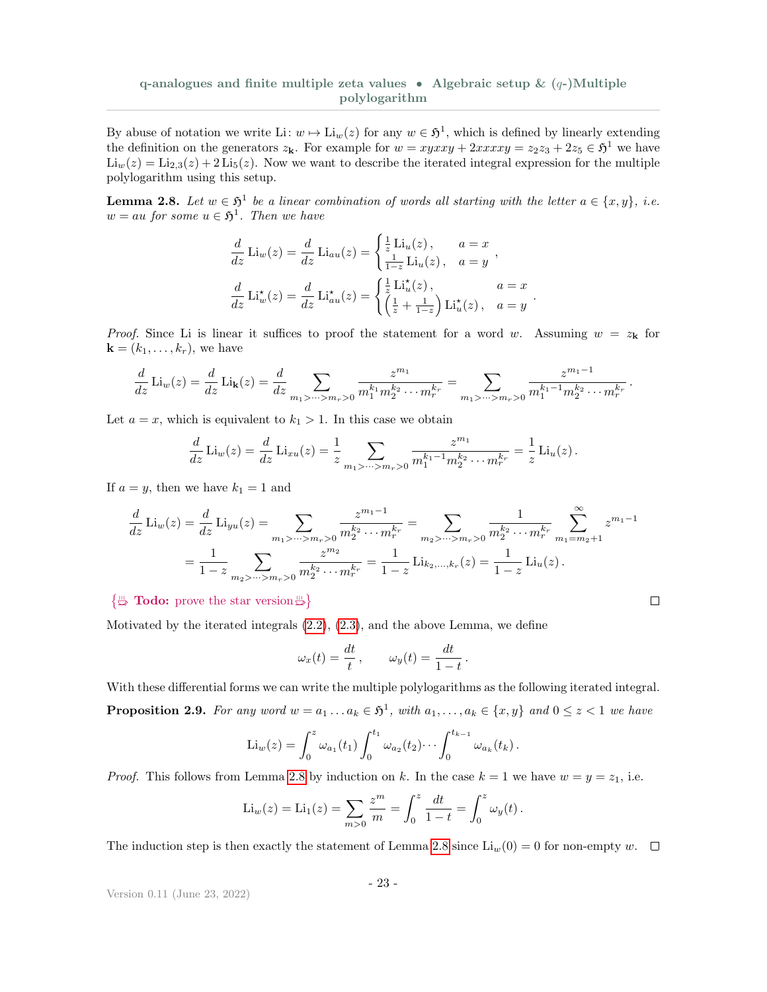By abuse of notation we write Li:  $w \mapsto \text{Li}_w(z)$  for any  $w \in \mathfrak{H}^1$ , which is defined by linearly extending the definition on the generators  $z_k$ . For example for  $w = xyxxy + 2xxxxy = z_2z_3 + 2z_5 \in \mathfrak{H}^1$  we have  $\text{Li}_w(z) = \text{Li}_{2,3}(z) + 2 \text{Li}_5(z)$ . Now we want to describe the iterated integral expression for the multiple polylogarithm using this setup.

<span id="page-22-0"></span>**Lemma 2.8.** Let  $w \in \mathfrak{H}^1$  be a linear combination of words all starting with the letter  $a \in \{x, y\}$ , i.e.  $w = au$  for some  $u \in \mathfrak{H}^1$ . Then we have

$$
\frac{d}{dz}\operatorname{Li}_w(z) = \frac{d}{dz}\operatorname{Li}_{au}(z) = \begin{cases} \frac{1}{z}\operatorname{Li}_u(z), & a = x \\ \frac{1}{1-z}\operatorname{Li}_u(z), & a = y \end{cases},
$$

$$
\frac{d}{dz}\operatorname{Li}_w^{\star}(z) = \frac{d}{dz}\operatorname{Li}_{au}^{\star}(z) = \begin{cases} \frac{1}{z}\operatorname{Li}_u^{\star}(z), & a = x \\ \left(\frac{1}{z} + \frac{1}{1-z}\right)\operatorname{Li}_u^{\star}(z), & a = y \end{cases}.
$$

*Proof.* Since Li is linear it suffices to proof the statement for a word w. Assuming  $w = z_k$  for  $\mathbf{k} = (k_1, \ldots, k_r)$ , we have

$$
\frac{d}{dz}\operatorname{Li}_w(z) = \frac{d}{dz}\operatorname{Li}_{\mathbf{k}}(z) = \frac{d}{dz}\sum_{m_1 > \dots > m_r > 0} \frac{z^{m_1}}{m_1^{k_1} m_2^{k_2} \cdots m_r^{k_r}} = \sum_{m_1 > \dots > m_r > 0} \frac{z^{m_1 - 1}}{m_1^{k_1 - 1} m_2^{k_2} \cdots m_r^{k_r}}.
$$

Let  $a = x$ , which is equivalent to  $k_1 > 1$ . In this case we obtain

$$
\frac{d}{dz}\operatorname{Li}_{w}(z) = \frac{d}{dz}\operatorname{Li}_{xu}(z) = \frac{1}{z} \sum_{m_1 > \dots > m_r > 0} \frac{z^{m_1}}{m_1^{k_1 - 1} m_2^{k_2} \cdots m_r^{k_r}} = \frac{1}{z}\operatorname{Li}_{u}(z).
$$

If  $a = y$ , then we have  $k_1 = 1$  and

$$
\frac{d}{dz}\operatorname{Li}_w(z) = \frac{d}{dz}\operatorname{Li}_{yu}(z) = \sum_{m_1 > \dots > m_r > 0} \frac{z^{m_1 - 1}}{m_2^{k_2} \cdots m_r^{k_r}} = \sum_{m_2 > \dots > m_r > 0} \frac{1}{m_2^{k_2} \cdots m_r^{k_r}} \sum_{m_1 = m_2 + 1}^{\infty} z^{m_1 - 1}
$$

$$
= \frac{1}{1 - z} \sum_{m_2 > \dots > m_r > 0} \frac{z^{m_2}}{m_2^{k_2} \cdots m_r^{k_r}} = \frac{1}{1 - z} \operatorname{Li}_{k_2, \dots, k_r}(z) = \frac{1}{1 - z} \operatorname{Li}_u(z).
$$

 $\Box$ 

#### $\{\mathbb{R}^m$  Todo: prove the star version  $\mathbb{R}^m$

Motivated by the iterated integrals [\(2.2\)](#page-21-0), [\(2.3\)](#page-21-1), and the above Lemma, we define

$$
\omega_x(t) = \frac{dt}{t}, \qquad \omega_y(t) = \frac{dt}{1-t}.
$$

<span id="page-22-1"></span>With these differential forms we can write the multiple polylogarithms as the following iterated integral. **Proposition 2.9.** For any word  $w = a_1 \dots a_k \in \mathfrak{H}^1$ , with  $a_1, \dots, a_k \in \{x, y\}$  and  $0 \le z < 1$  we have

$$
\mathrm{Li}_w(z) = \int_0^z \omega_{a_1}(t_1) \int_0^{t_1} \omega_{a_2}(t_2) \cdots \int_0^{t_{k-1}} \omega_{a_k}(t_k).
$$

*Proof.* This follows from Lemma [2.8](#page-22-0) by induction on k. In the case  $k = 1$  we have  $w = y = z<sub>1</sub>$ , i.e.

$$
\mathrm{Li}_{w}(z) = \mathrm{Li}_{1}(z) = \sum_{m>0} \frac{z^{m}}{m} = \int_{0}^{z} \frac{dt}{1-t} = \int_{0}^{z} \omega_{y}(t).
$$

The induction step is then exactly the statement of Lemma [2.8](#page-22-0) since  $\text{Li}_w(0) = 0$  for non-empty w.  $\Box$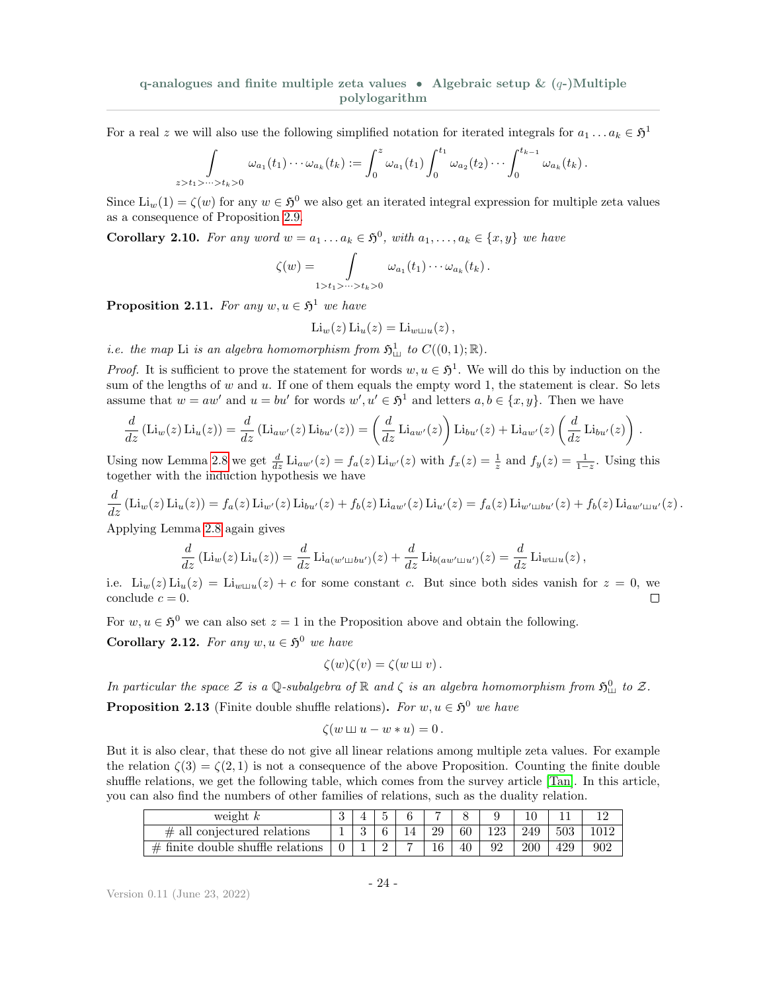For a real z we will also use the following simplified notation for iterated integrals for  $a_1 \ldots a_k \in \mathfrak{H}^1$ 

$$
\int_{z>t_1>\dots>t_k>0}\omega_{a_1}(t_1)\cdots\omega_{a_k}(t_k):=\int_0^z\omega_{a_1}(t_1)\int_0^{t_1}\omega_{a_2}(t_2)\cdots\int_0^{t_{k-1}}\omega_{a_k}(t_k).
$$

Since  $\text{Li}_w(1) = \zeta(w)$  for any  $w \in \mathfrak{H}^0$  we also get an iterated integral expression for multiple zeta values as a consequence of Proposition [2.9.](#page-22-1)

<span id="page-23-1"></span>**Corollary 2.10.** For any word  $w = a_1 \dots a_k \in \mathfrak{H}^0$ , with  $a_1, \dots, a_k \in \{x, y\}$  we have

$$
\zeta(w) = \int_{1>t_1>\dots>t_k>0} \omega_{a_1}(t_1)\cdots\omega_{a_k}(t_k).
$$

<span id="page-23-3"></span>**Proposition 2.11.** For any  $w, u \in \mathfrak{H}^1$  we have

$$
\mathrm{Li}_w(z)\,\mathrm{Li}_u(z) = \mathrm{Li}_{w \sqcup u}(z)\,,
$$

*i.e.* the map Li is an algebra homomorphism from  $\mathfrak{H}^1_{\text{Lil}}$  to  $C((0,1); \mathbb{R})$ .

*Proof.* It is sufficient to prove the statement for words  $w, u \in \mathfrak{H}^1$ . We will do this by induction on the sum of the lengths of  $w$  and  $u$ . If one of them equals the empty word 1, the statement is clear. So lets assume that  $w = aw'$  and  $u = bu'$  for words  $w', u' \in \mathfrak{H}^1$  and letters  $a, b \in \{x, y\}$ . Then we have

$$
\frac{d}{dz} (\text{Li}_w(z) \text{Li}_u(z)) = \frac{d}{dz} (\text{Li}_{aw'}(z) \text{Li}_{bu'}(z)) = \left(\frac{d}{dz} \text{Li}_{aw'}(z)\right) \text{Li}_{bu'}(z) + \text{Li}_{aw'}(z) \left(\frac{d}{dz} \text{Li}_{bu'}(z)\right).
$$

Using now Lemma [2.8](#page-22-0) we get  $\frac{d}{dz}$  Li<sub>aw</sub> $(z) = f_a(z)$  Li<sub>w</sub> $(z)$  with  $f_x(z) = \frac{1}{z}$  and  $f_y(z) = \frac{1}{1-z}$ . Using this together with the induction hypothesis we have

$$
\frac{d}{dz} (\text{Li}_w(z) \text{Li}_u(z)) = f_a(z) \text{Li}_{w'}(z) \text{Li}_{bu'}(z) + f_b(z) \text{Li}_{aw'}(z) \text{Li}_{u'}(z) = f_a(z) \text{Li}_{w' \sqcup bu'}(z) + f_b(z) \text{Li}_{aw' \sqcup u'}(z) .
$$

Applying Lemma [2.8](#page-22-0) again gives

$$
\frac{d}{dz} (\text{Li}_w(z) \text{Li}_u(z)) = \frac{d}{dz} \text{Li}_{a(w' \sqcup bu')}(z) + \frac{d}{dz} \text{Li}_{b(aw' \sqcup u')}(z) = \frac{d}{dz} \text{Li}_{w \sqcup u}(z),
$$

i.e.  $\text{Li}_w(z) \text{Li}_u(z) = \text{Li}_{w \sqcup u}(z) + c$  for some constant c. But since both sides vanish for  $z = 0$ , we conclude  $c = 0$ .  $\Box$ 

For  $w, u \in \mathfrak{H}^0$  we can also set  $z = 1$  in the Proposition above and obtain the following.

**Corollary 2.12.** For any  $w, u \in \mathfrak{H}^0$  we have

$$
\zeta(w)\zeta(v)=\zeta(w\sqcup v).
$$

<span id="page-23-2"></span>In particular the space  $\mathcal Z$  is a Q-subalgebra of  $\mathbb R$  and  $\zeta$  is an algebra homomorphism from  $\mathfrak{H}^0_{\text{III}}$  to  $\mathcal Z$ . **Proposition 2.13** (Finite double shuffle relations). For  $w, u \in \mathfrak{H}^0$  we have

$$
\zeta(w \sqcup u - w * u) = 0.
$$

But it is also clear, that these do not give all linear relations among multiple zeta values. For example the relation  $\zeta(3) = \zeta(2, 1)$  is not a consequence of the above Proposition. Counting the finite double shuffle relations, we get the following table, which comes from the survey article [\[Tan\]](#page-36-11). In this article, you can also find the numbers of other families of relations, such as the duality relation.

<span id="page-23-0"></span>

| weight $k$                           |  |  |    |    |     |     |     |     |
|--------------------------------------|--|--|----|----|-----|-----|-----|-----|
| $\#$ all conjectured relations       |  |  | 29 | 60 | 123 | 249 | 503 |     |
| $\#$ finite double shuffle relations |  |  | 16 | 40 | იი  |     | 429 | 902 |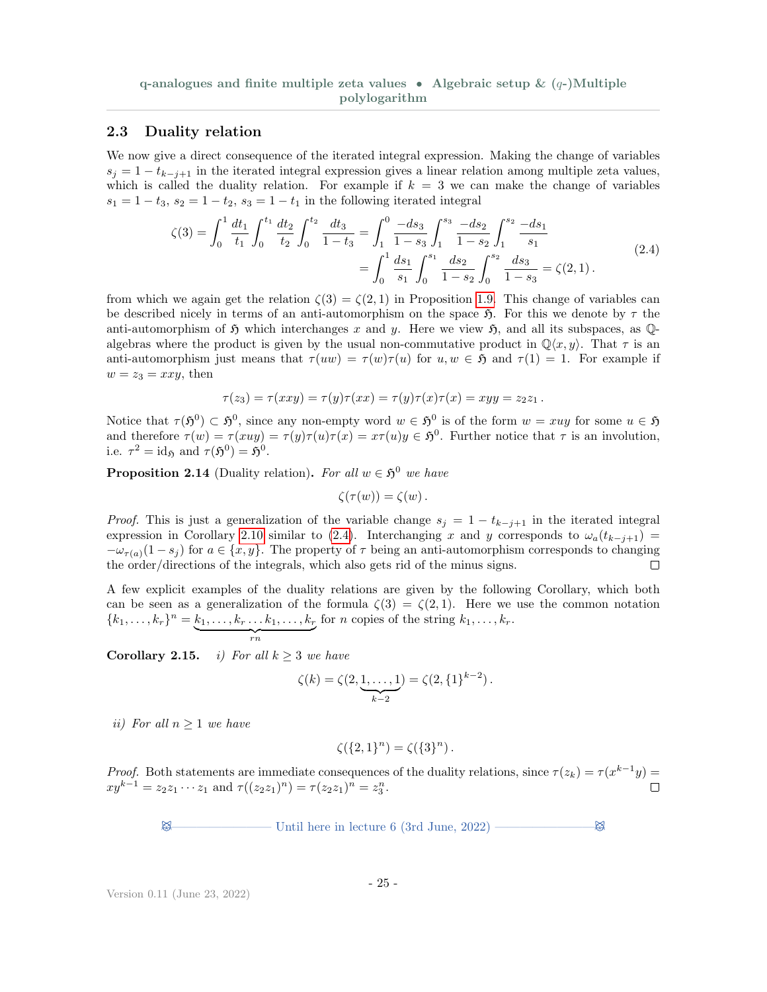#### 2.3 Duality relation

We now give a direct consequence of the iterated integral expression. Making the change of variables  $s_i = 1 - t_{k-i+1}$  in the iterated integral expression gives a linear relation among multiple zeta values, which is called the duality relation. For example if  $k = 3$  we can make the change of variables  $s_1 = 1 - t_3$ ,  $s_2 = 1 - t_2$ ,  $s_3 = 1 - t_1$  in the following iterated integral

$$
\zeta(3) = \int_0^1 \frac{dt_1}{t_1} \int_0^{t_1} \frac{dt_2}{t_2} \int_0^{t_2} \frac{dt_3}{1 - t_3} = \int_1^0 \frac{-ds_3}{1 - s_3} \int_1^{s_3} \frac{-ds_2}{1 - s_2} \int_1^{s_2} \frac{-ds_1}{s_1} = \int_0^1 \frac{ds_1}{s_1} \int_0^{s_1} \frac{ds_2}{1 - s_2} \int_0^{s_2} \frac{ds_3}{1 - s_3} = \zeta(2, 1).
$$
\n(2.4)

from which we again get the relation  $\zeta(3) = \zeta(2,1)$  in Proposition [1.9.](#page-4-0) This change of variables can be described nicely in terms of an anti-automorphism on the space  $\mathfrak{H}$ . For this we denote by  $\tau$  the anti-automorphism of  $\mathfrak H$  which interchanges x and y. Here we view  $\mathfrak H$ , and all its subspaces, as  $\mathbb Q$ algebras where the product is given by the usual non-commutative product in  $\mathbb{Q}\langle x,y\rangle$ . That  $\tau$  is an anti-automorphism just means that  $\tau(uw) = \tau(w)\tau(u)$  for  $u, w \in \mathfrak{H}$  and  $\tau(1) = 1$ . For example if  $w = z_3 = xxy$ , then

$$
\tau(z_3)=\tau(xxy)=\tau(y)\tau(xx)=\tau(y)\tau(x)\tau(x)=xyy=z_2z_1.
$$

Notice that  $\tau(\mathfrak{H}^0) \subset \mathfrak{H}^0$ , since any non-empty word  $w \in \mathfrak{H}^0$  is of the form  $w = xuy$  for some  $u \in \mathfrak{H}$ and therefore  $\tau(w) = \tau(xuy) = \tau(y)\tau(u)\tau(x) = x\tau(u)y \in \mathfrak{H}^0$ . Further notice that  $\tau$  is an involution, i.e.  $\tau^2 = \mathrm{id}_{\mathfrak{H}}$  and  $\tau(\mathfrak{H}^0) = \mathfrak{H}^0$ .

**Proposition 2.14** (Duality relation). For all  $w \in \mathfrak{H}^0$  we have

<span id="page-24-1"></span>
$$
\zeta(\tau(w)) = \zeta(w) .
$$

*Proof.* This is just a generalization of the variable change  $s_j = 1 - t_{k-j+1}$  in the iterated integral expression in Corollary [2.10](#page-23-1) similar to [\(2.4\)](#page-24-1). Interchanging x and y corresponds to  $\omega_a(t_{k-j+1})$  =  $-\omega_{\tau(a)}(1-s_i)$  for  $a \in \{x, y\}$ . The property of  $\tau$  being an anti-automorphism corresponds to changing the order/directions of the integrals, which also gets rid of the minus signs.  $\Box$ 

A few explicit examples of the duality relations are given by the following Corollary, which both can be seen as a generalization of the formula  $\zeta(3) = \zeta(2,1)$ . Here we use the common notation  ${k_1, \ldots, k_r}^n = k_1, \ldots, k_r \ldots k_1, \ldots, k_r$ for *n* copies of the string  $k_1, \ldots, k_r$ .

$$
r_n
$$

Corollary 2.15. i) For all  $k \geq 3$  we have

$$
\zeta(k) = \zeta(2, \underbrace{1, \dots, 1}_{k-2}) = \zeta(2, \{1\}^{k-2}).
$$

ii) For all  $n \geq 1$  we have

$$
\zeta(\{2,1\}^n) = \zeta(\{3\}^n).
$$

*Proof.* Both statements are immediate consequences of the duality relations, since  $\tau(z_k) = \tau(x^{k-1}y)$  $xy^{k-1} = z_2 z_1 \cdots z_1$  and  $\tau((z_2 z_1)^n) = \tau(z_2 z_1)^n = z_3^n$ .

<span id="page-24-0"></span> $\boxtimes$  Until here in lecture 6 (3rd June, 2022) —————————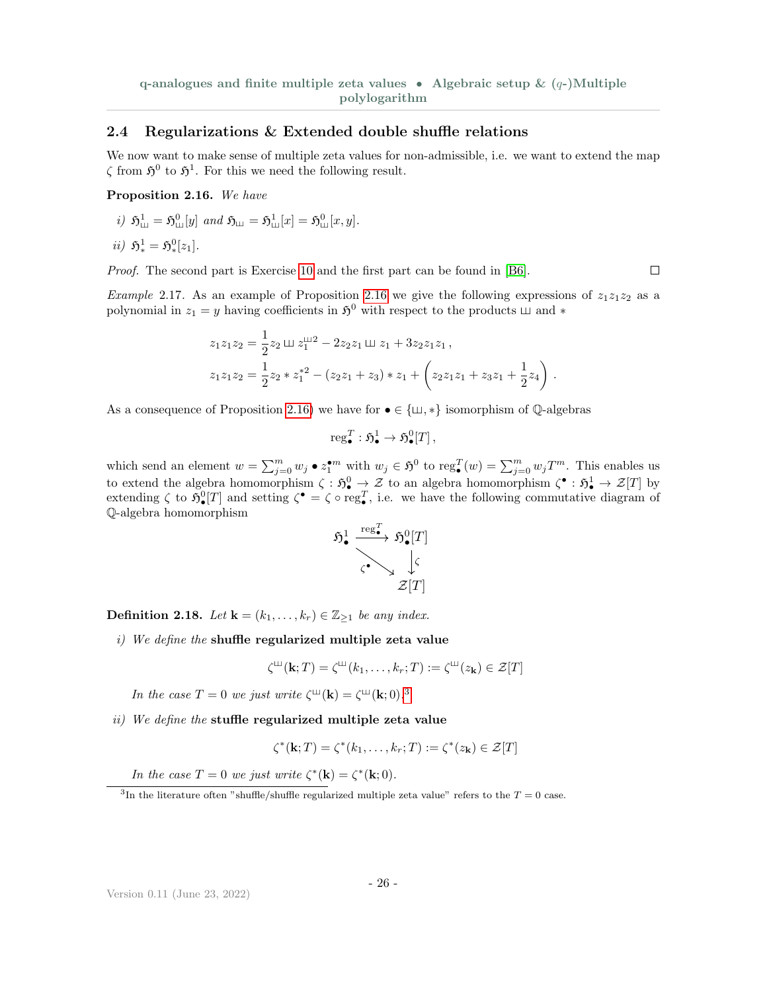#### 2.4 Regularizations & Extended double shuffle relations

We now want to make sense of multiple zeta values for non-admissible, i.e. we want to extend the map  $\zeta$  from  $\mathfrak{H}^0$  to  $\mathfrak{H}^1$ . For this we need the following result.

#### <span id="page-25-0"></span>Proposition 2.16. We have

i)  $\mathfrak{H}^1_{\text{III}} = \mathfrak{H}^0_{\text{III}}[y]$  and  $\mathfrak{H}_{\text{III}} = \mathfrak{H}^1_{\text{III}}[x] = \mathfrak{H}^0_{\text{III}}[x, y]$ .  $\sim$ 

$$
ii) \mathfrak{H}^1_* = \mathfrak{H}^0_*[z_1].
$$

Proof. The second part is Exercise [10](#page-35-3) and the first part can be found in [\[B6\]](#page-35-0).

<span id="page-25-2"></span>*Example 2.17.* As an example of Proposition [2.16](#page-25-0) we give the following expressions of  $z_1z_1z_2$  as a polynomial in  $z_1 = y$  having coefficients in  $\mathfrak{H}^0$  with respect to the products  $\Box$  and  $*$ 

$$
z_1 z_1 z_2 = \frac{1}{2} z_2 \sqcup z_1^{\sqcup 2} - 2 z_2 z_1 \sqcup z_1 + 3 z_2 z_1 z_1,
$$
  
\n
$$
z_1 z_1 z_2 = \frac{1}{2} z_2 * z_1^{*2} - (z_2 z_1 + z_3) * z_1 + (z_2 z_1 z_1 + z_3 z_1 + \frac{1}{2} z_4).
$$

As a consequence of Proposition [2.16\)](#page-25-0) we have for  $\bullet \in {\{\sqcup, *\}}$  isomorphism of  $\mathbb{Q}$ -algebras

$$
\operatorname{reg}_{\bullet}^{T} : \mathfrak{H}_{\bullet}^{1} \to \mathfrak{H}_{\bullet}^{0}[T],
$$

which send an element  $w = \sum_{j=0}^m w_j \bullet z_1^{\bullet m}$  with  $w_j \in \mathfrak{H}^0$  to  $\text{reg}_\bullet^T(w) = \sum_{j=0}^m w_j T^m$ . This enables us to extend the algebra homomorphism  $\zeta : \mathfrak{H}_{\bullet}^0 \to \mathcal{Z}$  to an algebra homomorphism  $\zeta^{\bullet} : \mathfrak{H}_{\bullet}^1 \to \mathcal{Z}[T]$  by extending  $\zeta$  to  $\mathfrak{H}^0_{\bullet}[T]$  and setting  $\zeta^{\bullet} = \zeta \circ \text{reg}_{\bullet}^T$ , i.e. we have the following commutative diagram of Q-algebra homomorphism



**Definition 2.18.** Let  $\mathbf{k} = (k_1, \ldots, k_r) \in \mathbb{Z}_{\geq 1}$  be any index.

 $i)$  We define the shuffle regularized multiple zeta value

$$
\zeta^{\text{III}}(\mathbf{k};T) = \zeta^{\text{III}}(k_1,\ldots,k_r;T) := \zeta^{\text{III}}(z_{\mathbf{k}}) \in \mathcal{Z}[T]
$$

In the case  $T = 0$  we just write  $\zeta^{\mu}(\mathbf{k}) = \zeta^{\mu}(\mathbf{k}; 0).$ <sup>[3](#page-25-1)</sup>

ii) We define the stuffle regularized multiple zeta value

$$
\zeta^*(\mathbf{k};T) = \zeta^*(k_1,\ldots,k_r;T) := \zeta^*(z_\mathbf{k}) \in \mathcal{Z}[T]
$$

In the case  $T = 0$  we just write  $\zeta^*(\mathbf{k}) = \zeta^*(\mathbf{k}; 0)$ .

 $\Box$ 

<span id="page-25-1"></span><sup>&</sup>lt;sup>3</sup>In the literature often "shuffle/shuffle regularized multiple zeta value" refers to the  $T = 0$  case.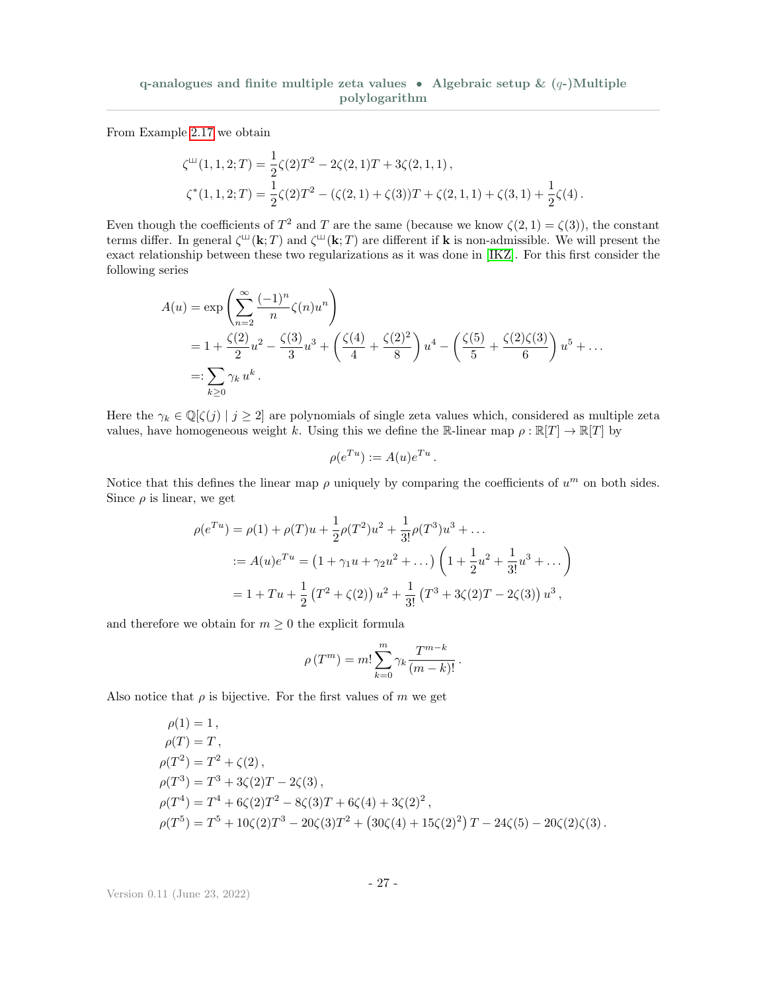From Example [2.17](#page-25-2) we obtain

$$
\zeta^{\mathfrak{U}}(1,1,2;T) = \frac{1}{2}\zeta(2)T^{2} - 2\zeta(2,1)T + 3\zeta(2,1,1),
$$
  

$$
\zeta^{*}(1,1,2;T) = \frac{1}{2}\zeta(2)T^{2} - (\zeta(2,1) + \zeta(3))T + \zeta(2,1,1) + \zeta(3,1) + \frac{1}{2}\zeta(4).
$$

Even though the coefficients of  $T^2$  and T are the same (because we know  $\zeta(2,1) = \zeta(3)$ ), the constant terms differ. In general  $\zeta^{\text{III}}(\mathbf{k};T)$  and  $\zeta^{\text{III}}(\mathbf{k};T)$  are different if **k** is non-admissible. We will present the exact relationship between these two regularizations as it was done in [\[IKZ\]](#page-36-12). For this first consider the following series

$$
A(u) = \exp\left(\sum_{n=2}^{\infty} \frac{(-1)^n}{n} \zeta(n) u^n\right)
$$
  
=  $1 + \frac{\zeta(2)}{2} u^2 - \frac{\zeta(3)}{3} u^3 + \left(\frac{\zeta(4)}{4} + \frac{\zeta(2)^2}{8}\right) u^4 - \left(\frac{\zeta(5)}{5} + \frac{\zeta(2)\zeta(3)}{6}\right) u^5 + \dots$   
=:  $\sum_{k\geq 0} \gamma_k u^k$ .

Here the  $\gamma_k \in \mathbb{Q}[\zeta(j) \mid j \geq 2]$  are polynomials of single zeta values which, considered as multiple zeta values, have homogeneous weight k. Using this we define the R-linear map  $\rho : \mathbb{R}[T] \to \mathbb{R}[T]$  by

$$
\rho(e^{Tu}) := A(u)e^{Tu}.
$$

Notice that this defines the linear map  $\rho$  uniquely by comparing the coefficients of  $u^m$  on both sides. Since  $\rho$  is linear, we get

$$
\rho(e^{Tu}) = \rho(1) + \rho(T)u + \frac{1}{2}\rho(T^2)u^2 + \frac{1}{3!}\rho(T^3)u^3 + \dots
$$
  

$$
:= A(u)e^{Tu} = (1 + \gamma_1 u + \gamma_2 u^2 + \dots) \left(1 + \frac{1}{2}u^2 + \frac{1}{3!}u^3 + \dots\right)
$$
  

$$
= 1 + Tu + \frac{1}{2}(T^2 + \zeta(2))u^2 + \frac{1}{3!}(T^3 + 3\zeta(2)T - 2\zeta(3))u^3,
$$

and therefore we obtain for  $m \geq 0$  the explicit formula

$$
\rho(T^m) = m! \sum_{k=0}^m \gamma_k \frac{T^{m-k}}{(m-k)!}.
$$

Also notice that  $\rho$  is bijective. For the first values of m we get

$$
\rho(1) = 1,
$$
  
\n
$$
\rho(T) = T,
$$
  
\n
$$
\rho(T^2) = T^2 + \zeta(2),
$$
  
\n
$$
\rho(T^3) = T^3 + 3\zeta(2)T - 2\zeta(3),
$$
  
\n
$$
\rho(T^4) = T^4 + 6\zeta(2)T^2 - 8\zeta(3)T + 6\zeta(4) + 3\zeta(2)^2,
$$
  
\n
$$
\rho(T^5) = T^5 + 10\zeta(2)T^3 - 20\zeta(3)T^2 + (30\zeta(4) + 15\zeta(2)^2)T - 24\zeta(5) - 20\zeta(2)\zeta(3).
$$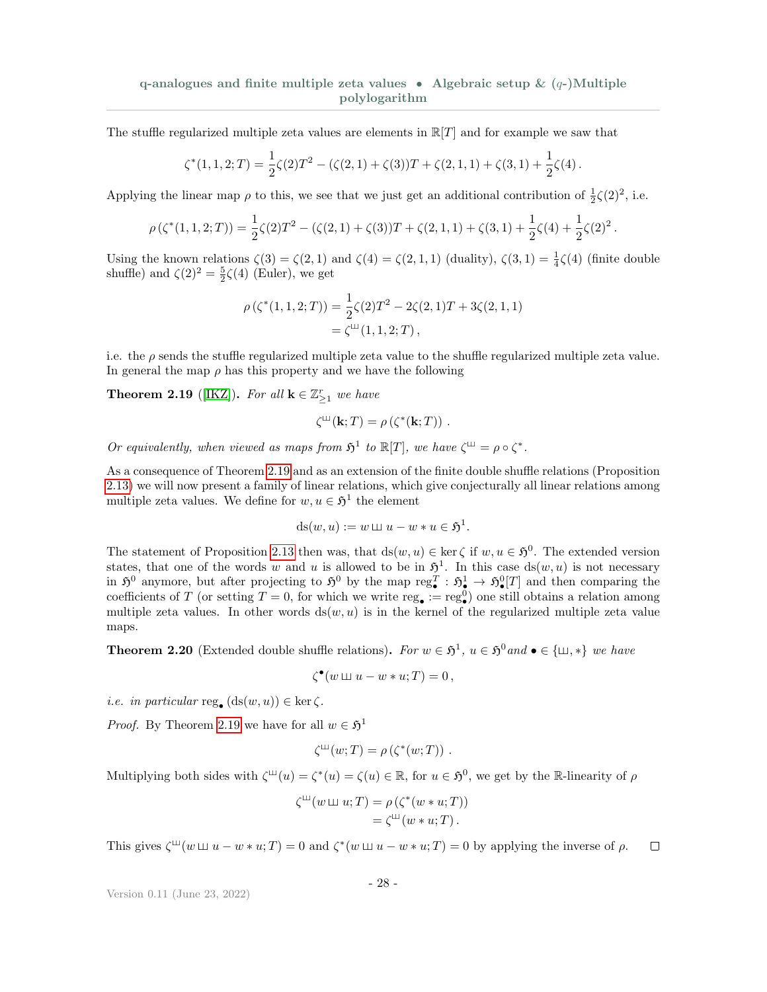The stuffle regularized multiple zeta values are elements in  $\mathbb{R}[T]$  and for example we saw that

$$
\zeta^*(1,1,2;T) = \frac{1}{2}\zeta(2)T^2 - (\zeta(2,1) + \zeta(3))T + \zeta(2,1,1) + \zeta(3,1) + \frac{1}{2}\zeta(4).
$$

Applying the linear map  $\rho$  to this, we see that we just get an additional contribution of  $\frac{1}{2}\zeta(2)^2$ , i.e.

$$
\rho(\zeta^*(1,1,2;T)) = \frac{1}{2}\zeta(2)T^2 - (\zeta(2,1) + \zeta(3))T + \zeta(2,1,1) + \zeta(3,1) + \frac{1}{2}\zeta(4) + \frac{1}{2}\zeta(2)^2.
$$

Using the known relations  $\zeta(3) = \zeta(2, 1)$  and  $\zeta(4) = \zeta(2, 1, 1)$  (duality),  $\zeta(3, 1) = \frac{1}{4}\zeta(4)$  (finite double shuffle) and  $\zeta(2)^2 = \frac{5}{2}\zeta(4)$  (Euler), we get

$$
\rho(\zeta^*(1,1,2;T)) = \frac{1}{2}\zeta(2)T^2 - 2\zeta(2,1)T + 3\zeta(2,1,1)
$$
  
=  $\zeta^{\text{LL}}(1,1,2;T)$ ,

i.e. the  $\rho$  sends the stuffle regularized multiple zeta value to the shuffle regularized multiple zeta value. In general the map  $\rho$  has this property and we have the following

<span id="page-27-0"></span>**Theorem 2.19** ([\[IKZ\]](#page-36-12)). For all  $\mathbf{k} \in \mathbb{Z}_{\geq 1}^r$  we have

$$
\zeta^{\mathsf{L}}(\mathbf{k};T)=\rho\left(\zeta^{\ast}(\mathbf{k};T)\right).
$$

Or equivalently, when viewed as maps from  $\mathfrak{H}^1$  to  $\mathbb{R}[T]$ , we have  $\zeta^{\perp\!\sqcup} = \rho \circ \zeta^*$ .

As a consequence of Theorem [2.19](#page-27-0) and as an extension of the finite double shuffle relations (Proposition [2.13\)](#page-23-2) we will now present a family of linear relations, which give conjecturally all linear relations among multiple zeta values. We define for  $w, u \in \mathfrak{H}^1$  the element

$$
ds(w, u) := w \sqcup u - w * u \in \mathfrak{H}^1.
$$

The statement of Proposition [2.13](#page-23-2) then was, that  $ds(w, u) \in \text{ker } \zeta$  if  $w, u \in \mathfrak{H}^0$ . The extended version states, that one of the words w and u is allowed to be in  $\mathfrak{H}^1$ . In this case  $ds(w, u)$  is not necessary in  $\mathfrak{H}^0$  anymore, but after projecting to  $\mathfrak{H}^0$  by the map  $\text{reg}^T$ :  $\mathfrak{H}^1_{\bullet} \to \mathfrak{H}^0_{\bullet}[T]$  and then comparing the coefficients of T (or setting  $T = 0$ , for which we write reg<sub>•</sub> := reg<sup>0</sup>) one still obtains a relation among multiple zeta values. In other words  $ds(w, u)$  is in the kernel of the regularized multiple zeta value maps.

**Theorem 2.20** (Extended double shuffle relations). For  $w \in \mathfrak{H}^1$ ,  $u \in \mathfrak{H}^0$  and  $\bullet \in {\{\sqcup,\ast\}}$  we have

$$
\zeta^{\bullet}(w \sqcup u - w * u; T) = 0,
$$

*i.e.* in particular reg.  $(ds(w, u)) \in \text{ker }\zeta$ .

*Proof.* By Theorem [2.19](#page-27-0) we have for all  $w \in \mathfrak{H}^1$ 

$$
\zeta^{\mathfrak{U}}(w;T)=\rho\left(\zeta^*(w;T)\right).
$$

Multiplying both sides with  $\zeta^{\mu}(u) = \zeta^*(u) = \zeta(u) \in \mathbb{R}$ , for  $u \in \mathfrak{H}^0$ , we get by the R-linearity of  $\rho$ 

$$
\zeta^{\mathfrak{U}}(w \mathfrak{U} u; T) = \rho \left( \zeta^*(w * u; T) \right)
$$
  
= 
$$
\zeta^{\mathfrak{U}}(w * u; T).
$$

This gives  $\zeta^{\mu\nu}(w\sqcup u - w * u; T) = 0$  and  $\zeta^*(w\sqcup u - w * u; T) = 0$  by applying the inverse of  $\rho$ .  $\Box$ 

$$
-28 -
$$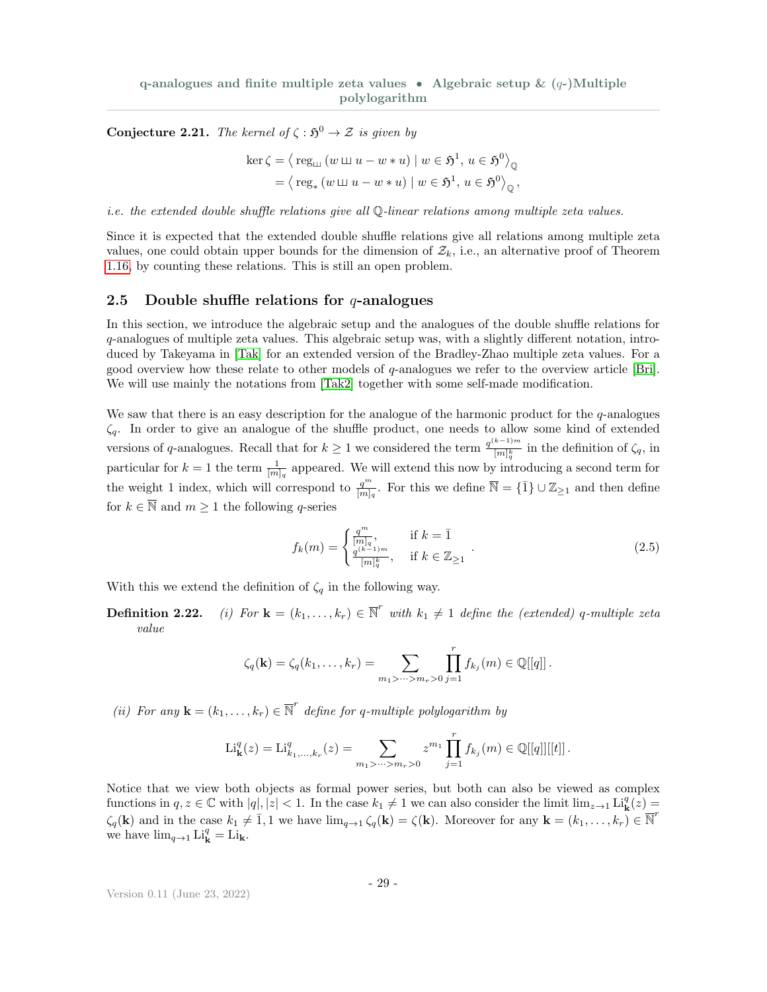<span id="page-28-2"></span>**Conjecture 2.21.** The kernel of  $\zeta : \mathfrak{H}^0 \to \mathcal{Z}$  is given by

$$
\ker \zeta = \left\langle \operatorname{reg}_{\mathfrak{m}}(w \boxplus u - w * u) \mid w \in \mathfrak{H}^1, u \in \mathfrak{H}^0 \right\rangle_{\mathbb{Q}}
$$

$$
= \left\langle \operatorname{reg}_*(w \boxplus u - w * u) \mid w \in \mathfrak{H}^1, u \in \mathfrak{H}^0 \right\rangle_{\mathbb{Q}},
$$

i.e. the extended double shuffle relations give all Q-linear relations among multiple zeta values.

Since it is expected that the extended double shuffle relations give all relations among multiple zeta values, one could obtain upper bounds for the dimension of  $\mathcal{Z}_k$ , i.e., an alternative proof of Theorem [1.16,](#page-7-2) by counting these relations. This is still an open problem.

#### <span id="page-28-0"></span>2.5 Double shuffle relations for  $q$ -analogues

In this section, we introduce the algebraic setup and the analogues of the double shuffle relations for q-analogues of multiple zeta values. This algebraic setup was, with a slightly different notation, introduced by Takeyama in [\[Tak\]](#page-36-13) for an extended version of the Bradley-Zhao multiple zeta values. For a good overview how these relate to other models of q-analogues we refer to the overview article [\[Bri\]](#page-36-14). We will use mainly the notations from [\[Tak2\]](#page-36-15) together with some self-made modification.

We saw that there is an easy description for the analogue of the harmonic product for the  $q$ -analogues  $\zeta_q$ . In order to give an analogue of the shuffle product, one needs to allow some kind of extended versions of q-analogues. Recall that for  $k \geq 1$  we considered the term  $\frac{q^{(k-1)m}}{(m+k)}$  $\frac{\binom{n-1}{q}}{[m]_q^k}$  in the definition of  $\zeta_q$ , in particular for  $k = 1$  the term  $\frac{1}{[m]_q}$  appeared. We will extend this now by introducing a second term for the weight 1 index, which will correspond to  $\frac{q^m}{[m]_q}$ . For this we define  $\overline{\mathbb{N}} = {\{\overline{1}\}\cup \mathbb{Z}_{\geq 1}}$  and then define for  $k \in \overline{\mathbb{N}}$  and  $m \geq 1$  the following q-series

<span id="page-28-1"></span>
$$
f_k(m) = \begin{cases} \frac{q^m}{[m]_q}, & \text{if } k = \bar{1} \\ \frac{q^{(k-1)m}}{[m]_q^k}, & \text{if } k \in \mathbb{Z}_{\geq 1} \end{cases} .
$$
 (2.5)

With this we extend the definition of  $\zeta_q$  in the following way.

**Definition 2.22.** (i) For  $\mathbf{k} = (k_1, \ldots, k_r) \in \overline{\mathbb{N}}^r$  with  $k_1 \neq 1$  define the (extended) q-multiple zeta value

$$
\zeta_q(\mathbf{k}) = \zeta_q(k_1,\ldots,k_r) = \sum_{m_1 > \cdots > m_r > 0} \prod_{j=1}^r f_{k_j}(m) \in \mathbb{Q}[[q]] .
$$

(ii) For any  $\mathbf{k} = (k_1, \ldots, k_r) \in \overline{\mathbb{N}}^r$  define for q-multiple polylogarithm by

Li<sub>**k**</sub><sup>*q*</sup>(z) = Li<sub>*k*<sub>1</sub>,...,<sub>k<sub>r</sub></sub><sup>*r*</sup>(z) = 
$$
\sum_{m_1 > \dots > m_r > 0} z^{m_1} \prod_{j=1}^r f_{k_j}(m) \in \mathbb{Q}[[q]][[t]]
$$
.</sub>

Notice that we view both objects as formal power series, but both can also be viewed as complex functions in  $q, z \in \mathbb{C}$  with  $|q|, |z| < 1$ . In the case  $k_1 \neq 1$  we can also consider the limit  $\lim_{z \to 1} \mathrm{Li}_{\mathbf{k}}^q(z) =$  $\zeta_q(\mathbf{k})$  and in the case  $k_1 \neq \overline{1}, 1$  we have  $\lim_{q \to 1} \zeta_q(\mathbf{k}) = \zeta(\mathbf{k})$ . Moreover for any  $\mathbf{k} = (k_1, \ldots, k_r) \in \overline{\mathbb{N}}^r$ we have  $\lim_{q\to 1} \mathrm{Li}_{\mathbf{k}}^q = \mathrm{Li}_{\mathbf{k}}$ .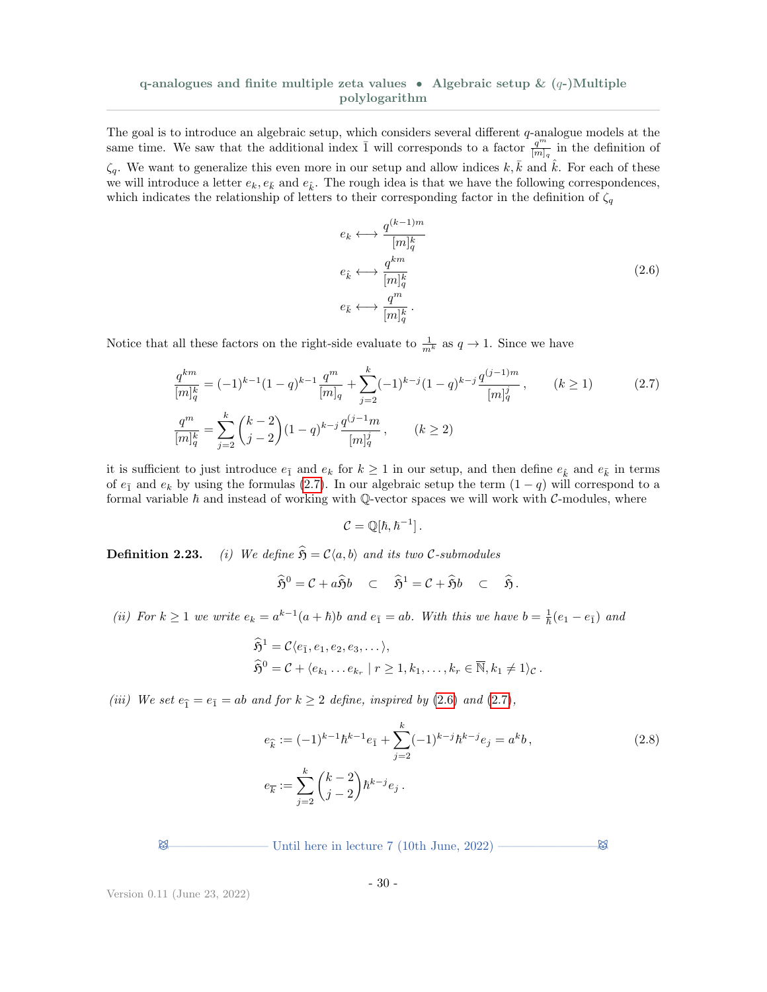The goal is to introduce an algebraic setup, which considers several different  $q$ -analogue models at the same time. We saw that the additional index  $\overline{1}$  will corresponds to a factor  $\frac{q^m}{[m]_q}$  in the definition of  $\zeta_q$ . We want to generalize this even more in our setup and allow indices k, k and k. For each of these we will introduce a letter  $e_k, e_{\bar{k}}$  and  $e_{\bar{k}}$ . The rough idea is that we have the following correspondences, which indicates the relationship of letters to their corresponding factor in the definition of  $\zeta_q$ 

<span id="page-29-1"></span>
$$
e_k \longleftrightarrow \frac{q^{(k-1)m}}{[m]_q^k}
$$
  
\n
$$
e_k \longleftrightarrow \frac{q^{km}}{[m]_q^k}
$$
  
\n
$$
e_{\bar{k}} \longleftrightarrow \frac{q^m}{[m]_q^k}
$$
  
\n(2.6)

Notice that all these factors on the right-side evaluate to  $\frac{1}{m^k}$  as  $q \to 1$ . Since we have

$$
\frac{q^{km}}{[m]_q^k} = (-1)^{k-1} (1-q)^{k-1} \frac{q^m}{[m]_q} + \sum_{j=2}^k (-1)^{k-j} (1-q)^{k-j} \frac{q^{(j-1)m}}{[m]_q^j}, \qquad (k \ge 1)
$$
\n
$$
\frac{q^m}{[m]_q^k} = \sum_{j=2}^k {k-2 \choose j-2} (1-q)^{k-j} \frac{q^{(j-1)m}}{[m]_q^j}, \qquad (k \ge 2)
$$
\n(2.7)

it is sufficient to just introduce  $e_{\bar{1}}$  and  $e_k$  for  $k \geq 1$  in our setup, and then define  $e_{\hat{k}}$  and  $e_{\bar{k}}$  in terms of  $e_{\bar{1}}$  and  $e_k$  by using the formulas [\(2.7\)](#page-29-0). In our algebraic setup the term  $(1 - q)$  will correspond to a formal variable  $\hbar$  and instead of working with Q-vector spaces we will work with  $C$ -modules, where

<span id="page-29-2"></span><span id="page-29-0"></span>
$$
\mathcal{C}=\mathbb{Q}[\hbar,\hbar^{-1}].
$$

**Definition 2.23.** (i) We define  $\hat{\mathfrak{H}} = \mathcal{C}\langle a, b \rangle$  and its two C-submodules

$$
\widehat{\mathfrak{H}}^0 = \mathcal{C} + a\widehat{\mathfrak{H}}b \quad \subset \quad \widehat{\mathfrak{H}}^1 = \mathcal{C} + \widehat{\mathfrak{H}}b \quad \subset \quad \widehat{\mathfrak{H}}.
$$

(ii) For  $k \ge 1$  we write  $e_k = a^{k-1}(a+\hbar)b$  and  $e_{\bar{1}} = ab$ . With this we have  $b = \frac{1}{\hbar}(e_1 - e_{\bar{1}})$  and

$$
\widehat{\mathfrak{H}}^1 = \mathcal{C} \langle e_{\bar{1}}, e_1, e_2, e_3, \dots \rangle,
$$
  

$$
\widehat{\mathfrak{H}}^0 = \mathcal{C} + \langle e_{k_1} \dots e_{k_r} | r \ge 1, k_1, \dots, k_r \in \overline{\mathbb{N}}, k_1 \neq 1 \rangle_{\mathcal{C}}.
$$

(iii) We set  $e_{\hat{1}} = e_{\bar{1}} = ab$  and for  $k \geq 2$  define, inspired by [\(2.6\)](#page-29-1) and [\(2.7\)](#page-29-0),

$$
e_{\hat{k}} := (-1)^{k-1} \hbar^{k-1} e_{\bar{1}} + \sum_{j=2}^{k} (-1)^{k-j} \hbar^{k-j} e_j = a^k b,
$$
  
\n
$$
e_{\bar{k}} := \sum_{j=2}^{k} {k-2 \choose j-2} \hbar^{k-j} e_j.
$$
\n(2.8)

 $\boxtimes$  Until here in lecture 7 (10th June, 2022) ————————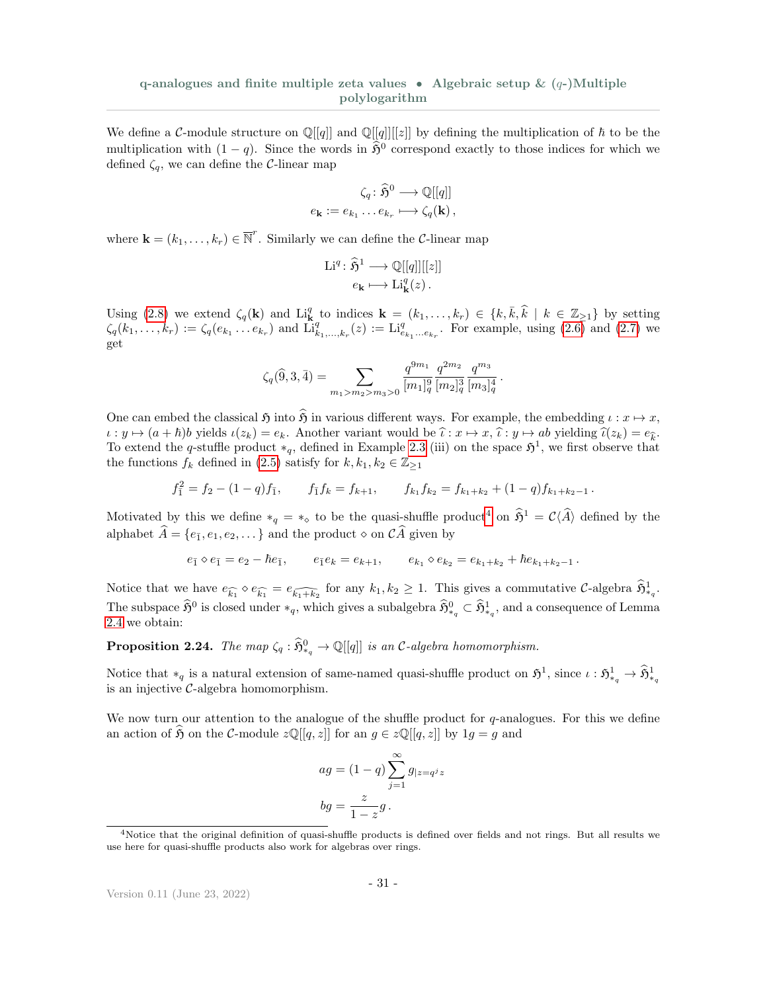We define a C-module structure on  $\mathbb{Q}[[q]]$  and  $\mathbb{Q}[[q]][[z]]$  by defining the multiplication of  $\hbar$  to be the multiplication with  $(1 - q)$ . Since the words in  $\hat{\mathfrak{H}}^0$  correspond exactly to those indices for which we defined  $\zeta_q$ , we can define the C-linear map

$$
\zeta_q : \widehat{\mathfrak{H}}^0 \longrightarrow \mathbb{Q}[[q]]
$$
  

$$
e_{\mathbf{k}} := e_{k_1} \dots e_{k_r} \longmapsto \zeta_q(\mathbf{k}),
$$

where  $\mathbf{k} = (k_1, \ldots, k_r) \in \overline{\mathbb{N}}^r$ . Similarly we can define the *C*-linear map

$$
\mathrm{Li}^q \colon \widehat{\mathfrak{H}}^1 \longrightarrow \mathbb{Q}[[q]][[z]]
$$

$$
e_{\mathbf{k}} \longmapsto \mathrm{Li}_{\mathbf{k}}^q(z) .
$$

Using [\(2.8\)](#page-29-2) we extend  $\zeta_q(\mathbf{k})$  and  $\text{Li}_{\mathbf{k}}^q$  to indices  $\mathbf{k} = (k_1, \ldots, k_r) \in \{k, \bar{k}, \hat{k} \mid k \in \mathbb{Z}_{\geq 1}\}$  by setting  $\zeta_q(k_1,\ldots,k_r) := \zeta_q(e_{k_1}\ldots e_{k_r})$  and  $\overline{\mathrm{Li}_{k_1,\ldots,k_r}^q}(z) := \mathrm{Li}_{e_{k_1}\ldots e_{k_r}}^q$ . For example, using  $(2.6)$  and  $(2.7)$  we get

$$
\zeta_q(\widehat{9},3,\bar{4})=\sum_{m_1>m_2>m_3>0}\frac{q^{9m_1}}{[m_1]_q^9}\frac{q^{2m_2}}{[m_2]_q^3}\frac{q^{m_3}}{[m_3]_q^4}\,.
$$

One can embed the classical  $\mathfrak{H}$  into  $\widehat{\mathfrak{H}}$  in various different ways. For example, the embedding  $\iota : x \mapsto x$ ,  $\iota : y \mapsto (a + \hbar)b$  yields  $\iota(z_k) = e_k$ . Another variant would be  $\hat{\iota} : x \mapsto x$ ,  $\hat{\iota} : y \mapsto ab$  yielding  $\hat{\iota}(z_k) = e_{\hat{k}}$ .<br>To extend the g stuffle product  $*$  defined in Example 2.3 (iii) on the space  $S^1$  we first eksen To extend the q-stuffle product  $*_q$ , defined in Example [2.3](#page-18-3) (iii) on the space  $\mathfrak{H}^1$ , we first observe that the functions  $f_k$  defined in [\(2.5\)](#page-28-1) satisfy for  $k, k_1, k_2 \in \mathbb{Z}_{\geq 1}$ 

$$
f_1^2 = f_2 - (1-q)f_1, \qquad f_1f_k = f_{k+1}, \qquad f_{k_1}f_{k_2} = f_{k_1+k_2} + (1-q)f_{k_1+k_2-1}.
$$

Motivated by this we define  $*_q = *_\circ$  to be the quasi-shuffle product<sup>[4](#page-30-0)</sup> on  $\hat{\mathfrak{H}}^1 = \mathcal{C}\langle \hat{A} \rangle$  defined by the alphabet  $A = \{e_{\bar{1}}, e_1, e_2, \dots\}$  and the product  $\diamond$  on  $CA$  given by

$$
e_{\bar{1}} \diamond e_{\bar{1}} = e_2 - \hbar e_{\bar{1}}, \qquad e_{\bar{1}} e_k = e_{k+1}, \qquad e_{k_1} \diamond e_{k_2} = e_{k_1 + k_2} + \hbar e_{k_1 + k_2 - 1}.
$$

Notice that we have  $e_{\widehat{k_1}} \diamond e_{\widehat{k_1}} = e_{\widehat{k_1+k_2}}$  for any  $k_1, k_2 \ge 1$ . This gives a commutative C-algebra  $\widehat{\mathfrak{H}}^1_{*q}$ . The subspace  $\hat{\mathfrak{H}}^0$  is closed under  $*_q$ , which gives a subalgebra  $\hat{\mathfrak{H}}^0_{*_q} \subset \hat{\mathfrak{H}}^1_{*_q}$ , and a consequence of Lemma [2.4](#page-19-0) we obtain:

**Proposition 2.24.** The map  $\zeta_q : \widehat{\mathfrak{H}}_{*_q}^0 \to \mathbb{Q}[[q]]$  is an C-algebra homomorphism.

Notice that  $*_q$  is a natural extension of same-named quasi-shuffle product on  $\mathfrak{H}^1$ , since  $\iota : \mathfrak{H}^1_{*_q} \to \widehat{\mathfrak{H}}^1_{*_q}$ is an injective C-algebra homomorphism.

We now turn our attention to the analogue of the shuffle product for  $q$ -analogues. For this we define an action of  $\mathfrak H$  on the C-module  $z\mathbb{Q}[[q, z]]$  for an  $g \in z\mathbb{Q}[[q, z]]$  by  $1g = g$  and

$$
ag = (1 - q) \sum_{j=1}^{\infty} g_{|z=q^j z}
$$

$$
bg = \frac{z}{1 - z}g.
$$

<span id="page-30-0"></span><sup>4</sup>Notice that the original definition of quasi-shuffle products is defined over fields and not rings. But all results we use here for quasi-shuffle products also work for algebras over rings.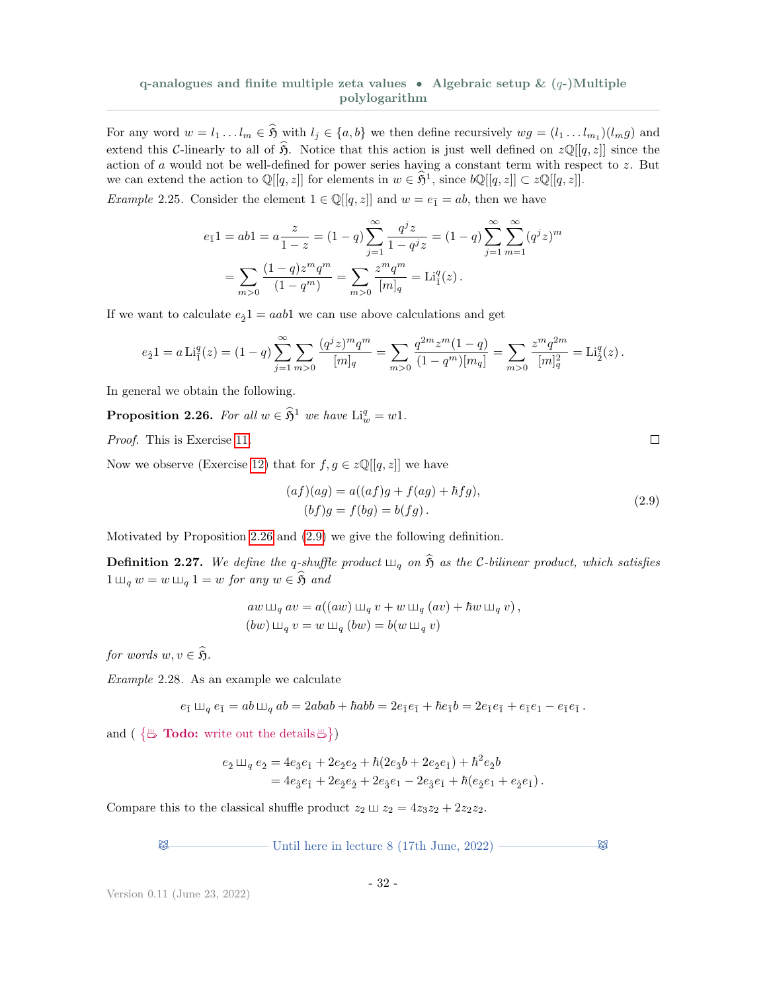For any word  $w = l_1 \dots l_m \in \mathfrak{H}$  with  $l_j \in \{a, b\}$  we then define recursively  $wg = (l_1 \dots l_{m_1})(l_m g)$  and extend this C-linearly to all of  $\hat{\mathfrak{H}}$ . Notice that this action is just well defined on  $z\mathbb{Q}[[q, z]]$  since the action of  $a$  would not be well-defined for power series having a constant term with respect to  $z$ . But we can extend the action to  $\mathbb{Q}[[q, z]]$  for elements in  $w \in \hat{\mathfrak{H}}^1$ , since  $b\mathbb{Q}[[q, z]] \subset z\mathbb{Q}[[q, z]].$ 

*Example* 2.25. Consider the element  $1 \in \mathbb{Q}[[q, z]]$  and  $w = e_{\bar{1}} = ab$ , then we have

$$
e_{\overline{1}}1 = ab1 = a \frac{z}{1-z} = (1-q) \sum_{j=1}^{\infty} \frac{q^j z}{1-q^j z} = (1-q) \sum_{j=1}^{\infty} \sum_{m=1}^{\infty} (q^j z)^m
$$

$$
= \sum_{m>0} \frac{(1-q)z^m q^m}{(1-q^m)} = \sum_{m>0} \frac{z^m q^m}{[m]_q} = \text{Li}_1^q(z).
$$

If we want to calculate  $e_2 = aab$ 1 we can use above calculations and get

$$
e_{\hat{2}}1 = a \operatorname{Li}_{1}^{q}(z) = (1-q) \sum_{j=1}^{\infty} \sum_{m>0} \frac{(q^{j}z)^{m}q^{m}}{[m]_{q}} = \sum_{m>0} \frac{q^{2m}z^{m}(1-q)}{(1-q^{m})[m_{q}]} = \sum_{m>0} \frac{z^{m}q^{2m}}{[m]_{q}^{2}} = \operatorname{Li}_{\hat{2}}^{q}(z).
$$

In general we obtain the following.

<span id="page-31-0"></span>**Proposition 2.26.** For all  $w \in \hat{\mathfrak{H}}^1$  we have  $\text{Li}_w^q = w1$ .

Proof. This is Exercise [11.](#page-35-4)

Now we observe (Exercise [12\)](#page-35-5) that for  $f, g \in z\mathbb{Q}[[q, z]]$  we have

$$
(af)(ag) = a((af)g + f(ag) + \hbar fg),(bf)g = f(bg) = b(fg).
$$
\n(2.9)

Motivated by Proposition [2.26](#page-31-0) and [\(2.9\)](#page-31-1) we give the following definition.

**Definition 2.27.** We define the q-shuffle product  $\Box_q$  on  $\hat{\mathfrak{H}}$  as the C-bilinear product, which satisfies  $1 \sqcup_q w = w \sqcup_q 1 = w$  for any  $w \in \widehat{\mathfrak{H}}$  and

$$
aw \Box q \, av = a((aw) \Box q \, v + w \Box q \, (av) + \hbar w \, \Box q \, v),
$$
  
\n
$$
(bw) \Box q \, v = w \Box q \, (bw) = b(w \Box q \, v)
$$

for words  $w, v \in \widehat{\mathfrak{H}}$ .

Example 2.28. As an example we calculate

$$
e_{\bar{1}} \sqcup_q e_{\bar{1}} = ab \sqcup_q ab = 2abab + \hbar abb = 2e_{\bar{1}}e_{\bar{1}} + \hbar e_{\bar{1}}b = 2e_{\bar{1}}e_{\bar{1}} + e_{\bar{1}}e_1 - e_{\bar{1}}e_{\bar{1}}.
$$

and  $\left(\begin{array}{cc} \frac{m}{\omega} & \textbf{Todo:} \text{ write out the details } \frac{m}{\omega} \end{array}\right)$ 

$$
\begin{split} e_{\hat{2}} \; \Box \hskip-0.5cm\sqcup_q \; e_{\hat{2}} & = 4 e_{\hat{3}} e_{\hat{1}} + 2 e_{\hat{2}} e_{\hat{2}} + \hbar (2 e_{\hat{3}} b + 2 e_{\hat{2}} e_{\hat{1}}) + \hbar^2 e_{\hat{2}} b \\ & = 4 e_{\hat{3}} e_{\hat{1}} + 2 e_{\hat{2}} e_{\hat{2}} + 2 e_{\hat{3}} e_{\hat{1}} - 2 e_{\hat{3}} e_{\hat{1}} + \hbar (e_{\hat{2}} e_{1} + e_{\hat{2}} e_{\hat{1}}) \,. \end{split}
$$

Compare this to the classical shuffle product  $z_2 \sqcup z_2 = 4z_3z_2 + 2z_2z_2$ .

$$
\bigotimes \hspace{1.5cm} \hspace{1.5cm} \hspace{1.5cm} \hspace{1.5cm} \text{Until here in lecture 8 (17th June, 2022)} \longrightarrow \hspace{1.5cm} \bigotimes
$$

Version 0.11 (June 23, 2022)

<span id="page-31-1"></span> $\Box$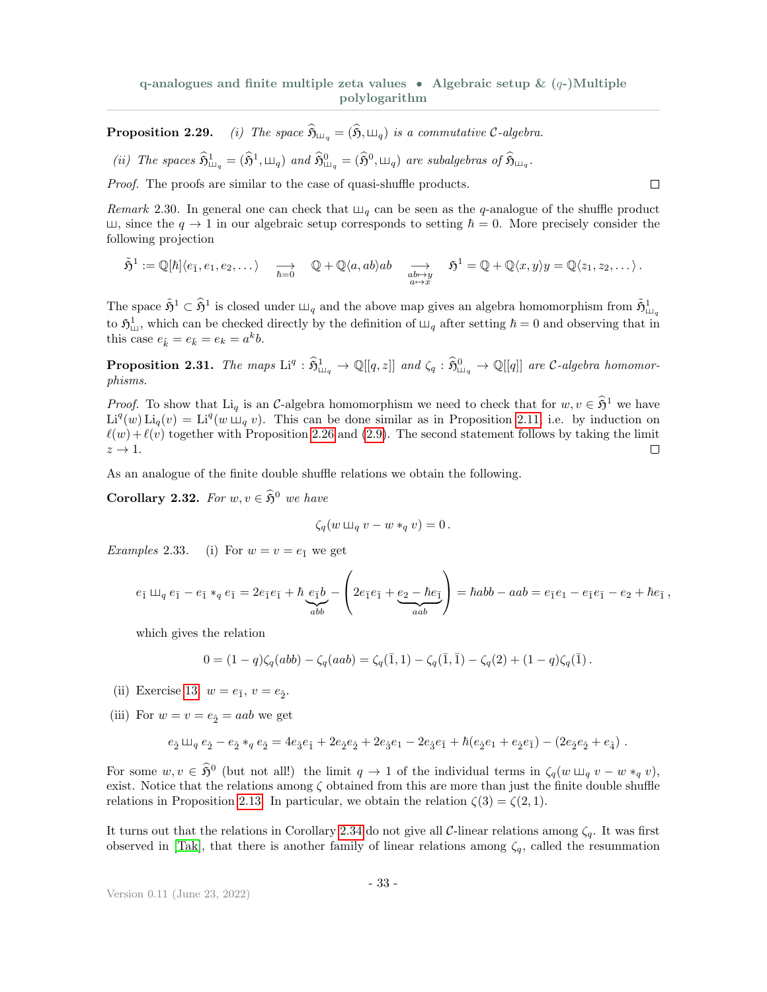**Proposition 2.29.** (i) The space  $\widehat{\mathfrak{H}}_{\mathfrak{m}_q} = (\widehat{\mathfrak{H}}, \mathfrak{m}_q)$  is a commutative C-algebra.

(*ii*) The spaces 
$$
\widehat{\mathfrak{H}}^1_{\sqcup_q} = (\widehat{\mathfrak{H}}^1, \sqcup_q)
$$
 and  $\widehat{\mathfrak{H}}^0_{\sqcup_q} = (\widehat{\mathfrak{H}}^0, \sqcup_q)$  are subalgebras of  $\widehat{\mathfrak{H}}_{\sqcup_q}$ .

Proof. The proofs are similar to the case of quasi-shuffle products.

Remark 2.30. In general one can check that  $\Box_q$  can be seen as the q-analogue of the shuffle product  $\Box$ , since the  $q \to 1$  in our algebraic setup corresponds to setting  $\hbar = 0$ . More precisely consider the following projection

 $\Box$ 

$$
\tilde{\mathfrak{H}}^1:=\mathbb{Q}[\hbar]\langle e_{\bar{1}},e_1,e_2,\dots\rangle\quad\underset{\hbar=0}{\longrightarrow}\quad\mathbb{Q}+\mathbb{Q}\langle a,ab\rangle ab\quad\underset{\substack{ab\mapsto y\\ a\mapsto x}}{\longrightarrow}\quad\mathfrak{H}^1=\mathbb{Q}+\mathbb{Q}\langle x,y\rangle y=\mathbb{Q}\langle z_1,z_2,\dots\rangle\,.
$$

The space  $\tilde{\mathfrak{H}}^1 \subset \hat{\mathfrak{H}}^1$  is closed under  $\Box_q$  and the above map gives an algebra homomorphism from  $\tilde{\mathfrak{H}}^1_{\Box_q}$ to  $\mathfrak{H}^1_{\perp\!\!\perp}$ , which can be checked directly by the definition of  $\perp\!\!\!\perp_q$  after setting  $\hbar = 0$  and observing that in this case  $e_{\hat{k}} = e_{\bar{k}} = e_k = a^k b$ .

**Proposition 2.31.** The maps  $\text{Li}^q : \hat{\mathfrak{H}}_{\text{Ll}_q}^1 \to \mathbb{Q}[[q, z]]$  and  $\zeta_q : \hat{\mathfrak{H}}_{\text{Ll}_q}^0 \to \mathbb{Q}[[q]]$  are C-algebra homomorphisms.

*Proof.* To show that Li<sub>q</sub> is an C-algebra homomorphism we need to check that for  $w, v \in \hat{\mathfrak{H}}^1$  we have  $\text{Li}^q(w) \text{Li}_q(v) = \text{Li}^q(w \mu_q v)$ . This can be done similar as in Proposition [2.11,](#page-23-3) i.e. by induction on  $\ell(w) + \ell(v)$  together with Proposition [2.26](#page-31-0) and [\(2.9\)](#page-31-1). The second statement follows by taking the limit  $z \rightarrow 1$ .  $\Box$ 

As an analogue of the finite double shuffle relations we obtain the following.

**Corollary 2.32.** For  $w, v \in \widehat{\mathfrak{H}}^0$  we have

$$
\zeta_q(w \sqcup_{q} v - w *_q v) = 0.
$$

*Examples* 2.33. (i) For  $w = v = e_{\bar{1}}$  we get

$$
e_{\bar{1}} \Box q e_{\bar{1}} - e_{\bar{1}} *_{q} e_{\bar{1}} = 2e_{\bar{1}}e_{\bar{1}} + \hbar \underbrace{e_{\bar{1}}b}_{abb} - \left( 2e_{\bar{1}}e_{\bar{1}} + \underbrace{e_{2} - \hbar e_{\bar{1}}}_{aab} \right) = \hbar abb - aab = e_{\bar{1}}e_{1} - e_{\bar{1}}e_{\bar{1}} - e_{2} + \hbar e_{\bar{1}},
$$

which gives the relation

$$
0 = (1-q)\zeta_q(abb) - \zeta_q(aab) = \zeta_q(\bar{1}, 1) - \zeta_q(\bar{1}, \bar{1}) - \zeta_q(2) + (1-q)\zeta_q(\bar{1}).
$$

- (ii) Exercise [13:](#page-35-6)  $w = e_{\bar{1}}$ ,  $v = e_{\hat{2}}$ .
- (iii) For  $w = v = e_2 = aab$  we get

$$
e_2\boxplus_q e_2-e_2*_q e_2=4e_3e_1+2e_2e_2+2e_3e_1-2e_3e_1+\hbar(e_2e_1+e_2e_1)-(2e_2e_2+e_4)\;.
$$

For some  $w, v \in \hat{\mathfrak{H}}^0$  (but not all!) the limit  $q \to 1$  of the individual terms in  $\zeta_q(w \sqcup_q v - w *_q v)$ , exist. Notice that the relations among  $\zeta$  obtained from this are more than just the finite double shuffle relations in Proposition [2.13.](#page-23-2) In particular, we obtain the relation  $\zeta(3) = \zeta(2, 1)$ .

It turns out that the relations in Corollary [2.34](#page-33-3) do not give all C-linear relations among  $\zeta_q$ . It was first observed in [\[Tak\]](#page-36-13), that there is another family of linear relations among  $\zeta_q$ , called the resummation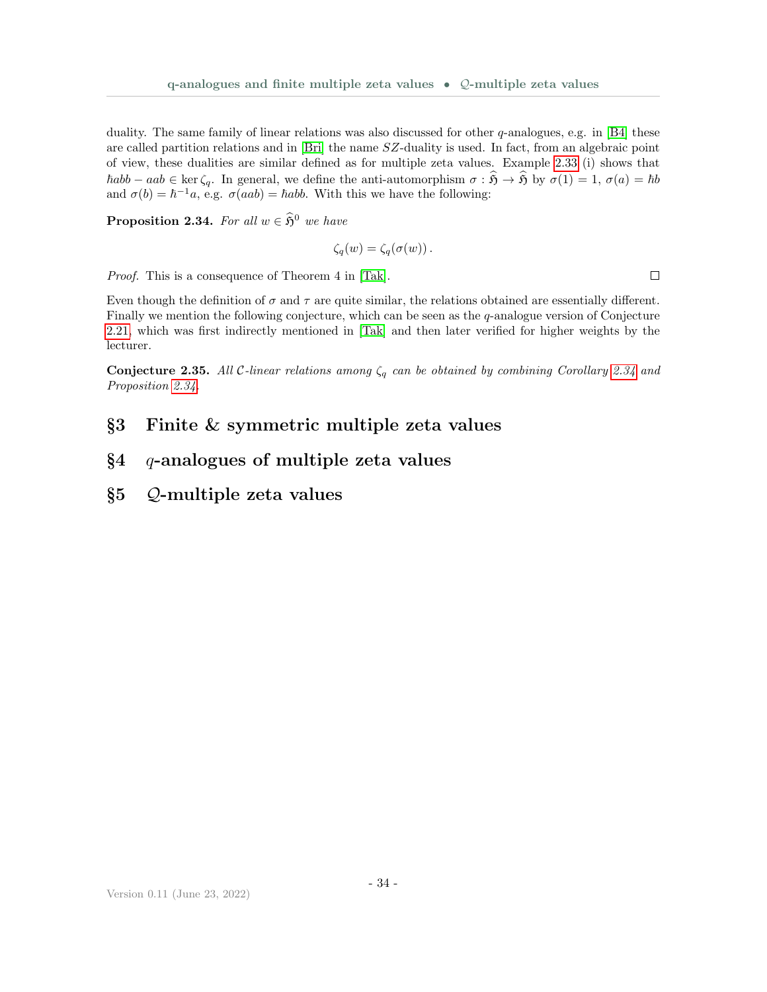duality. The same family of linear relations was also discussed for other  $q$ -analogues, e.g. in [\[B4\]](#page-35-7) these are called partition relations and in [\[Bri\]](#page-36-14) the name SZ-duality is used. In fact, from an algebraic point of view, these dualities are similar defined as for multiple zeta values. Example [2.33](#page-0-0) (i) shows that  $\hbarabb - aab \in \ker \zeta_q$ . In general, we define the anti-automorphism  $\sigma : \widehat{\mathfrak{H}} \to \widehat{\mathfrak{H}}$  by  $\sigma(1) = 1, \sigma(a) = \hbar b$ and  $\sigma(b) = \hbar^{-1}a$ , e.g.  $\sigma(aab) = \hbarabb$ . With this we have the following:

<span id="page-33-3"></span>**Proposition 2.34.** For all  $w \in \hat{\mathfrak{H}}^0$  we have

$$
\zeta_q(w) = \zeta_q(\sigma(w)).
$$

Proof. This is a consequence of Theorem 4 in [\[Tak\]](#page-36-13).

Even though the definition of  $\sigma$  and  $\tau$  are quite similar, the relations obtained are essentially different. Finally we mention the following conjecture, which can be seen as the  $q$ -analogue version of Conjecture [2.21,](#page-28-2) which was first indirectly mentioned in [\[Tak\]](#page-36-13) and then later verified for higher weights by the lecturer.

**Conjecture 2.35.** All C-linear relations among  $\zeta_q$  can be obtained by combining Corollary [2.34](#page-33-3) and Proposition [2.34.](#page-33-3)

# <span id="page-33-0"></span>§3 Finite & symmetric multiple zeta values

# <span id="page-33-1"></span> $§4$  q-analogues of multiple zeta values

<span id="page-33-2"></span>§5 Q-multiple zeta values

 $\Box$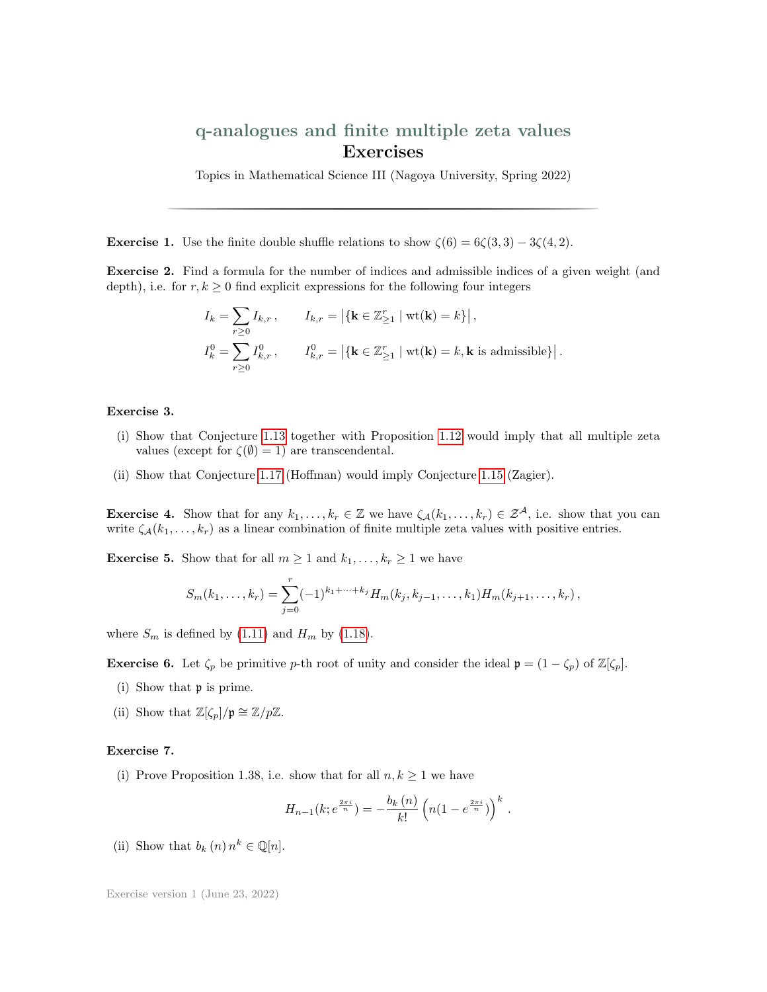# q-analogues and finite multiple zeta values Exercises

Topics in Mathematical Science III (Nagoya University, Spring 2022)

**Exercise 1.** Use the finite double shuffle relations to show  $\zeta(6) = 6\zeta(3,3) - 3\zeta(4,2)$ .

Exercise 2. Find a formula for the number of indices and admissible indices of a given weight (and depth), i.e. for  $r, k \geq 0$  find explicit expressions for the following four integers

q-analogues and finite multiple zeta values  
\n**Exercises**  
\nTopic in Mathematical Science III (Nagoya University, Spring 2022)  
\n**Exercise 1.** Use the finite double shuffle relations to show 
$$
\zeta(6) = 6\zeta(3,3) - 3\zeta(4,2)
$$
.  
\n**Exercise 2.** Find a formula for the number of indices and admissible indices of a given weight (and depth), i.e. for  $r, k \ge 0$  find explicit expressions for the following four integers  
\n
$$
I_k = \sum_{r\ge 0} I_{k,r}, \qquad I_{k,r} = |\{\mathbf{k} \in \mathbb{Z}_{\ge 1}^r \mid \text{wt}(\mathbf{k}) = k\}|,
$$
\n
$$
I_k^0 = \sum_{r\ge 0} I_{k,r}^0, \qquad I_{k,r}^0 = |\{\mathbf{k} \in \mathbb{Z}_{\ge 1}^r \mid \text{wt}(\mathbf{k}) = k, \mathbf{k} \text{ is admissible}\}.
$$
\n**Exercise 3.**  
\n(i) Show that Conjecture 1.13 together with Proposition 1.12 would imply that all multiple zeta

.

#### Exercise 3.

- (i) Show that Conjecture [1.13](#page-6-0) together with Proposition [1.12](#page-6-1) would imply that all multiple zeta values (except for  $\zeta(\emptyset) = 1$ ) are transcendental.
- (ii) Show that Conjecture [1.17](#page-7-4) (Hoffman) would imply Conjecture [1.15](#page-7-1) (Zagier).

<span id="page-34-0"></span>**Exercise 4.** Show that for any  $k_1, \ldots, k_r \in \mathbb{Z}$  we have  $\zeta_{\mathcal{A}}(k_1, \ldots, k_r) \in \mathcal{Z}^{\mathcal{A}}$ , i.e. show that you can write  $\zeta_{\mathcal{A}}(k_1,\ldots,k_r)$  as a linear combination of finite multiple zeta values with positive entries.

<span id="page-34-1"></span>**Exercise 5.** Show that for all  $m \ge 1$  and  $k_1, \ldots, k_r \ge 1$  we have

$$
S_m(k_1,\ldots,k_r) = \sum_{j=0}^r (-1)^{k_1+\cdots+k_j} H_m(k_j,k_{j-1},\ldots,k_1) H_m(k_{j+1},\ldots,k_r),
$$

where  $S_m$  is defined by [\(1.11\)](#page-11-3) and  $H_m$  by [\(1.18\)](#page-16-3).

<span id="page-34-2"></span>**Exercise 6.** Let  $\zeta_p$  be primitive p-th root of unity and consider the ideal  $\mathfrak{p} = (1 - \zeta_p)$  of  $\mathbb{Z}[\zeta_p]$ .

- (i) Show that p is prime.
- (ii) Show that  $\mathbb{Z}[\zeta_p]/\mathfrak{p} \cong \mathbb{Z}/p\mathbb{Z}$ .

#### <span id="page-34-3"></span>Exercise 7.

(i) Prove Proposition 1.38, i.e. show that for all  $n, k \geq 1$  we have

$$
H_{n-1}(k; e^{\frac{2\pi i}{n}}) = -\frac{b_k(n)}{k!} \left( n(1 - e^{\frac{2\pi i}{n}}) \right)^k.
$$

(ii) Show that  $b_k(n) n^k \in \mathbb{Q}[n]$ .

Exercise version 1 (June 23, 2022)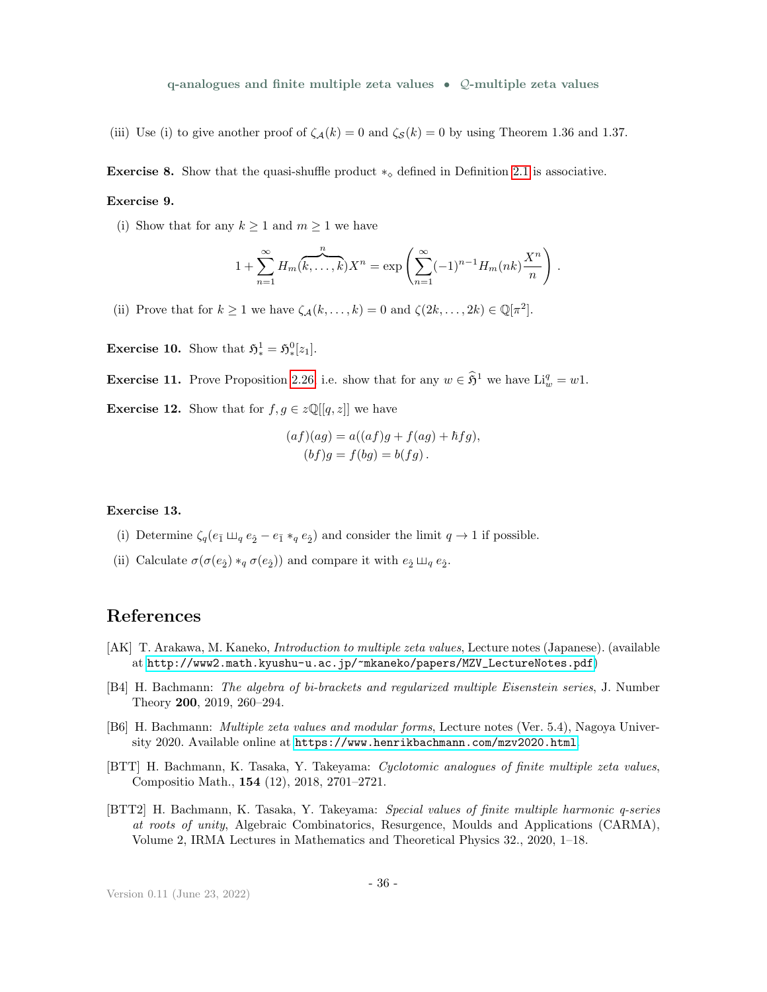(iii) Use (i) to give another proof of  $\zeta_{\mathcal{A}}(k) = 0$  and  $\zeta_{\mathcal{S}}(k) = 0$  by using Theorem 1.36 and 1.37.

<span id="page-35-2"></span>**Exercise 8.** Show that the quasi-shuffle product  $*_\diamond$  defined in Definition [2.1](#page-18-4) is associative.

#### Exercise 9.

(i) Show that for any  $k \geq 1$  and  $m \geq 1$  we have

$$
1+\sum_{n=1}^{\infty}H_m(\overbrace{k,\ldots,k}^n)X^n=\exp\left(\sum_{n=1}^{\infty}(-1)^{n-1}H_m(nk)\frac{X^n}{n}\right).
$$

(ii) Prove that for  $k \ge 1$  we have  $\zeta_{\mathcal{A}}(k,\ldots,k) = 0$  and  $\zeta(2k,\ldots,2k) \in \mathbb{Q}[\pi^2]$ .

<span id="page-35-3"></span>**Exercise 10.** Show that  $\mathfrak{H}^1_* = \mathfrak{H}^0_*[z_1].$ 

<span id="page-35-4"></span>**Exercise 11.** Prove Proposition [2.26,](#page-31-0) i.e. show that for any  $w \in \hat{\mathfrak{H}}^1$  we have  $\text{Li}_w^q = w1$ .

<span id="page-35-5"></span>**Exercise 12.** Show that for  $f, g \in z\mathbb{Q}[[q, z]]$  we have

$$
(af)(ag) = a((af)g + f(ag) + \hbar fg),
$$
  

$$
(bf)g = f(bg) = b(fg).
$$

#### <span id="page-35-6"></span>Exercise 13.

- (i) Determine  $\zeta_q(e_{\bar{1}} \sqcup_q e_{\hat{2}} e_{\bar{1}} *_q e_{\hat{2}})$  and consider the limit  $q \to 1$  if possible.
- (ii) Calculate  $\sigma(\sigma(e_{\hat{2}}) *_{q} \sigma(e_{\hat{2}}))$  and compare it with  $e_{\hat{2}} \sqcup_{q} e_{\hat{2}}$ .

# References

- [AK] T. Arakawa, M. Kaneko, Introduction to multiple zeta values, Lecture notes (Japanese). (available at [http://www2.math.kyushu-u.ac.jp/~mkaneko/papers/MZV\\_LectureNotes.pdf](http://www2.math.kyushu-u.ac.jp/~mkaneko/papers/MZV_LectureNotes.pdf))
- <span id="page-35-7"></span>[B4] H. Bachmann: The algebra of bi-brackets and regularized multiple Eisenstein series, J. Number Theory 200, 2019, 260–294.
- <span id="page-35-0"></span>[B6] H. Bachmann: *Multiple zeta values and modular forms*, Lecture notes (Ver. 5.4), Nagoya University 2020. Available online at <https://www.henrikbachmann.com/mzv2020.html>.
- <span id="page-35-1"></span>[BTT] H. Bachmann, K. Tasaka, Y. Takeyama: Cyclotomic analogues of finite multiple zeta values, Compositio Math., 154 (12), 2018, 2701–2721.
- [BTT2] H. Bachmann, K. Tasaka, Y. Takeyama: Special values of finite multiple harmonic q-series at roots of unity, Algebraic Combinatorics, Resurgence, Moulds and Applications (CARMA), Volume 2, IRMA Lectures in Mathematics and Theoretical Physics 32., 2020, 1–18.